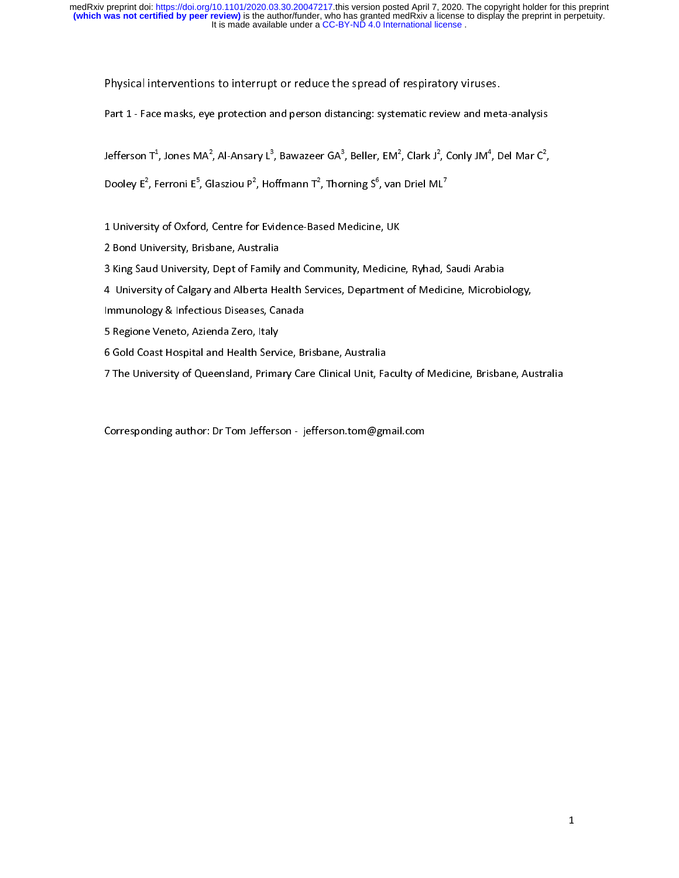Physical interventions to interrupt or reduce the spread of respiratory viruses.<br>Part 1 - Face masks, eye protection and person distancing: systematic review and meta-analysis

Part 1 - Face masks, eye protection and person distancing: systematic review and meta-analysis

, Conly JM4 , Del Mar C2  $\overline{a}$ 

Jetterson 1°, Jones MA°, AI-Ansary L°, Bawazeer GA°, Beller, EM°, Clark J°<br>Dooley E<sup>2</sup>, Ferroni E<sup>5</sup>, Glasziou P<sup>2</sup>, Hoffmann T<sup>2</sup>, Thorning S<sup>6</sup>, van Driel MI Dooley E<sup>-</sup>, Ferroni E<sup>-</sup>, Glasziou P<sup>-</sup>, Hoffmann T<sup>-</sup>, Thorning S<sup>-</sup>, Van Driel ML<sup>-</sup><br>Dooley E<sup>-</sup>, Ferroni E<sup>-</sup>, Glasziou P<sup>-</sup>, Hoffmann T<sup>-</sup>, Thorning S<sup>-</sup>, Van Driel ML<sup>-</sup>

1 University of Oxford, Centre for Evidence-Based Medicine, UK

3 King Saud University, Dept of Family and Community, Medicine, Ryhad, Saudi Arabia

4 University of Calgary and Alberta Health Services, Department of Medicine, Microbiology,

Immunology & Infectious Diseases, Canada

5 Regione Veneto, Azienda Zero, Italy

6 Gold Coast Hospital and Health Service, Brisbane, Australia

7 The University of Queensland, Primary Care Clinical Unit, Faculty of Medicine, Brisbane, Australia 7 The University of Queensland, Primary Care Clinical Unit, Faculty of Medicine, Brisbane, Australia

 $\overline{a}$ Corresponding author: Dr Tom Jefferson - jefferson.tom@gmail.com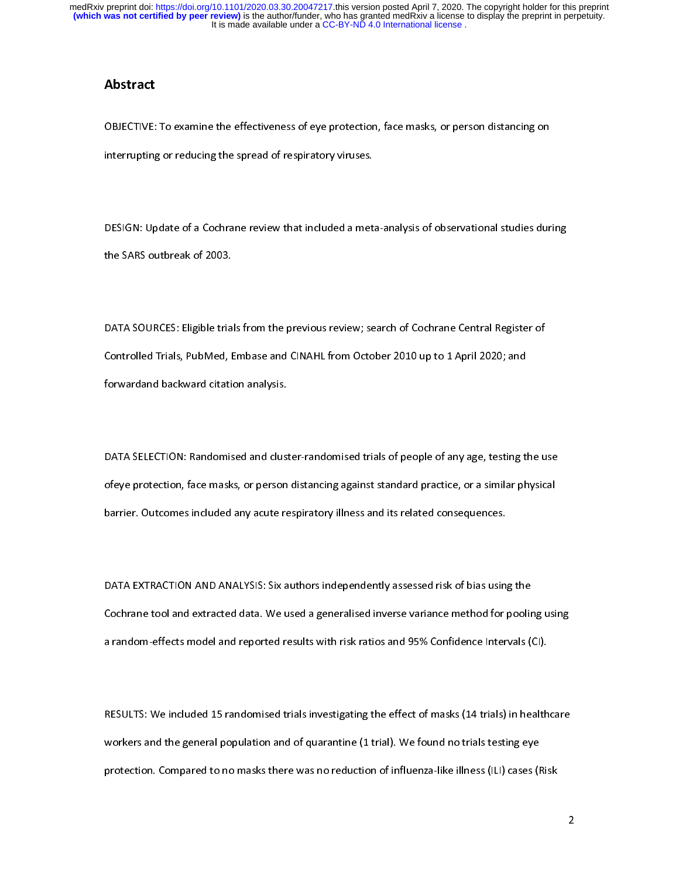## Abstract

OBJECTIVE: To examine the effectiveness of eye protection, face masks, or person distancing on<br>interrupting or reducing the spread of respiratory viruses. interrupting or reducing the spread of respiratory viruses.

 $\overline{a}$  $\mathcal{L}_{\text{the SARS outbreak of 2003}}$  of  $\mathcal{L}_{\text{DOS}}$ 

 $\overline{a}$ DATA SOURCES: Eligible trials from the previous review; search of Cochrane Central Register of<br>Controlled Trials, PubMed, Embase and CINAHL from October 2010 up to 1 April 2020; and forwardand backward citation analysis. forwardand backward citation analysis.

 $\overline{a}$ DATA SELECTION: Randomised and cluster-randomised trials of people of any age, testing the use<br>ofeye protection, face masks, or person distancing against standard practice, or a similar physical barrier. Outcomes included any acute respiratory illness and its related consequences. barrier. Outcomes included any acute respiratory illness and its related consequences.

 $\overline{a}$ DATA EXTRACTION AND ANALYSIS: Six authors independently assessed risk of bias using the<br>Cochrane tool and extracted data. We used a generalised inverse variance method for pooling using a random-effects model and reported results with risk ratios and 95% Confidence Intervals (CI). a random-effects model and reported results with risk ratios and 95% Confidence Intervals (CI).

 $\overline{a}$ RESULTS: We included 15 randomised trials investigating the effect of masks (14 trials) in healthcare<br>workers and the general population and of quarantine (1 trial). We found no trials testing eye protection. Compared to no masks there was no reduction of influenza-like illness (ILI) cases (Risk protection. Compared to no masks there was no reduction of influenza-like illness (ILI) cases (Risk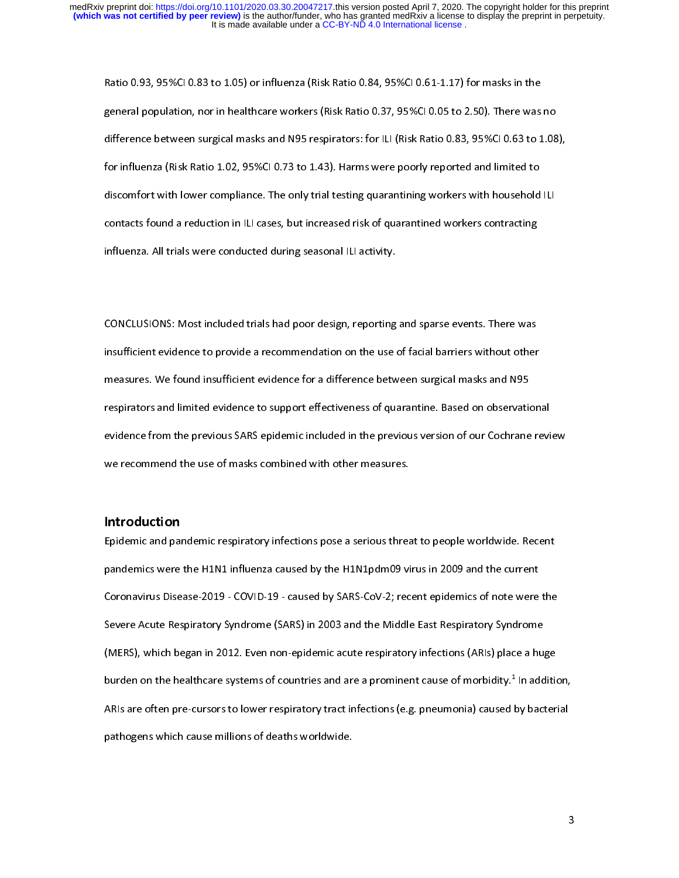Ratio 0.93, 95%CI 0.83 to 1.05) or influenza (Risk Ratio 0.84, 95%CI 0.61-1.17) for masks in the<br>general population, nor in healthcare workers (Risk Ratio 0.37, 95%CI 0.05 to 2.50). There was no difference between surgical masks and N95 respirators: for ILI (Risk Ratio 0.83, 95%CI 0.63 to 1.08), for influenza (Risk Ratio 1.02, 95%CI 0.73 to 1.43). Harms were poorly reported and limited to discomfort with lower compliance. The only trial testing quarantining workers with household ILI contacts found a reduction in ILI cases, but increased risk of quarantined workers contracting influenza. All trials were conducted during seasonal ILI activity. influenza. All trials were conducted during seasonal ILI activity.

 $\overline{a}$ CONCLUSIONS: Most included trials had poor design, reporting and sparse events. There was measures. We found insufficient evidence for a difference between surgical masks and N95 respirators and limited evidence to support effectiveness of quarantine. Based on observational evidence from the previous SARS epidemic included in the previous version of our Cochrane review we recommend the use of masks combined with other measures.

## Introduction

Epidemic and pandemic respiratory infections pose a serious threat to people worldwide. Recent pandemics were the H1N1 influenza caused by the H1N1pdm09 virus in 2009 and the current Coronavirus Disease-2019 - COVID-19 - caused by SARS-CoV-2; recent epidemics of note were the Severe Acute Respiratory Syndrome (SARS) in 2003 and the Middle East Respiratory Syndrome (MERS), which began in 2012. Even non-epidemic acute respiratory infections (ARIs) place a huge burden on the healthcare systems of countries and are a prominent cause of morbidity.<sup>1</sup> In addition, burden on the healthcare systems of countries and are a prominent cause of morbidity." In addition,<br>ARIs are often pre-cursors to lower respiratory tract infections (e.g. pneumonia) caused by bacterial pathogens which cause millions of deaths worldwide. pathogens which cause millions of deaths worldwide.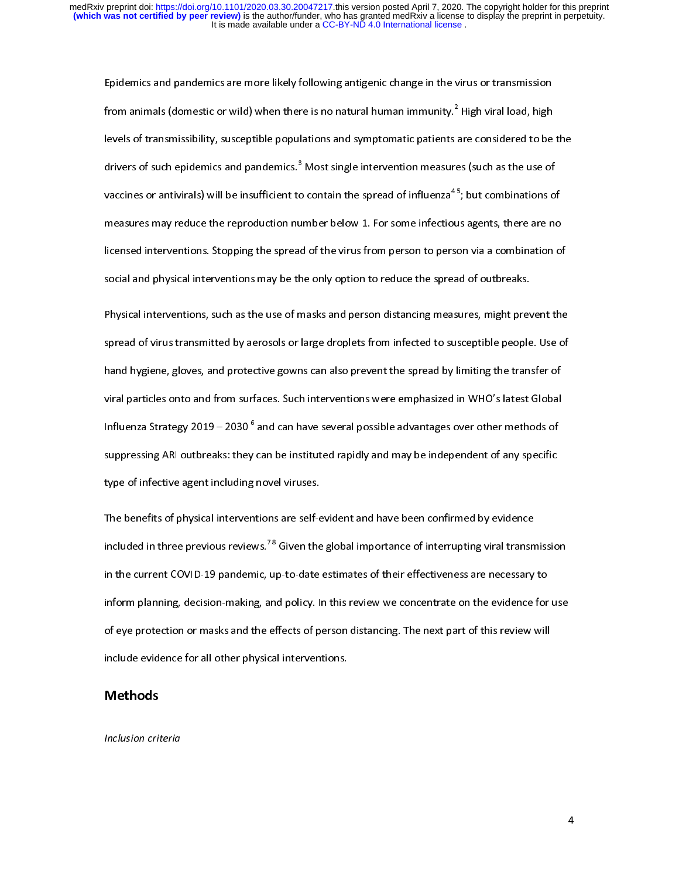Epidemics and pandemics are more likely following antigenic change in the virus or transmission<br>from animals (domestic or wild) when there is no natural human immunity.<sup>2</sup> High viral load, high trom animals (domestic or wild) when there is no natural human immunity." High viral load, high<br>levels of transmissibility, susceptible populations and symptomatic patients are considered to be drivers of such epidemics and pandemics.<sup>3</sup> Most single intervention measures (such as the use of drivers of such epidemics and pandemics." Most single intervention measures (such as the use of<br>vaccines or antivirals) will be insufficient to contain the spread of influenza<sup>45</sup>; but combinations o measures may reduce the reproduction number below 1. For some infectious agents, there are no licensed interventions. Stopping the spread of the virus from person to person via a combination of social and physical interventions may be the only option to reduce the spread of outbreaks.

Physical interventions, such as the use of masks and person distancing measures, might prevent the spread of virus transmitted by aerosols or large droplets from infected to susceptible people. Use of hand hygiene, gloves, and protective gowns can also prevent the spread by limiting the transfer of viral particles onto and from surfaces. Such interventions were emphasized in WHO's latest Global Influenza Strategy 2019 – 2030<sup>6</sup> and can have several possible advantages over other methods of Influenza Strategy 2019 – 2030 ° and can have several possible advantages over other methods of<br>suppressing ARI outbreaks: they can be instituted rapidly and may be independent of any specific type of infective agent including novel viruses.

The benefits of physical interventions are self-evident and have been confirmed by evidence included in three previous reviews.<sup>78</sup> Given the global importance of interrupting viral transmission in the current COVID-19 pandemic, up-to-date estimates of their effectiveness are necessary to inform planning, decision-making, and policy. In this review we concentrate on the evidence for use of eve protection or masks and the effects of person distancing. The next part of this review will include evidence for all other physical interventions. include evidence for all other physical interventions.

Inclusion criteria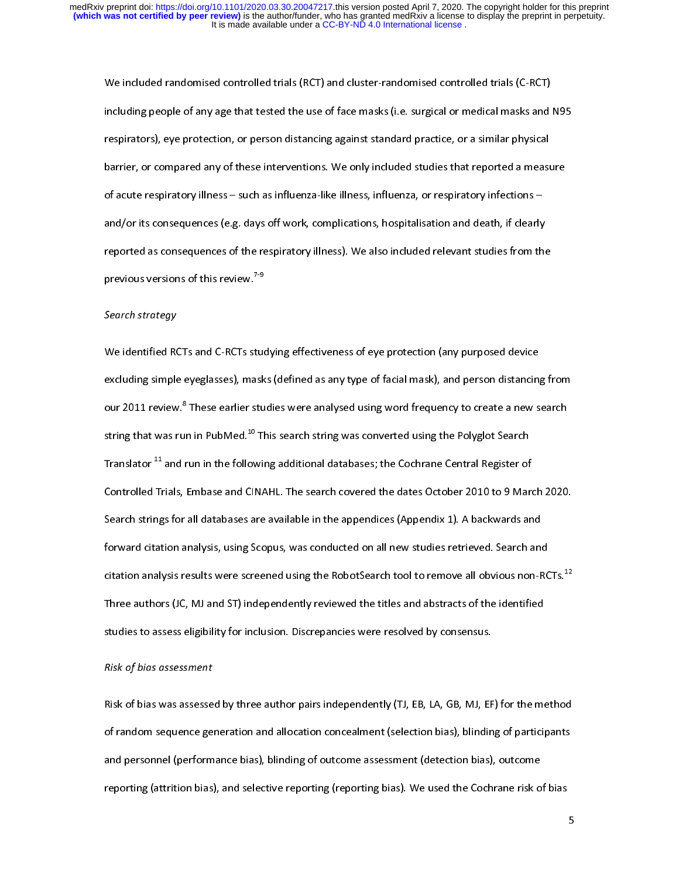We included randomised controlled trials (RCT) and cluster-randomised controlled trials (C-RCT)<br>including people of any age that tested the use of face masks (i.e. surgical or medical masks and N95 respirators), eye protection, or person distancing against standard practice, or a similar physical barrier, or compared any of these interventions. We only included studies that reported a measure of acute respiratory illness - such as influenza-like illness, influenza, or respiratory infections and/or its consequences (e.g. days off work, complications, hospitalisation and death, if clearly reported as consequences of the respiratory illness). We also included relevant studies from the reprodus versions of this review.  $7\frac{9}{2}$ previous versions of this review.<sup>79</sup><br>9-<br>9-9 states of strategy

### Search strategy

We identified RCTs and C-RCTs studying effectiveness of eye protection (any purposed device<br>excluding simple eyeglasses), masks (defined as any type of facial mask), and person distancing from our 2011 review.<sup>8</sup> These earlier studies were analysed using word frequency to create a new search our 2011 review." These earlier studies were analysed using word frequency to create a new search<br>string that was run in PubMed.<sup>10</sup> This search string was converted using the Polyglot Search Translator <sup>11</sup> and run in the following additional databases; the Cochrane Central Register of Controlled Trials, Embase and CINAHL. The search covered the dates October 2010 to 9 March 2020. Search strings for all databases are available in the appendices (Appendix 1). A backwards and forward citation analysis, using Scopus, was conducted on all new studies retrieved. Search and citation analysis results were screened using the RobotSearch tool to remove all obvious non-RCTs.<sup>12</sup> Three authors (JC, MJ and ST) independently reviewed the titles and abstracts of the identified studies to assess eligibility for inclusion. Discrepancies were resolved by consensus.

## studies to assess eligibility for inclusion. Discrepancies were resolved by consensus. Risk of bias assessment

Risk of bias was assessed by three author pairs independently (TJ, EB, LA, GB, MJ, EF) for the method<br>of random sequence generation and allocation concealment (selection bias), blinding of participants and personnel (performance bias), blinding of outcome assessment (detection bias), outcome reporting (attrition bias), and selective reporting (reporting bias). We used the Cochrane risk of bias reporting (attrition bias), and selective reporting (reporting bias). We used the Cochrane risk of bias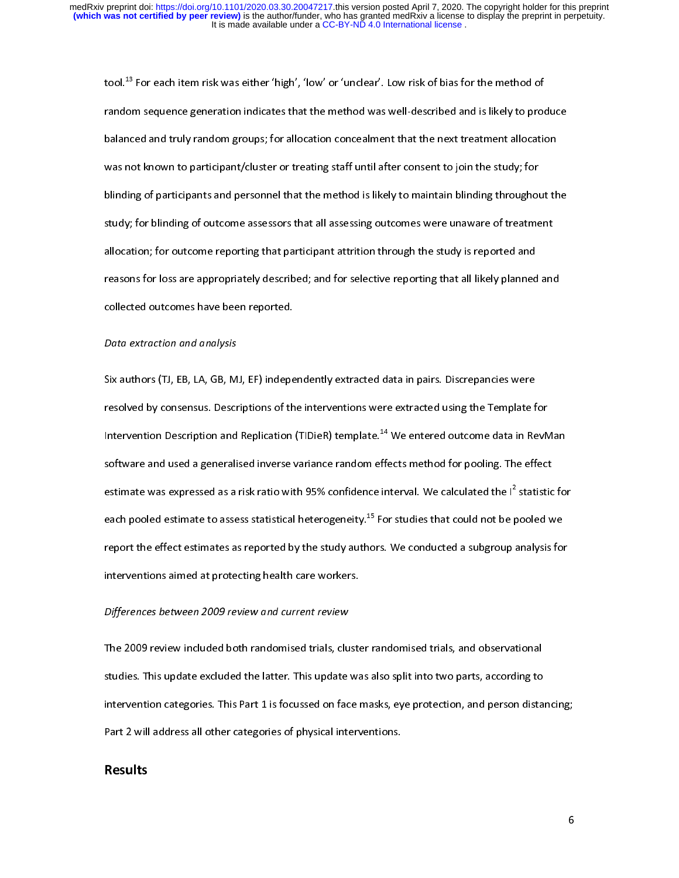tool.<sup>13</sup> For each item risk was either 'high', 'low' or 'unclear'. Low risk of bias for the method of<br>random sequence generation indicates that the method was well-described and is likely to produce balanced and truly random groups; for allocation concealment that the next treatment allocation was not known to participant/cluster or treating staff until after consent to join the study; for blinding of participants and personnel that the method is likely to maintain blinding throughout the study; for blinding of outcome assessors that all assessing outcomes were unaware of treatment allocation; for outcome reporting that participant attrition through the study is reported and reasons for loss are appropriately described; and for selective reporting that all likely planned and collected outcomes have been reported.

## collected outcomes have been reported.<br>Pata extraction and analysis Data extraction and analysis

Six authors (TJ, EB, LA, GB, MJ, EF) independently extracted data in pairs. Discrepancies were<br>resolved by consensus. Descriptions of the interventions were extracted using the Template for Intervention Description and Replication (TIDieR) template.<sup>14</sup> We entered outcome data in RevMan software and used a generalised inverse variance random effects method for pooling. The effect estimate was expressed as a risk ratio with 95% confidence interval. We calculated the  $I^2$  statistic for estimate was expressed as a risk ratio with 95% confidence interval. We calculated the I<sup>-</sup> statistic for<br>each pooled estimate to assess statistical heterogeneity.<sup>15</sup> For studies that could not be pooled we report the effect estimates as reported by the study authors. We conducted a subgroup analysis for interventions aimed at protecting health care workers.

## interventions aimed at protecting health care workers.<br>Differences hetween 2009 review and current review. Differences between 2009 review and current review

The 2009 review included both randomised trials, cluster randomised trials, and observational<br>studies. This update excluded the latter. This update was also split into two parts, according to intervention categories. This Part 1 is focussed on face masks, eye protection, and person distancing; Part 2 will address all other categories of physical interventions. Part 2 will address all other categories of physical interventions.

## Results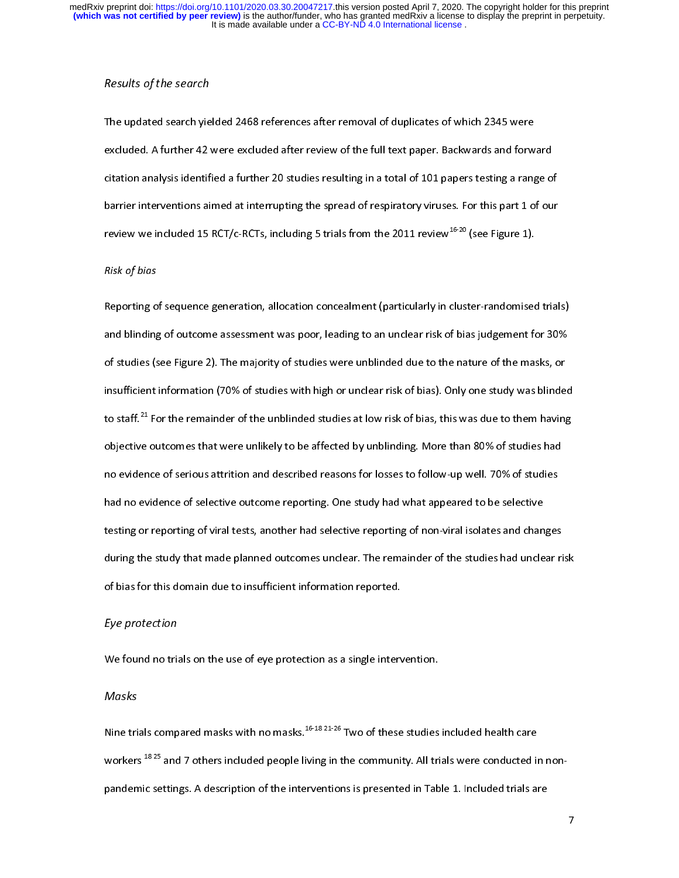## Results of the search

The updated search yielded 2468 references after removal of duplicates of which 2345 were<br>excluded. A further 42 were excluded after review of the full text paper. Backwards and forward citation analysis identified a further 20 studies resulting in a total of 101 papers testing a range of barrier interventions aimed at interrupting the spread of respiratory viruses. For this part 1 of our barrier interventions and the spread of respirators are interesting the spread of review  $\frac{1}{10}$  or the spread of our the spread of our the spread of our the spread of our the space of  $\alpha^{16-20}$  (see Figure 1). review we included 15 RCT/c-RCTs, including 5 trials from the 2011 review<sup>-----</sup> (see Figure 1).<br>Pick of higs

## Risk of bias

Reporting of sequence generation, allocation concealment (particularly in cluster-randomised trials)<br>and blinding of outcome assessment was poor, leading to an unclear risk of bias judgement for 30% of studies (see Figure 2). The majority of studies were unblinded due to the nature of the masks, or insufficient information (70% of studies with high or unclear risk of bias). Only one study was blinded to staff.<sup>21</sup> For the remainder of the unblinded studies at low risk of bias, this was due to them having objective outcomes that were unlikely to be affected by unblinding. More than 80% of studies had no evidence of serious attrition and described reasons for losses to follow-up well. 70% of studies had no evidence of selective outcome reporting. One study had what appeared to be selective testing or reporting of viral tests, another had selective reporting of non-viral isolates and changes during the study that made planned outcomes unclear. The remainder of the studies had unclear risk of bias for this domain due to insufficient information reported.

## $\overline{\phantom{a}}$ Eye protection

 $M$ ecks

### Masks

Nine trials compared masks with no masks.<sup>16-18 21-26</sup> Two of these studies included health care<br>workers <sup>18 25</sup> and 7 others included people living in the community. All trials were conducted in nonpandemic settings. A description of the interventions is presented in Table 1. Included trials are pandemic settings. A description of the interventions is presented in Table 1. Included trials are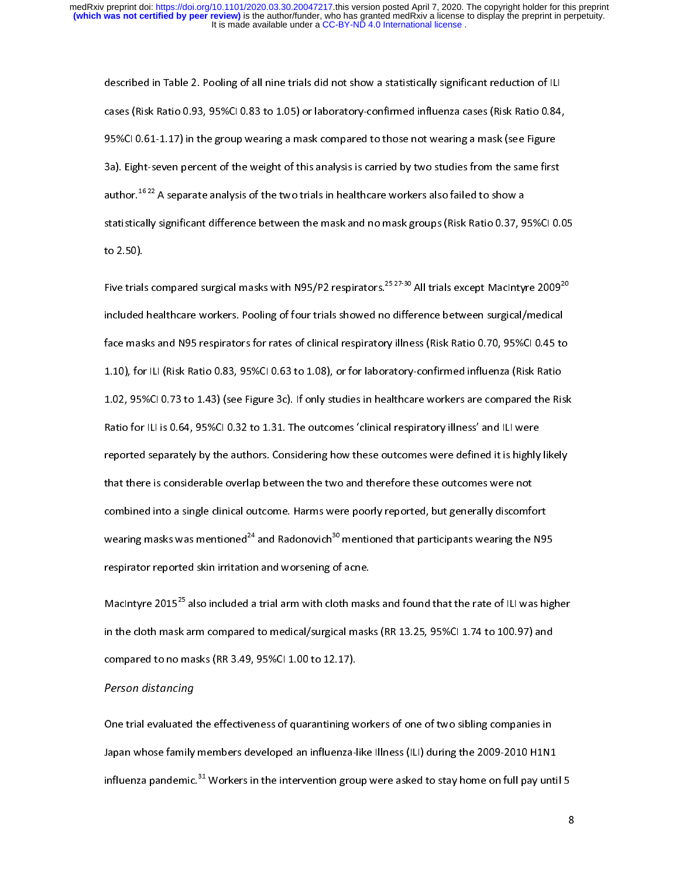described in Table 2. Pooling of all nine trials did not show a statistically significant reduction of ILI<br>cases (Risk Ratio 0.93, 95%CI 0.83 to 1.05) or laboratory-confirmed influenza cases (Risk Ratio 0.84, 95%CI 0.61-1.17) in the group wearing a mask compared to those not wearing a mask (see Figure 3a). Eight-seven percent of the weight of this analysis is carried by two studies from the same first author.<sup>1622</sup> A separate analysis of the two trials in healthcare workers also failed to show a statistically significant difference between the mask and no mask groups (Risk Ratio 0.37, 95%CI 0.05 statistically significant difference between the mask  $\frac{1}{2}$  and no mask  $\frac{1}{2}$   $\frac{1}{2}$   $\frac{1}{2}$   $\frac{1}{2}$   $\frac{1}{2}$   $\frac{1}{2}$   $\frac{1}{2}$   $\frac{1}{2}$   $\frac{1}{2}$   $\frac{1}{2}$   $\frac{1}{2}$   $\frac{1}{2}$   $\frac{1}{2}$   $\frac{1}{2}$   $\frac{1$ to 2.50).<br>Five trials compared surgical masks with N95/P2 respirators.<sup>25 27-30</sup> All trials except MacIntyre 2009<sup>20</sup>

included healthcare workers. Pooling of four trials showed no difference between surgical/medical face masks and N95 respirators for rates of clinical respiratory illness (Risk Ratio 0.70, 95%CI 0.45 to 1.10), for ILI (Risk Ratio 0.83, 95%CI 0.63 to 1.08), or for laboratory-confirmed influenza (Risk Ratio 1.02, 95%CI 0.73 to 1.43) (see Figure 3c). If only studies in healthcare workers are compared the Risk Ratio for ILI is 0.64, 95%CI 0.32 to 1.31. The outcomes 'clinical respiratory illness' and ILI were reported separately by the authors. Considering how these outcomes were defined it is highly likely that there is considerable overlap between the two and therefore these outcomes were not combined into a single clinical outcome. Harms were poorly reported, but generally discomfort wearing masks was mentioned<sup>24</sup> and Radonovich<sup>30</sup> mentioned that participants wearing the N9! wearing masks was mentioned<sup>--</sup> and Radonovich<sup>--</sup> mentioned that participants wearing the N95<br>respirator reported skin irritation and worsening of acne. respirator reported skin irritation and worsening of acne.<br>MacIntyre 2015<sup>25</sup> also included a trial arm with cloth masks and found that the rate of ILI was higher

in the cloth mask arm compared to medical/surgical masks (RR 13.25, 95%CI 1.74 to 100.97) and compared to no masks (RR 3.49, 95%CI 1.00 to 12.17).

# compared to no masks (RR 3.49, 95%).<br>Person distancing

One trial evaluated the effectiveness of quarantining workers of one of two sibling companies in<br>Japan whose family members developed an influenza-like Illness (ILI) during the 2009-2010 H1N1 Japan whose family members developed an influence-like Illice I<sub>ller</sub>y during the 2009-2010-2010-<br>-<br>Influenza-pandemic.<sup>31</sup> Workers in the intervention group were asked to stay home on full pay unti influenza pandemic.<sup>--</sup> Workers in the intervention group were asked to stay home on full pay until 5<br>-<br>-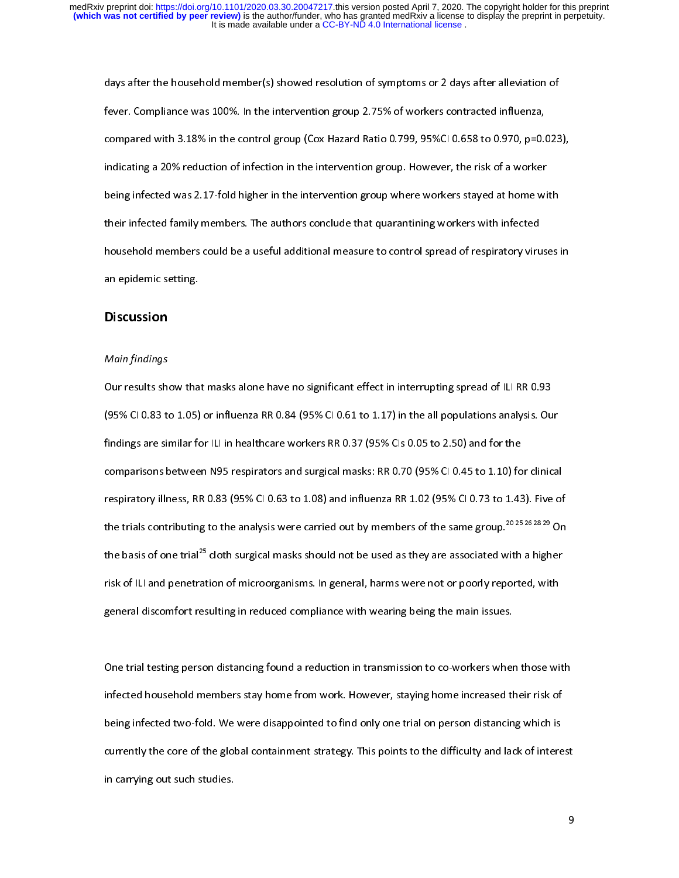days after the household member(s) showed resolution of symptoms or 2 days after alleviation of<br>fever. Compliance was 100%. In the intervention group 2.75% of workers contracted influenza, compared with 3.18% in the control group (Cox Hazard Ratio 0.799, 95%CI 0.658 to 0.970, p=0.023), indicating a 20% reduction of infection in the intervention group. However, the risk of a worker being infected was 2.17-fold higher in the intervention group where workers stayed at home with their infected family members. The authors conclude that quarantining workers with infected household members could be a useful additional measure to control spread of respiratory viruses in household members could be a useful additional members control spread of  $\mathcal{L}$  ,  $\mathcal{L}$ an epidemic setting.<br>Discussion

## Discussion

### Main findings

Our results show that masks alone have no significant effect in interrupting spread of ILI RR 0.93<br>(95% CI 0.83 to 1.05) or influenza RR 0.84 (95% CI 0.61 to 1.17) in the all populations analysis. Our findings are similar for ILI in healthcare workers RR 0.37 (95% CIs 0.05 to 2.50) and for the comparisons between N95 respirators and surgical masks: RR 0.70 (95% CI 0.45 to 1.10) for clinical respiratory illness, RR 0.83 (95% CI 0.63 to 1.08) and influenza RR 1.02 (95% CI 0.73 to 1.43). Five of the trials contributing to the analysis were carried out by members of the same group.<sup>2025 26</sup> 28 <sup>29</sup> On the basis of one trial<sup>25</sup> cloth surgical masks should not be used as they are associated with a higher risk of ILI and penetration of microorganisms. In general, harms were not or poorly reported, with general discomfort resulting in reduced compliance with wearing being the main issues. general discomfort resulting in reduced compliance with wearing being the main issues.

 $\overline{\phantom{a}}$ One trial testing person distancing found a reduction in transmission to co-workers when those with<br>infected household members stay home from work. However, staying home increased their risk of being infected two-fold. We were disappointed to find only one trial on person distancing which is currently the core of the global containment strategy. This points to the difficulty and lack of interest currently the core of the global containment strategy. This points to the different strategy  $\frac{1}{2}$  in carrying out such studies. in carrying out such studies.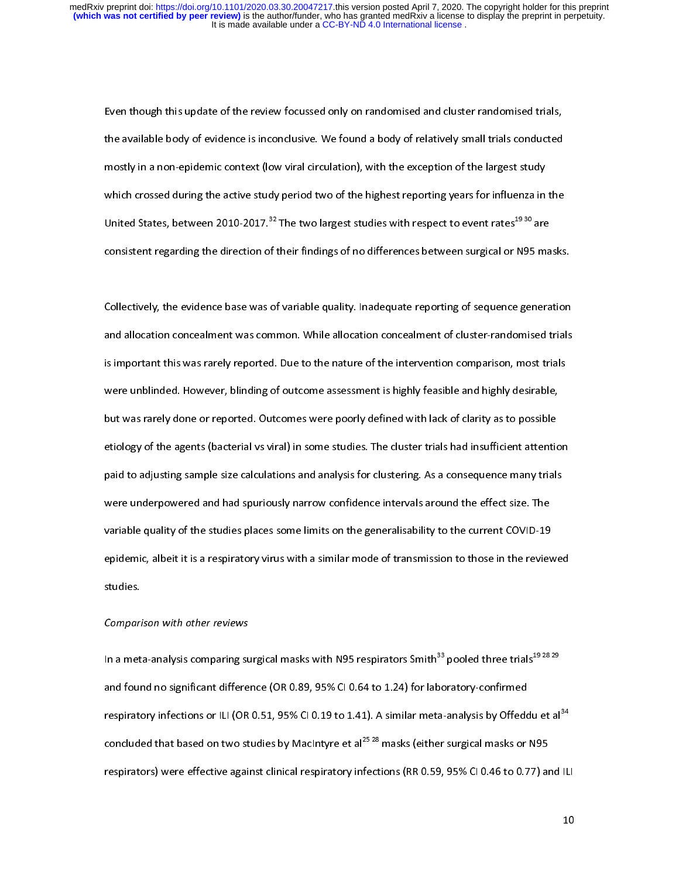$\overline{a}$ Even though this update of the review focussed only on randomised and cluster randomised trials,<br>the available body of evidence is inconclusive. We found a body of relatively small trials conducted mostly in a non-epidemic context (low viral circulation), with the exception of the largest study which crossed during the active study period two of the highest reporting years for influenza in the United States, between 2010-2017.<sup>32</sup> The two largest studies with respect to event rates<sup>19 30</sup> are consistent regarding the direction of their findings of no differences between surgical or N95 masks. consistent regarding the direction of their findings of no differences between surgical or N95 masks.

 $\overline{\phantom{a}}$ Collectively, the evidence base was of variable quality. Inadequate reporting of sequence generation<br>and allocation concealment was common. While allocation concealment of cluster-randomised trials is important this was rarely reported. Due to the nature of the intervention comparison, most trials were unblinded. However, blinding of outcome assessment is highly feasible and highly desirable, but was rarely done or reported. Outcomes were poorly defined with lack of clarity as to possible etiology of the agents (bacterial vs viral) in some studies. The cluster trials had insufficient attention paid to adjusting sample size calculations and analysis for clustering. As a consequence many trials were underpowered and had spuriously narrow confidence intervals around the effect size. The variable quality of the studies places some limits on the generalisability to the current COVID-19 epidemic, albeit it is a respiratory virus with a similar mode of transmission to those in the reviewed epidemic, albeit it is a respiratory virus with a similar mode of transmission to those in the reviewed

## ster<br>Compari Comparison with other reviews

In a meta-analysis comparing surgical masks with N95 respirators Smith $^{33}$  pooled three trials<sup>19 28 29</sup><br>and found no significant difference (OR 0.89, 95% CI 0.64 to 1.24) for laboratory-confirmed respiratory infections or ILI (OR 0.51, 95% CI 0.19 to 1.41). A similar meta-analysis by Offeddu et al<sup>34</sup> concluded that based on two studies by Macintyre et al<sup>25,28</sup> masks (either surgical masks or N95 respirators) were effective against clinical respiratory infections (RR 0.59, 95% CI 0.46 to 0.77) and ILI respirators) were effective against clinical respiratory infections (RR 0.59, 95% CI 0.46 to 0.77) and ILI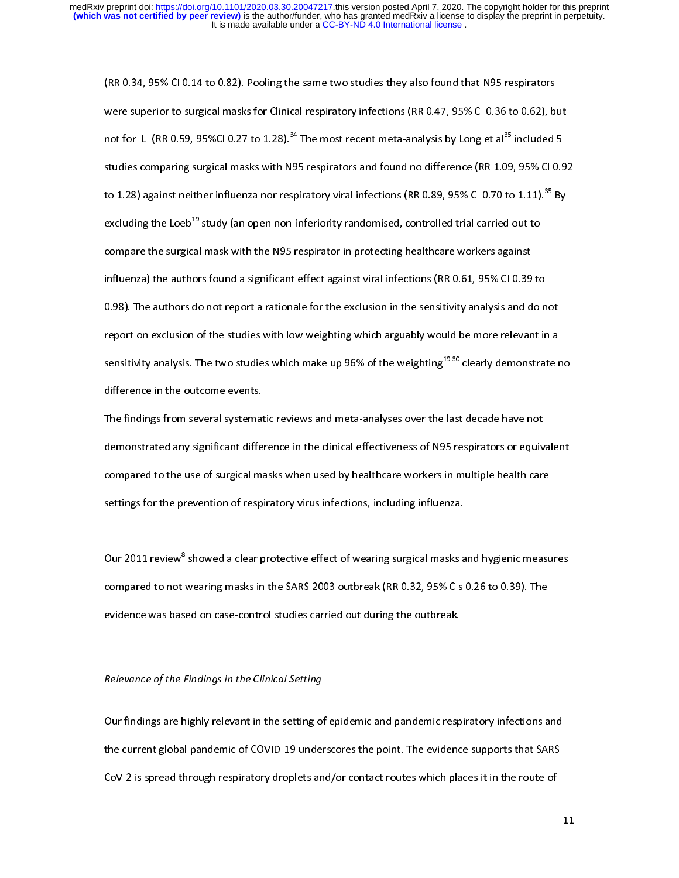(RR 0.34, 95% CI 0.14 to 0.82). Pooling the same two studies they also found that N95 respirators<br>were superior to surgical masks for Clinical respiratory infections (RR 0.47, 95% CI 0.36 to 0.62), but not for ILI (RR 0.59, 95%CI 0.27 to 1.28).<sup>34</sup> The most recent meta-analysis by Long et al<sup>35</sup> included 5 studies comparing surgical masks with N95 respirators and found no difference (RR 1.09, 95% CI 0.92 to 1.28) against neither influenza nor respiratory viral infections (RR 0.89, 95% CI 0.70 to 1.11).<sup>35</sup> By excluding the Loeb<sup>19</sup> study (an open non-inferiority randomised, controlled trial carried out to compare the surgical mask with the N95 respirator in protecting healthcare workers against influenza) the authors found a significant effect against viral infections (RR 0.61, 95% CI 0.39 to 0.98). The authors do not report a rationale for the exclusion in the sensitivity analysis and do not report on exclusion of the studies with low weighting which arguably would be more relevant in a report on exclusion of the studies which in agains, making allay would be more relevant in a<br>sensitivity analysis. The two studies which make up 96% of the weighting <sup>19 30</sup> clearly demonstrate r sensitivity analysis. The two studies which make up 96% of the weighting<sup>-----</sup> clearly demonstrate no<br>difference in the outcome events. difference in the outcome events.<br>The findings from several systematic reviews and meta-analyses over the last decade have not

demonstrated any significant difference in the clinical effectiveness of N95 respirators or equivalent compared to the use of surgical masks when used by healthcare workers in multiple health care settings for the prevention of respiratory virus infections, including influenza. settings for the prevention of respiratory virus infections, including influenza.

 $\overline{\phantom{a}}$ Our 2011 review" showed a clear protective effect of wearing surgical masks and hygienic measures<br>compared to not wearing masks in the SARS 2003 outbreak (RR 0.32, 95% CIs 0.26 to 0.39). The evidence was based on case-control studies carried out during the outbreak. evidence was based on case-control studies carried out during the outbreak.

## $\overline{a}$ Relevance of the Findings in the Clinical Setting

Our findings are highly relevant in the setting of epidemic and pandemic respiratory infections and<br>the current global pandemic of COVID-19 underscores the point. The evidence supports that SARS-CoV-2 is spread through respiratory droplets and/or contact routes which places it in the route of CoV-2 is spread through respiratory droplets and/or contact routes which places it in the route of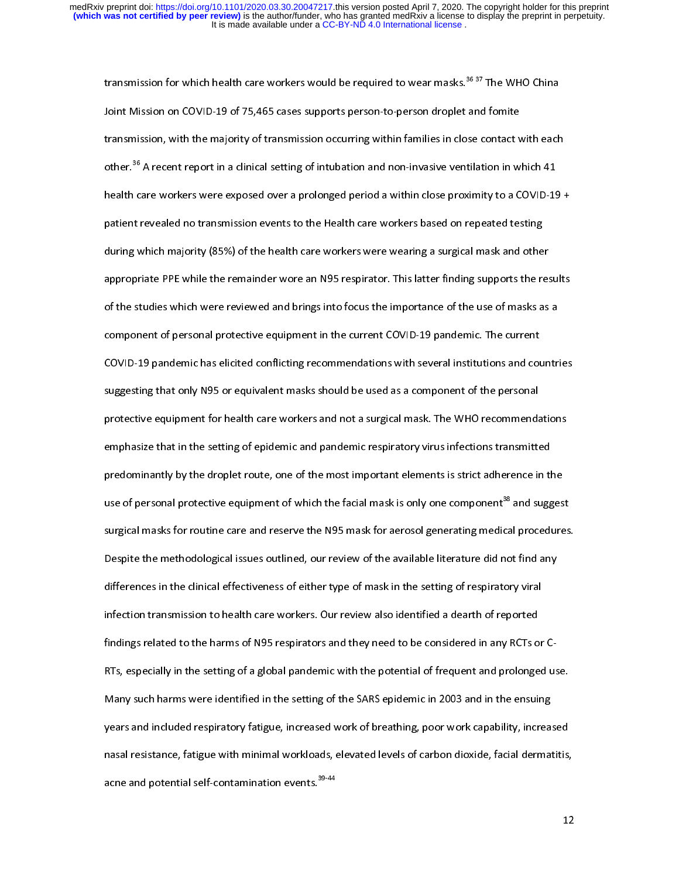transmission for which health care workers would be required to wear masks.<sup>36 37</sup> The WHO China<br>Joint Mission on COVID-19 of 75,465 cases supports person-to-person droplet and fomite transmission, with the majority of transmission occurring within families in close contact with each other.<sup>36</sup> A recent report in a clinical setting of intubation and non-invasive ventilation in which 41 health care workers were exposed over a prolonged period a within close proximity to a COVID-19 + patient revealed no transmission events to the Health care workers based on repeated testing during which majority (85%) of the health care workers were wearing a surgical mask and other appropriate PPE while the remainder wore an N95 respirator. This latter finding supports the results of the studies which were reviewed and brings into focus the importance of the use of masks as a component of personal protective equipment in the current COVID-19 pandemic. The current COVID-19 pandemic has elicited conflicting recommendations with several institutions and countries suggesting that only N95 or equivalent masks should be used as a component of the personal protective equipment for health care workers and not a surgical mask. The WHO recommendations emphasize that in the setting of epidemic and pandemic respiratory virus infections transmitted predominantly by the droplet route, one of the most important elements is strict adherence in the use of personal protective equipment of which the facial mask is only one component<sup>38</sup> and suggest surgical masks for routine care and reserve the N95 mask for aerosol generating medical procedures. Despite the methodological issues outlined, our review of the available literature did not find any differences in the clinical effectiveness of either type of mask in the setting of respiratory viral infection transmission to health care workers. Our review also identified a dearth of reported findings related to the harms of N95 respirators and they need to be considered in any RCTs or C-RTs, especially in the setting of a global pandemic with the potential of frequent and prolonged use. Many such harms were identified in the setting of the SARS epidemic in 2003 and in the ensuing years and included respiratory fatigue, increased work of breathing, poor work capability, increased nasal resistance, fatigue with minimal workloads, elevated levels of carbon dioxide, facial dermatitis, acne and potential self-contamination events. $^{39\cdot 44}$ ache and potential self-contamination events.<sup>39</sup><br>-<br>-

 $12<sup>2</sup>$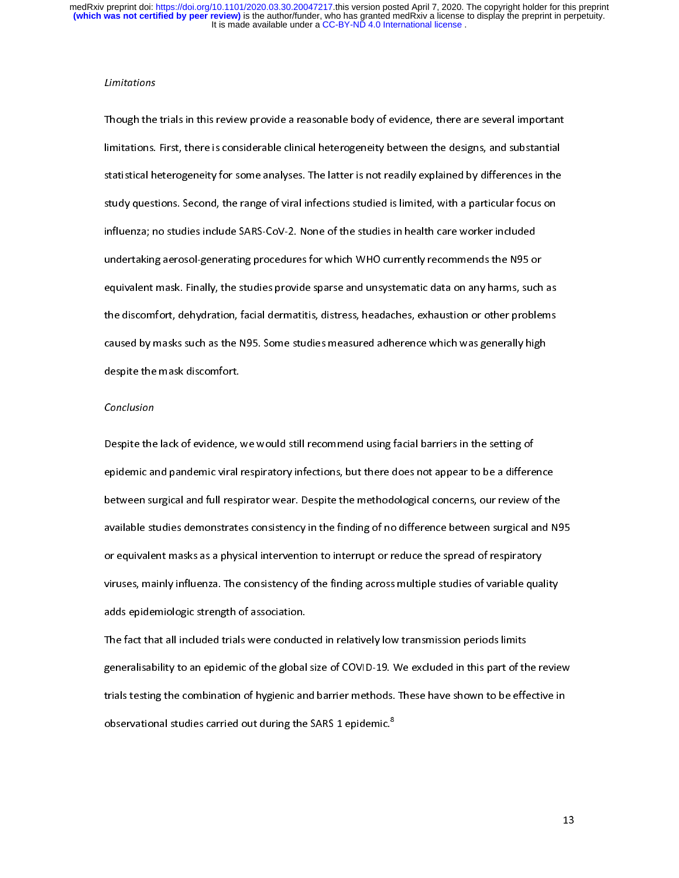### Limitations

Though the trials in this review provide a reasonable body of evidence, there are several important<br>limitations. First, there is considerable clinical heterogeneity between the designs, and substantial statistical heterogeneity for some analyses. The latter is not readily explained by differences in the study questions. Second, the range of viral infections studied is limited, with a particular focus on influenza; no studies include SARS-CoV-2. None of the studies in health care worker included undertaking aerosol-generating procedures for which WHO currently recommends the N95 or equivalent mask. Finally, the studies provide sparse and unsystematic data on any harms, such as the discomfort, dehydration, facial dermatitis, distress, headaches, exhaustion or other problems caused by masks such as the N95. Some studies measured adherence which was generally high cause of  $\mathcal{S}$  masks discomfort. despite the mask discontinuity of the mask discontinuity of the mask discontinuity of the mask discontinuity of the mask discontinuity of the mask discontinuity of the mask discontinuity of the mask discontinuity of the ma

### Conclusion

Despite the lack of evidence, we would still recommend using facial barriers in the setting of<br>epidemic and pandemic viral respiratory infections, but there does not appear to be a difference between surgical and full respirator wear. Despite the methodological concerns, our review of the available studies demonstrates consistency in the finding of no difference between surgical and N95 or equivalent masks as a physical intervention to interrupt or reduce the spread of respiratory viruses, mainly influenza. The consistency of the finding across multiple studies of variable quality adds epidemiologic strength of association.

The fact that all included trials were conducted in relatively low transmission periods limits generalisability to an epidemic of the global size of COVID-19. We excluded in this part of the review trials testing the combination of hygienic and barrier methods. These have shown to be effective in the combination of the combination of the computer  $\frac{1}{2}$  observational studies carried out during the SARS 1 epidemic. $^8$ observational studies carried out during the SARS 1 epidemic.8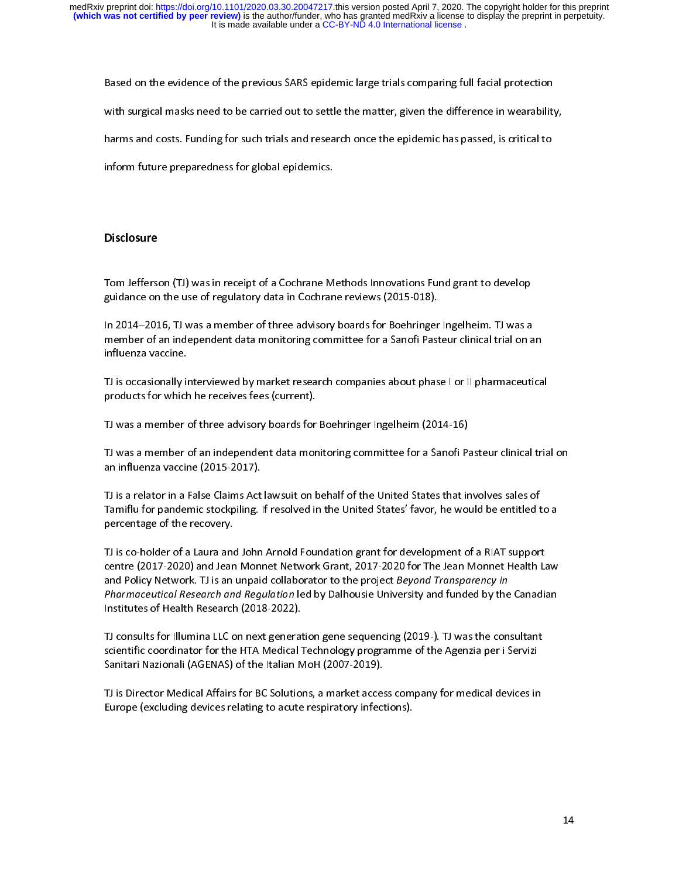Based on the evidence of the previous SARS epidemic large trials comparing full facial protection<br>with surgical masks need to be carried out to settle the matter, given the difference in wearability,

harms and costs. Funding for such trials and research once the epidemic has passed, is critical to

inform future preparedness for global epidemics. inform future preparedness for global epidemics.

## **Disclosure**

Tom Jefferson (TJ) was in receipt of a Cochrane Methods Innovations Fund grant to develop

In 2014-2016, TJ was a member of three advisory boards for Boehringer Ingelheim. TJ was a member of an independent data monitoring committee for a Sanofi Pasteur clinical trial on an<br>influenza vaccine.  $m_{\text{min}}$  influenza vaccine.

TJ is occasionally interviewed by market research companies about phase I or II pharmaceutical products for which he receives fees (current).

TJ was a member of three advisory boards for Boehringer Ingelheim  $(2014-16)$ .

TJ was a member of an independent data monitoring committee for a Sanofi Pasteur clinical trial on<br>an influenza vaccine (2015-2017).  $T$  an influenza vaccine (2015-2017).

TJ is a relator in a False Claims Act lawsuit on behalf of the United States that involves sales of Tamiflu for pandemic stockpiling. If resolved in the United States' favor, he would be entitled to a<br>percentage of the recovery. Taming to pandemic stockpiling. If resolved in the United States' favor, he would be entitled to a<br>percentage of the recovery.

TJ is co-holder of a Laura and John Arnold Foundation grant for development of a RIAT support centre (2017-2020) and Jean Monnet Network Grant, 2017-2020 for The Jean Monnet Health Law<br>and Policy Network. TJ is an unpaid collaborator to the project Beyond Transparency in and Policy Network. TJ is an unpaid collaborator to the project *Beyond Transparency in*<br>*Pharmaceutical Research and Regulation* led by Dalhousie University and funded by the Canadian and Policy Network. TJ is an unpaid collaborator to the project *Beyond Transparency in*<br>Pharmaceutical Research and Regulation led by Dalhousie University and funded by the<br>Institutes of Health Research (2018-2022). Institutes of Health Research (2018-2022).

TJ consults for Illumina LLC on next generation gene sequencing (2019-). TJ was the consultant scientific coordinator for the HTA Medical Technology programme of the Agenzia per i Servizi Sanitari Nazionali (AGENAS) of the Italian MoH (2007-2019).

TJ is Director Medical Affairs for BC Solutions, a market access company for medical devices in Europe (excluding devices relating to acute respiratory infections). Europe (excluding devices relating to acute respiratory infections).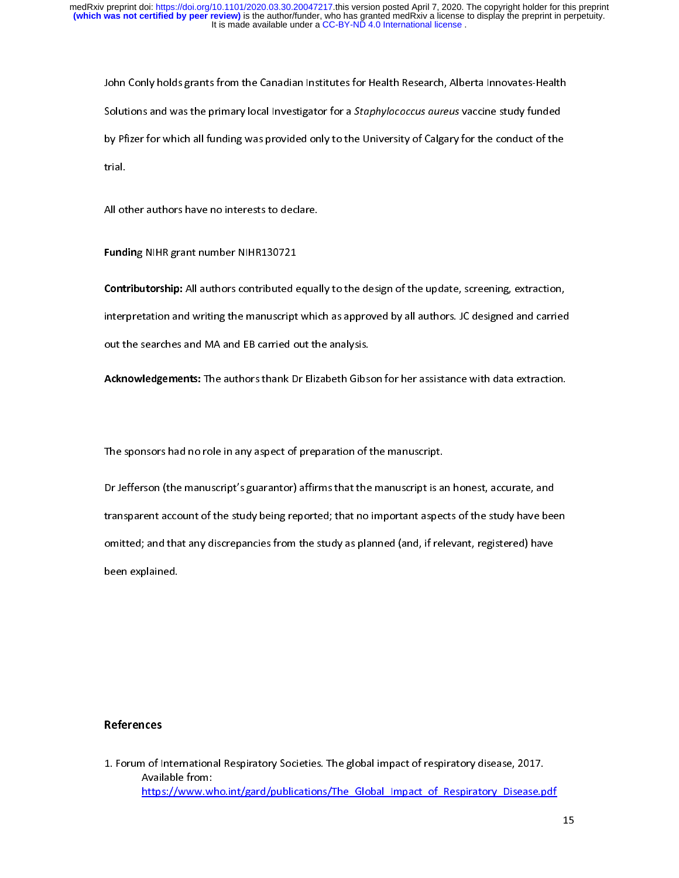John Conly holds grants from the Canadian Institutes for Health Research, Alberta Innovates-Health<br>Solutions and was the primary local Investigator for a *Staphylococcus aureus* vaccine study funded by Pfizer for which all funding was provided only to the University of Calgary for the conduct of the  $\begin{bmatrix} P_1 & P_2 & \cdots & P_n \end{bmatrix}$  for the University of  $\begin{bmatrix} P_1 & \cdots & P_n \end{bmatrix}$  for the conduct of the conduct of the conduct of the conduct of the conduct of the conduct of the conduct of the conduct of the conduct

**Fundin**g NIHR grant number NIHR130721<br>**Contributorship:** All authors contributed equally to the design of the update, screening, extraction, interpretation and writing the manuscript which as approved by all authors. JC designed and carried out the searches and MA and EB carried out the analysis.

out the searches and MA and EB carried out the analysis.<br>Acknowledge ments: The authors thank Dr Flizabeth Gibs Acknowledgements: The authors thank Dr Elizabeth Gibson for her assistance with data extraction.

l,

The sponsors had no role in any aspect of preparation of the manuscript.<br>Dr Jefferson (the manuscript's guarantor) affirms that the manuscript is an honest, accurate, and transparent account of the study being reported; that no important aspects of the study have been omitted; and that any discrepancies from the study as planned (and, if relevant, registered) have  $\alpha$  of any discrepancies from the study as planned (and, if  $\alpha$  if  $\alpha$  if  $\alpha$  if  $\alpha$  if  $\alpha$  if  $\alpha$  if  $\alpha$  if  $\alpha$  if  $\alpha$  if  $\alpha$  if  $\alpha$  if  $\alpha$  if  $\alpha$  if  $\alpha$  if  $\alpha$  if  $\alpha$  if  $\alpha$  if  $\alpha$  if  $\alpha$  if  $\alpha$  if been explained.

Available from:<br>https://www.who.int/gard/publications/The Global Impact of Respiratory Disease.p https://www.w https://www.who.int/gard/publications/The\_Global\_Impact\_of\_Respiratory\_Disease.pdf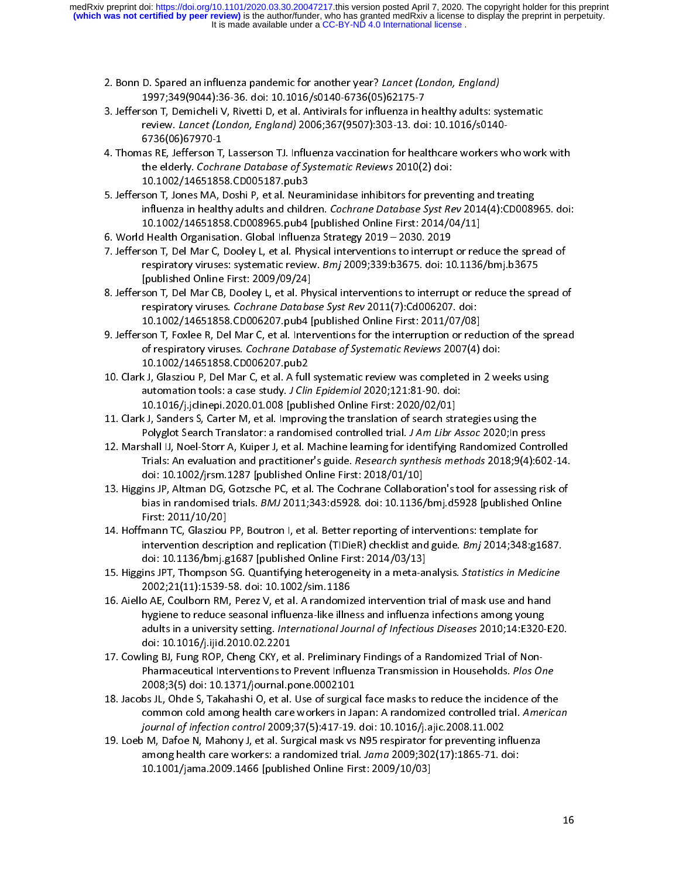- 2. Bonn D. Spared an influenza pandemic for another year? Lancet (London, England)<br>1997;349(9044):36-36. doi: 10.1016/s0140-6736(05)62175-7<br>3. Jefferson T, Demicheli V, Rivetti D, et al. Antivirals for influenza in healthy
- son T, Demicheli V, Rivetti D, et al. Antivirals for influenza in h<br>review. *Lancet (London, England)* 2006;367(9507):303-13. doi review. *Lancet (London, England)* 2006;367(9507):303-13. doi: 10.1016/s0140-<br>6736(06)67970-1 review. *Lancet (London, England) 2*000,367(3307):303-13. doi: 10.1010/s0140-<br>6736(06)67970-1<br>as RE, Jefferson T, Lasserson TJ. Influenza vaccination for healthcare workers w
- as RE, Jefferson T,<br>the elderly. *Cochr* the elderly. Cochrane Database of Systematic Reviews 2010(2) doi:<br>10.1002/14651858.CD005187.pub3 the elderly. Cochrane Database of Systematic Reviews 2010(2) doi:<br>10.1002/14651858.CD005187.pub3<br>son T, Jones MA, Doshi P, et al. Neuraminidase inhibitors for prever
- son T, Jones MA, Doshi P, et al. Neur<br>influenza in healthy adults and childi influenza in healthy adults and children. *Cochrane Database Syst Rev* 2014(4):CD008965. doi:<br>10.1002/14651858.CD008965.pub4 [published Online First: 2014/04/11]<br>6. World Health Organisation. Global Influenza Strategy 2019 10.1002/14651858. CD008965. pub4 [published Online First: 2014/04/11]
- 
- 1 Health Organisation. Global Influenza Strategy 2019 2030. 2019<br>son T, Del Mar C, Dooley L, et al. Physical interventions to interrupt or red France Health Organisation. Global International Influence of Texts.<br>7. Jefferson T, Del Mar C, Dooley L, et al. Physical interventions to interrupt<br>8. respiratory viruses: systematic review. *Bmj* 2009;339:b3675. doi: 10 respiratory viruses: systematic review. *Bmj* 2009;339:b3675. doi: 10.1136/bmj.b3675<br>[published Online First: 2009/09/24] respiratory viruses: systematic review. *Bmj* 2009;339:b3679: doi: 10.1136/bmj.b3675<br>[published Online First: 2009/09/24]<br>son T, Del Mar CB, Dooley L, et al. Physical interventions to interrupt or reduce the spi
- published Online First: 2009<br>Son T, Del Mar CB, Dooley L, et al. Phy<br>respiratory viruses. *Cochrane Databa* respiratory viruses. *Cochrane Database Syst Rev* 2011(7):Cd006207. doi:<br>10.1002/14651858.CD006207.pub4 [published Online First: 2011/07/08]
- respiratory viruses. Cocinume Dutabase Syst Rev 2011(7):Cd000207: doi:<br>10.1002/14651858.CD006207.pub4 [published Online First: 2011/07/08]<br>son T, Foxlee R, Del Mar C, et al. Interventions for the interruption or red son T, Foxlee R, Del Mar C, et al. Interventions for the interruption or redu<br>of respiratory viruses. *Cochrane Database of Systematic Reviews* 2007(4) of respiratory viruses. *Cochrane Database of Systematic Reviews* 2007(4) doi:<br>10.1002/14651858.CD006207.pub2
- 10. Clark J, Glasziou P, Del Mar C, et al. A full systematic review was completed in 2 weeks using 10.1002/14651858.CD006207.pub2 automation tools: a case study. *J Clin Epidemiol* 2020;121:81-90. doi:<br>10.1016/j.jclinepi.2020.01.008 [published Online First: 2020/02/01]
- automation tools: a case study. J C*lin Epidemiol 2020*,121:01-90. doi:<br>10.1016/j.jclinepi.2020.01.008 [published Online First: 2020/02/01]<br>< J, Sanders S, Carter M, et al. Improving the translation of search stra 10.1016/j.jclinepi.2020.01.008 [published Online First: 2020/02/01] و Polyglot Search Translator: a randomised controlled trial. *J Am Libr Assoc* 2020;In pres<br>12. Marshall IJ, Noel-Storr A, Kuiper J, et al. Machine learning for identifying Randomized Cont
- Polygiot Search Translator: a randomised controlled trial. *J Am Libr Assoc 2020*;In press<br>Shall IJ, Noel-Storr A, Kuiper J, et al. Machine learning for identifying Randomized Contro<br>Trials: An evaluation and practitioner' Trials: An evaluation and practitioner's guide. *Research synthesis methods* 2018;9(4):602-14.<br>doi: 10.1002/jrsm.1287 [published Online First: 2018/01/10] Trials: An evaluation and practitioner's guide. *Research synthesis methods* 2018;9(4):602-14.<br>doi: 10.1002/jrsm.1287 [published Online First: 2018/01/10]<br>ins JP, Altman DG, Gotzsche PC, et al. The Cochrane Collaboration's
- doi: 13. Higgins JP, Altman DG, Gotzsche PC, et al. The Cochrane Collaboration's tool for assessing risk of<br>bias in randomised trials. *BMJ* 2011;343:d5928. doi: 10.1136/bmj.d5928 [published Online<br>First: 2011/10/20] bias in randomised trials. *BMJ* 2011;343:d5928. doi: 10.1136/bmj.d5928 [published Online<br>First: 2011/10/20]<br>mann TC, Glasziou PP, Boutron I, et al. Better reporting of interventions: template for
- mann TC, Glasziou<br>intervention descri intervention description and replication (TIDieR) checklist and guide. *Bmj* 2014;348:g1687.<br>doi: 10.1136/bmj.g1687 [published Online First: 2014/03/13] intervention description and replication (TIDIER) checklist and guide. Bmj 2014,348:g1687.<br>doi: 10.1136/bmj.g1687 [published Online First: 2014/03/13]<br>ins JPT, Thompson SG. Quantifying heterogeneity in a meta-analysis. *St*
- doi: 10.11367, published online First: 2014/03/13/13/13<br>ins JPT, Thompson SG. Quantifying heterogeneity in a meta-ar<br>2002;21(11):1539-58. doi: 10.1002/sim.1186 2002;21(11):1539-58. doi: 10.1002/sim.1186<br>16. Aiello AE, Coulborn RM, Perez V, et al. A randomized intervention trial of mask use and hand
- hygiene to reduce seasonal influenza-like illness and influenza infections among young 16. And the AF, Coulomb AT, Andrew M, Perez V, et al. A randomized influenza infections among young<br>hygiene to reduce seasonal influenza-like illness and influenza infections among young<br>adults in a university setting. Int hygiene to reduce seasonal influence seasonal influence seasonal influence in the influence seasonal influenza<br>adults in a university setting. *International Journal of Infectious Diseases* 2010;14:E320-<br>doi: 10.1016/j.iji doi: 10.1016/j.ijid. 2010.02.2201<br>17. Cowling BJ, Fung ROP, Cheng CKY, et al. Preliminary Findings of a Randomized Trial of Non-
- Pharmaceutical Interventions to Prevent Influenza Transmission in Households. Plos One 2008; 3(5) doi: 10.1371/journal. pone. 0002101
- 18. Jacobs JL, Ohde S, Takahashi O, et al. Use of surgical face masks to reduce the incidence of the bs JL, Ohde S, Takahashi O, et al. Use of surgica<br>common cold among health care workers in Ja 18. 18. Jacobs Julian 18. Jacobs Julian 18. Jacobs Julian 18. Japan: A randomized controlled trial. America<br>18. Japan: A randomized controlled trial. America<br>18. journal of infection control 2009;37(5):417-19. doi: 10.1016 common cold among health care workers in Japan: A randomized controlled trial. American<br>journal of infection control 2009;37(5):417-19. doi: 10.1016/j.ajic.2008.11.002<br>M, Dafoe N, Mahony J, et al. Surgical mask vs N95 resp
- journal of infection control 2009;37(9):417-19. doi: 10.1010f);ajic.2000.11.002<br>DM, Dafoe N, Mahony J, et al. Surgical mask vs N95 respirator for preventing in<br>among health care workers: a randomized trial. *Jama* 2009;302 among health care workers: a randomized trial. Jama 2009;302(17):1865-71. doi: 10.1001/jama. 2009. 1466 [published Online First: 2009/10/03] 10.1001/jama.2009.1466 [published Online First: 2009/10/03]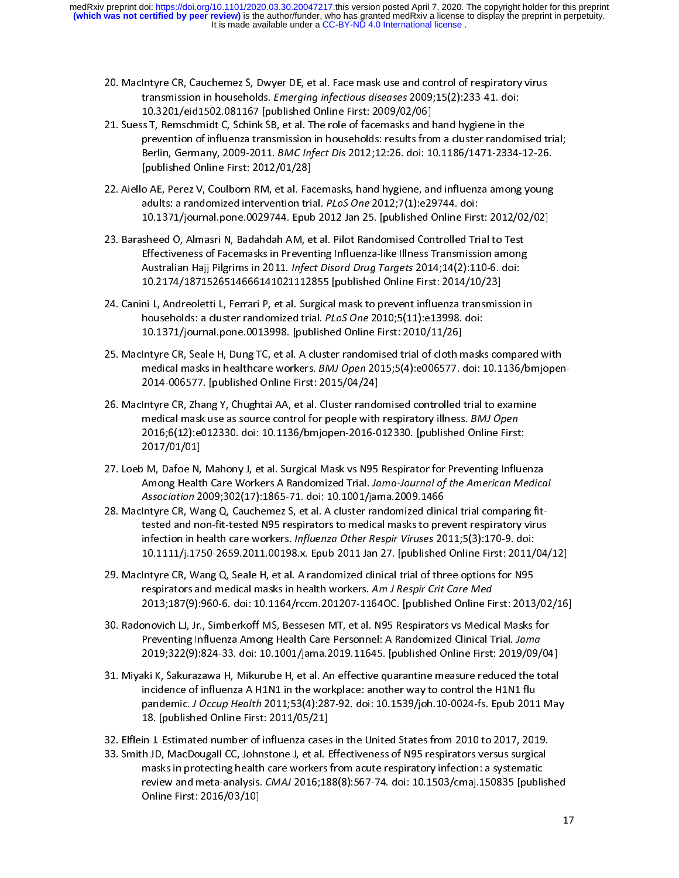- 20. MacIntyre CR, Cauchemez S, Dwyer DE, et al. Face mask use and control of respiratory virus<br>transmission in households. *Emerging infectious diseases* 2009;15(2):233-41. doi:<br>10.3201/eid1502.081167 [published Online Fir
- 21. Suess T, Remschmidt C, Schink SB, et al. The role of facemasks and hand hygiene in the prevention of influenza transmission in households: results from a cluster randomised trial; 21. Superior C, Alexandrian C, Schmidt C, Schink SB, Schwarzen and Special Servention of influenza transmission in households: results from a cluster randomis<br>Berlin, Germany, 2009-2011. *BMC Infect Dis* 2012;12:26. doi: 1 .<br>Berlin, Germany, 2009-2011. *BMC Infect Dis* 2012;12:26. doi: 10.1186/1471-2334-12-26.<br>[published Online First: 2012/01/28] Berlin, Germany, 2009-2011. BMC Infect Dis 2012,12:26. doi: 10.1180/1471-2334-12-26.<br>[published Online First: 2012/01/28]<br>0.AE. Perez V. Coulborn RM, et al. Eacemasks, band bygiene, and influenza among young.
- . .<br>o AE, Perez V, Coulborn RM, et al. Fac<br>adults: a randomized intervention tri adults: a randomized intervention trial. *PLoS One* 2012;7(1):e29744. doi:<br>10.1371/journal.pone.0029744. Epub 2012 Jan 25. [published Online First: 2012/02/02] adults: a randomized intervention trial. PLOS One 2012, 7(1):e29744. doi:<br>10.1371/journal.pone.0029744. Epub 2012 Jan 25. [published Online Firs<br>sheed O. Almasri N. Badabdab AM, et al. Pilot Bandomised Controlled Tri
- 10.13. Barasheed O, Almasri N, Badahdah AM, et al. Pilot Randomised Controlled Trial to Test<br>Effectiveness of Facemasks in Preventing Influenza-like Illness Transmission among Effectiveness of Facemasks in Preventing Influenza-like Illness Transmission among<br>Australian Hajj Pilgrims in 2011. *Infect Disord Drug Targets* 2014;14(2):110-6. doi: Effectiveness of Facemasking Indian Constrainers of Facemasks in Prevention Hajj Pilgrims in 2011. *Infect Disord Drug Targets* 2014;14(2):110-6. doi:<br>10.2174/1871526514666141021112855 [published Online First: 2014/10/23] 10.2174/1871526514666141021112855 [published Online First: 2014/10/23]
- 24. Canini L, Andreoletti L, Ferrari P, et al. Surgical mask to prevent influenza transmission in households: a cluster randomized trial. PLoS One 2010;5(11):e13998. doi: 10.1371/journal.pone.0013998. [published Online First: 2010/11/26]
- 25. MacIntyre CR, Seale H, Dung TC, et al. A cluster randomised trial of cloth masks compared with medical masks in healthcare workers. *BMJ Open* 2015;5(4):e006577. doi: 10.1136/bmjopen-<br>2014-006577. [published Online First: 2015/04/24] medical masks in healthcare workers. *BMJ Open 2015;*5(4):e006577. doi: 10.1136/bmjopen-<br>2014-006577. [published Online First: 2015/04/24]<br>Intyre CR. Zbang X. Chughtai AA, et al. Cluster randomised controlled trial to exam
- 2021-006677. [published Online First: 2027-07-24]<br>Intyre CR, Zhang Y, Chughtai AA, et al. Cluster rando<br>medical mask use as source control for neonle with medical mask use as source control for people with respiratory illness. *BMJ Open*<br>2016;6(12):e012330. doi: 10.1136/bmjopen-2016-012330. [published Online First: medical mask use as source control for people with respiratory illness. *BMJ Open*<br>2016;6(12):e012330. doi: 10.1136/bmjopen-2016-012330. [published Online First<br>2017/01/01] 2017/01/01]<br>M. Dafoe N. Maheny Let al. Surgical Mask vs. N95 Bespirator for Proventing Influe
- ر<br>2017 M, Dafoe N<br>2011 Among Healt Among Health Care Workers A Randomized Trial. *Jama-Journal of the American Medical*<br>*Association* 2009;302(17):1865-71. doi: 10.1001/jama.2009.1466 Among Health Care Workers A Randomized Thai. J*ama-Journal of the American Medical*<br>Association 2009;302(17):1865-71. doi: 10.1001/jama.2009.1466<br>Intyre CR, Wang Q, Cauchemez S, et al. A cluster randomized clinical trial c
- Association 2009;302(17):1865-71. doi: 10.1001/jama.2009.1466<br>Intyre CR, Wang Q, Cauchemez S, et al. A cluster randomized clini<br>tested and non-fit-tested N95 respirators to medical masks to pre infection in health care workers. *Influenza Other Respir Viruses* 2011;5(3):170-9. doi:<br>10.1111/j.1750-2659.2011.00198.x. Epub 2011 Jan 27. [published Online First: 2011/04, 10.1111/j.1750-2659.2011.00198.x. Epub 2011 Jan 27. [published Online First: 2011/04/12]
- 29. Macintyre CR, Wang Q, Seale H, et al. A randomized clinical trial of three options for N95<br>respirators and medical masks in health workers. Am J Respir Crit Care Med respirators and medical masks in health workers. Am J Respir Crit Care Med<br>2013;187(9):960-6. doi: 10.1164/rccm.201207-1164OC. [published Online First: 2013 respirators and medical masks in health workers. Am J Respir Ent Care Medi<br>2013;187(9):960-6. doi: 10.1164/rccm.201207-1164OC. [published Online Fi<br>2003:01 J.E. Simberkoff MS. Bessesen MT. et al. N95 Bespirators vs Medici
- 30. Radonovich LJ, Jr., Simberkoff MS, Bessesen MT, et al. N95 Respirators vs Medical Masks for Preventing Influenza Among Health Care Personnel: A Randomized Clinical Trial. Jama 2019;322(9):824-33. doi: 10.1001/jama.2019.11645. [published Online First: 2019/09/04]
- 31. Miyaki K, Sakurazawa H, Mikurube H, et al. An effective quarantine measure reduced the total incidence of influenza A H1N1 in the workplace: another way to control the H1N1 flu<br>pandemic. *J Occup Health* 2011;53(4):287-92. doi: 10.1539/joh.10-0024-fs. Epub 201<br>18. [published Online First: 2011/05/21] pandemic. J Occup Health 2011;53(4):287-92. doi: 10.1539/joh.10-0024-fs. Epub 2011 May pandemic. J Occup Health 2011,33(4):287-92. doi: 10.1535/joh.10-0024-is. Epub 2011 May<br>18. [published Online First: 2011/05/21]<br>in L Estimated number of influenza cases in the United States from 2010 to 2017, 2019
- 18. In the American State Construction of influenza cases<br>h ID MacDouralLCC Johnstone Let al. E
- 33. Smith JD, MacDougall CC, Johnstone J, et al. Effectiveness of N95 respirators versus surgical masks in protecting health care workers from acute respiratory infection: a systematic<br>review and meta-analysis. *CMAJ* 2016;188(8):567-74. doi: 10.1503/cmaj.150835 [publi:<br>Online First: 2016/03/10] review and meta-analysis.  $CMAJ$  2016;188(8):567-74. doi: 10.1503/cmaj.150835 [published review and meta-analysis. CMAJ 2016;188(8):567-74. doi: 10.1503/cmaj.150835 [published]<br>Online First: 2016/03/10] Online First: 2016/03/10]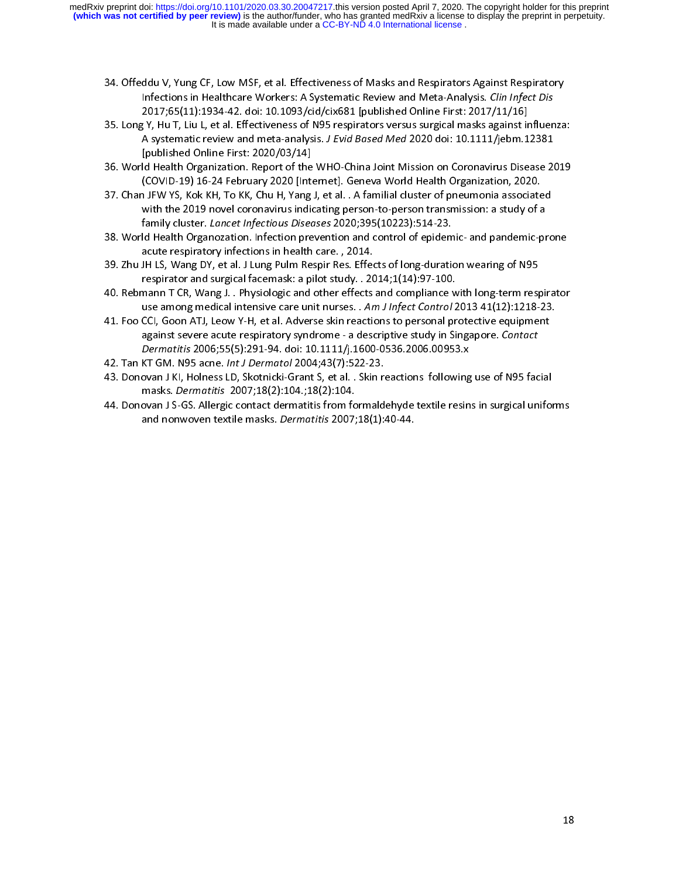- 34. Offeddu V, Yung CF, Low MSF, et al. Effectiveness of Masks and Respirators Against Respiratory<br>Infections in Healthcare Workers: A Systematic Review and Meta-Analysis. *Clin Infect Dis*<br>2017;65(11):1934-42. doi: 10.109
- 35. Long Y, Hu T, Liu L, et al. Effectiveness of N95 respirators versus surgical masks against influenza: ; Y, Hu T, Liu L, et al. Effectiveness of N95 respirators versus surgical masks against ir<br>A systematic review and meta-analysis. *J Evid Based Med* 2020 doi: 10.1111/jebm.1 35. Long Y, Hu T, Liu J, Liu L, et al. Effectiveness of New York Prespirators of Apple Influences and New York<br>A systematic review and meta-analysis. *J Evid Based Med* 2020 doi: 10.1111/jebm.12381<br>[published Online First: A systematic review and meta-analysis. J *Evid Based Med 2020 doi: 10.1111/jebm.123*01<br>[published Online First: 2020/03/14]<br>ld Health Organization. Report of the WHO-China Joint Mission on Coronavirus Disease 2(
- (Published Organization: 2021, 2020)<br>|d Health Organization: Report of the<br>(COVID-19) 16-24 February 2020 [Inte 36. A 1996. World Health Organization. (COVID-19) 16-24 February 2020 [Internet]. Geneva World Health Organization, 2020.<br>37. Chan JFW YS, Kok KH, To KK, Chu H, Yang J, et al. . A familial cluster of pneumonia associated
- ,<br>1 JFW YS, Kok KH, To KK, Chu H, Yang J, et al. . A familial cluster of pneumonia associate<br>with the 2019 novel coronavirus indicating person-to-person transmission: a study of a with the 2019 novel coronavirus indicating person-to-person transmission: a study of a<br>family cluster. *Lancet Infectious Diseases* 2020;395(10223):514-23. family cluster. *Lancet Infectious Diseases* 2020;395(10223):514-23.<br>Id Health Organozation. Infection prevention and control of epidemic- and pandemic-pr
- family cluster. Lancet Infectious Diseases 2020,395(10223):314-23.<br>Id Health Organozation. Infection prevention and control of epidem<br>acute respiratory infections in health care. , 2014. acute respiratory infections in health care. , 2014.<br>39. Zhu JH LS, Wang DY, et al. J Lung Pulm Respir Res. Effects of long-duration wearing of N95
- respirator and surgical facemask: a pilot study. . 2014;1(14):97-100. ي - respirator and surgical facemask: a pilot study. . 2014;1(14):97-100.<br>40. Rebmann T CR, Wang J. . Physiologic and other effects and compliance with long-term resp
- respirator and surface matrix and processing processing the surface when TCR, Wang J. . Physiologic and other effects and compliance w<br>use among medical intensive care unit nurses. . Am J Infect Control 2 use among medical intensive care unit nurses. . Am J Infect Control 2013 41(12):1218-23.<br>41. Foo CCI, Goon ATJ, Leow Y-H, et al. Adverse skin reactions to personal protective equipment
- use among medical intensive care unit nurses. *Thin 3 mject control* 2013 41(12):1216-23.<br>CCI, Goon ATJ, Leow Y-H, et al. Adverse skin reactions to personal protective equipment<br>against severe acute respiratory syndrome against severe acute respiratory syndrome - a descriptive study in Singapore. Contact<br>Dermatitis 2006;55(5):291-94. doi: 10.1111/j.1600-0536.2006.00953.x Dermatitis 2006;55(5):291-94. doi: 10.1111/j.1600-0536.2006.00953.x<br>42. Tan KT GM. N95 acne. *Int J Dermatol* 2004;43(7):522-23.
- 
- Dermatitis 2006,35(5):251-54. doi: 10.1111/j.1600-0536.2006.00535.x<br>KT GM. N95 acne. *Int J Dermatol* 2004;43(7):522-23.<br>ovan J KI, Holness LD, Skotnicki-Grant S, et al. . Skin reactions following 42. Tan KT GM. N99 ache. *Int J Bermator 2004*;43(7):322-23.<br>43. Donovan J KI, Holness LD, Skotnicki-Grant S, et al. . Skin re<br>masks. *Dermatitis* 2007;18(2):104.;18(2):104. masks. *Dermatitis* 2007;18(2):104.;18(2):104.<br>44. Donovan J S-GS. Allergic contact dermatitis from formaldehyde textile resins in surgical unifor
- masks. Dermatitis 2007;10(2):104.;10(2):104.<br>ovan J S-GS. Allergic contact dermatitis from fo<br>and nonwoven textile masks. *Dermatitis* 2007; and nonwoven textile masks. Dermatitis 2007;18(1):40-44. and nonwoven textile masks. Dermatitis 2007;18(1):40-44.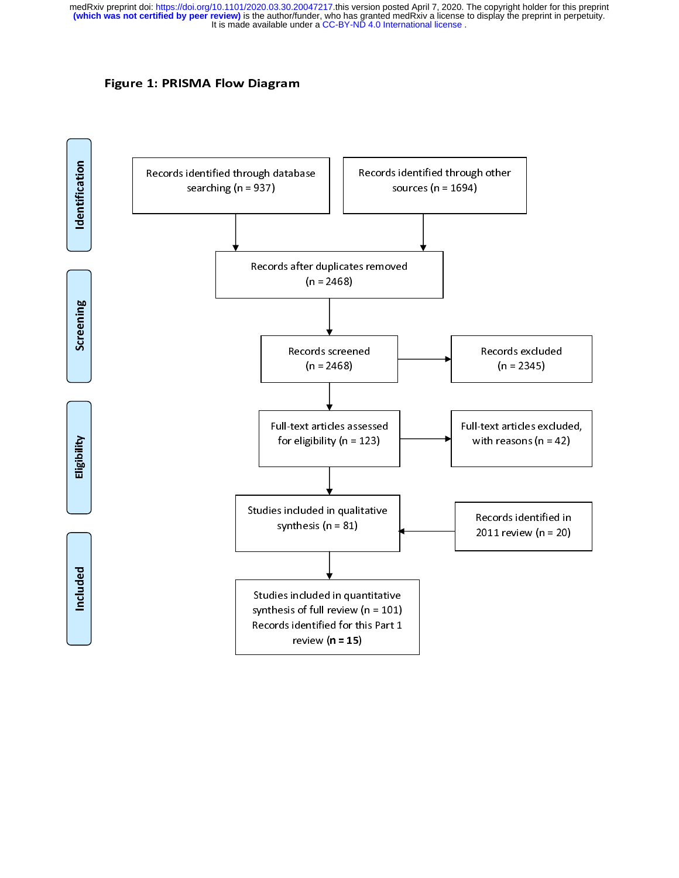## Figure 1: PRISMA Flow Diagram

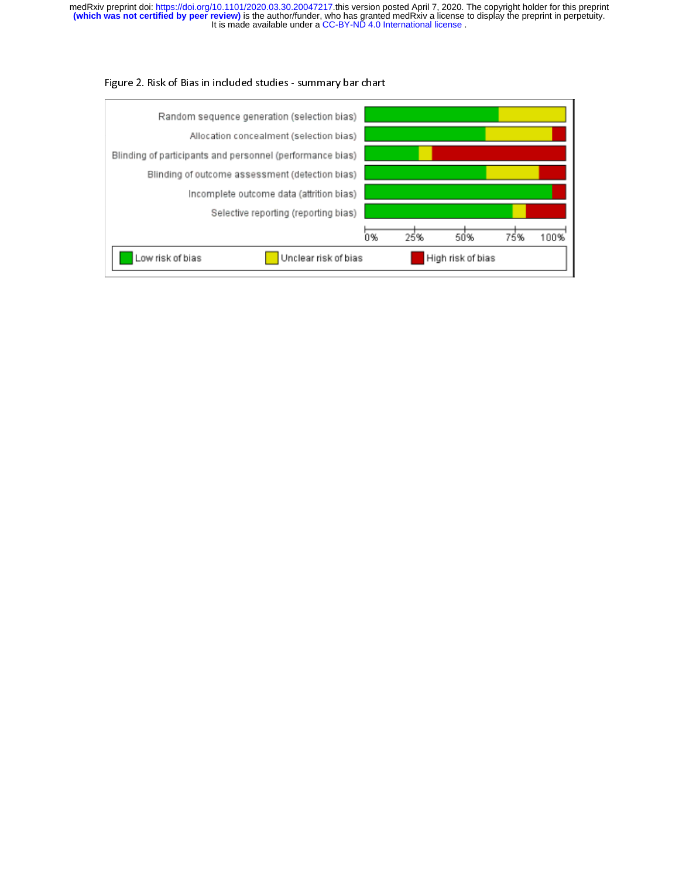## Figure 2. Risk of Bias in included studies - summary bar chart

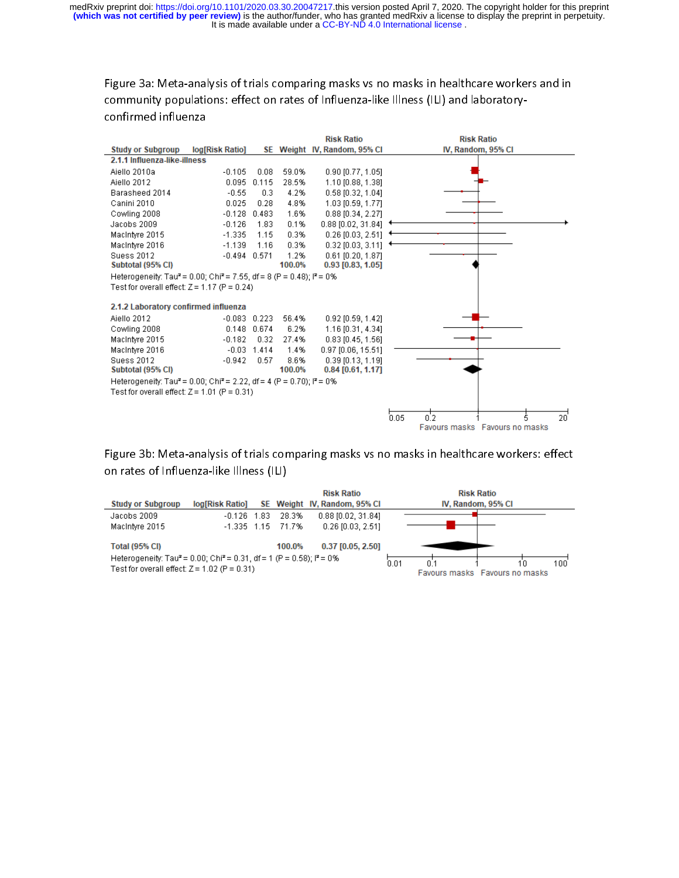Figure 3a: Meta-analysis of trials comparing masks vs no masks in healthcare workers and in community populations: effect on rates of Influenza-like Illness (ILI) and laboratoryconfirmed influenza



Figure 3b: Meta-analysis of trials comparing masks vs no masks in healthcare workers: effect on rates of Influenza-like Illness (ILI)

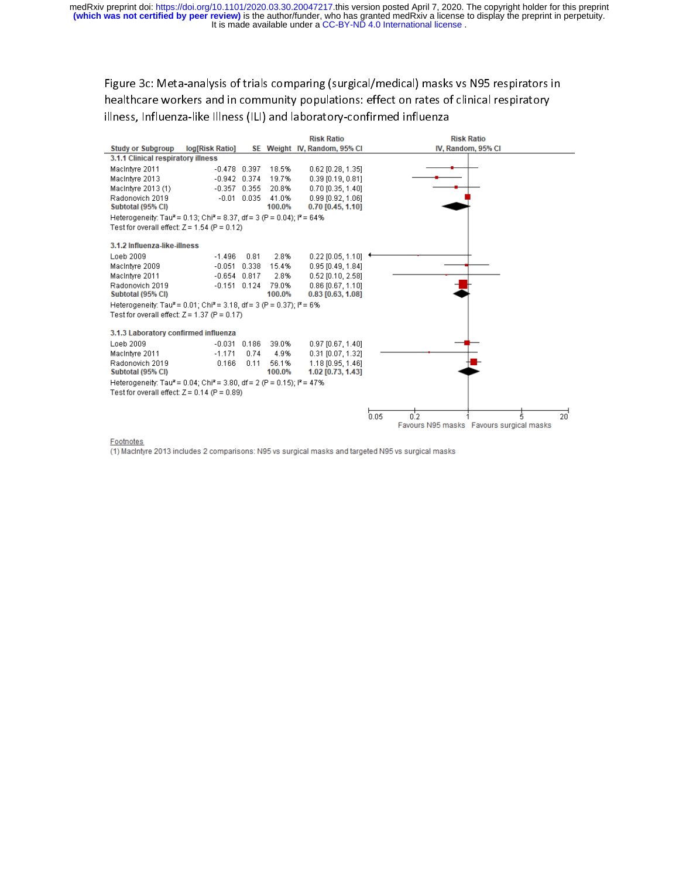Figure 3c: Meta-analysis of trials comparing (surgical/medical) masks vs N95 respirators in healthcare workers and in community populations: effect on rates of clinical respiratory illness, Influenza-like Illness (ILI) and laboratory-confirmed influenza



### **Footnotes**

(1) MacIntyre 2013 includes 2 comparisons: N95 vs surgical masks and targeted N95 vs surgical masks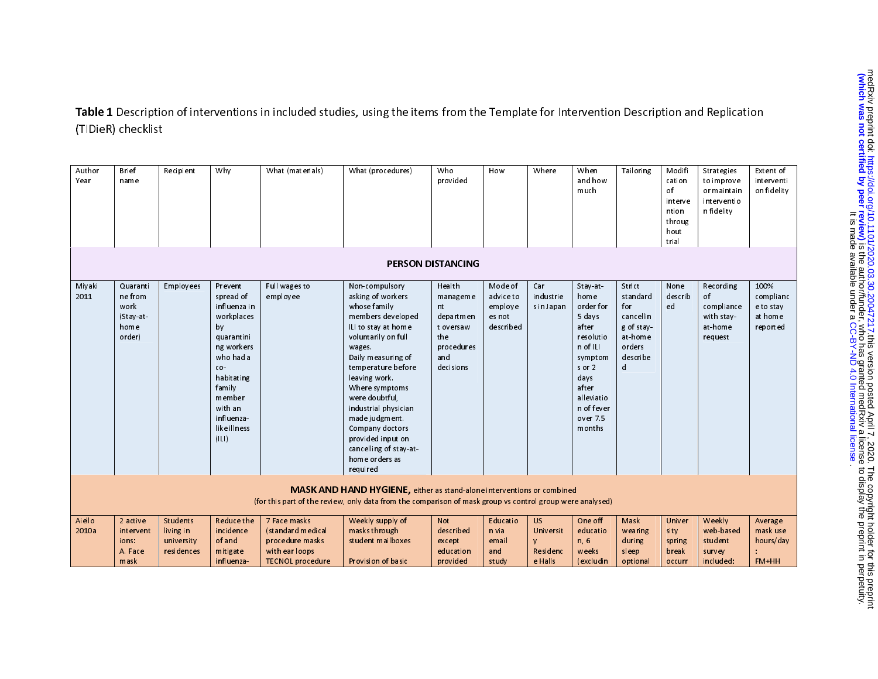Table 1 Description of interventions in included studies, using the items from the Template for Intervention Description and Replication (TIDieR) checklist

| Author<br>Year  | Brief<br>name                                             | Recipient                                         | Why                                                                                                                                                                                         | What (materials)                                                                                  | What (procedures)                                                                                                                                                                                                                                                                                                                                                           | Who<br>provided                                                                             | How                                                    | Where                                        | When<br>andhow<br>much                                                                                                                                           | Tailoring                                                                                  | Modifi<br>cation<br>of<br>interve<br>ntion<br>throug<br>hout<br>trial | Strategies<br>to improve<br>or maintain<br>interventio<br>n fidelity | Extent of<br>interventi<br>on fidelity                |
|-----------------|-----------------------------------------------------------|---------------------------------------------------|---------------------------------------------------------------------------------------------------------------------------------------------------------------------------------------------|---------------------------------------------------------------------------------------------------|-----------------------------------------------------------------------------------------------------------------------------------------------------------------------------------------------------------------------------------------------------------------------------------------------------------------------------------------------------------------------------|---------------------------------------------------------------------------------------------|--------------------------------------------------------|----------------------------------------------|------------------------------------------------------------------------------------------------------------------------------------------------------------------|--------------------------------------------------------------------------------------------|-----------------------------------------------------------------------|----------------------------------------------------------------------|-------------------------------------------------------|
|                 |                                                           |                                                   |                                                                                                                                                                                             |                                                                                                   |                                                                                                                                                                                                                                                                                                                                                                             | <b>PERSON DISTANCING</b>                                                                    |                                                        |                                              |                                                                                                                                                                  |                                                                                            |                                                                       |                                                                      |                                                       |
| Miyaki<br>2011  | Quaranti<br>ne from<br>work<br>(Stay at<br>home<br>order) | Employees                                         | Prevent<br>spread of<br>influenza in<br>workplaces<br>by<br>quarantini<br>ng workers<br>who had a<br>co-<br>habitating<br>family<br>member<br>with an<br>influenza<br>like illness<br>( L ) | Full wagesto<br>employee                                                                          | Non-compulsory<br>asking of workers<br>whose family<br>members developed<br>ILI to stay at home<br>voluntarily on full<br>wages.<br>Daily measuring of<br>temperature before<br>leaving work.<br>Where symptoms<br>were doubtful,<br>industrial physician<br>made judgment.<br>Company doctors<br>provided input on<br>cancelling of stay-at-<br>home orders as<br>required | Health<br>manageme<br>nt<br>departmen<br>t oversaw<br>the<br>procedures<br>and<br>decisions | Mode of<br>advice to<br>employe<br>es not<br>described | Car<br>industrie<br>s in Japan               | Stay at<br>home<br>order for<br>5 days<br>after<br>resolutio<br>n of ILI<br>symptom<br>s or 2<br>days<br>after<br>alleviatio<br>n of fever<br>over 7.5<br>months | Strict<br>standard<br>for<br>cancellin<br>g of stay-<br>at home<br>orders<br>describe<br>d | None<br>describ<br>ed                                                 | Recording<br>of<br>compliance<br>with stay-<br>at home<br>request    | 100%<br>complianc<br>e to stay<br>at home<br>reported |
|                 |                                                           |                                                   |                                                                                                                                                                                             |                                                                                                   | <b>MASK AND HAND HYGIENE</b> , either as stand-alone interventions or combined<br>(for this part of the review, only data from the comparison of mask group vs control group were analysed)                                                                                                                                                                                 |                                                                                             |                                                        |                                              |                                                                                                                                                                  |                                                                                            |                                                                       |                                                                      |                                                       |
| Aiello<br>2010a | 2 active<br>intervent<br>ions:<br>A. Face<br>mask         | Students<br>living in<br>university<br>residences | <b>Reduce the</b><br>incidence<br>of and<br>mitigate<br>influenza                                                                                                                           | 7 Face masks<br>(standard medical<br>procedure masks<br>with ear loops<br><b>TECNOL</b> procedure | Weekly supply of<br>masks through<br>student mailboxes<br>Provision of basic                                                                                                                                                                                                                                                                                                | <b>Not</b><br>described<br>except<br>education<br>provided                                  | <b>Educatio</b><br>n via<br>email<br>and<br>study      | US.<br>Universit<br>٧<br>Residenc<br>e Halls | One off<br>educatio<br>n, 6<br>weeks<br>(excludin                                                                                                                | Mask<br>wearing<br>during<br>sleep<br>optional                                             | Univer<br>sity<br>spring<br>break<br>occurr                           | Weekly<br>web based<br>student<br>survey<br>included:                | Average<br>mask use<br>hours/day<br>FM+HH             |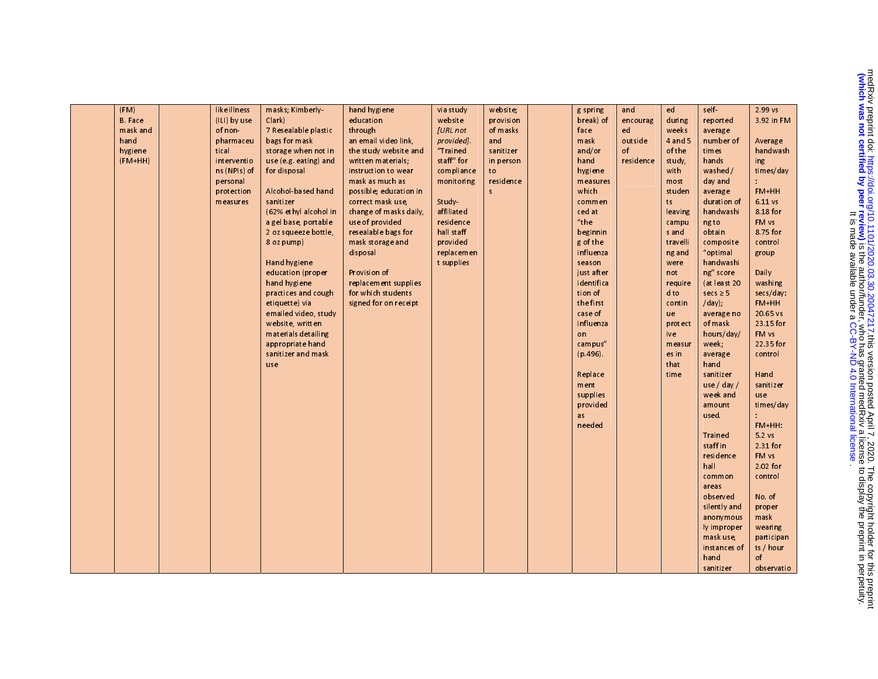| (FM)           | like illness | masks; Kimberly-      | hand hygiene           | via study                | website;  | g spring            | and       | ed             | self                  | 2.99 vs    |
|----------------|--------------|-----------------------|------------------------|--------------------------|-----------|---------------------|-----------|----------------|-----------------------|------------|
| <b>B.</b> Face | (ILI) by use | Clark                 | education              | website                  | provision | break) of           | encourag  | during         | report ed             | 3.92 in FM |
| mask and       | of non-      | 7 Resealable plastic  | through                | [URL not                 | of masks  | face                | ed        | weeks          | average               |            |
| hand           | pharmaceu    | bags for mask         | an email video link,   | provided]                | and       | mask                | outside   | 4 and 5        | number of             | Average    |
| hygiene        | tical        | storage when not in   | the study website and  | "Trained                 | sanitizer | and/or              | of        | of the         | times                 | handwash   |
| $(FM+HH)$      | interventio  | use (e.g. eating) and | written materials;     | staff" for               | in person | hand                | residence | study,         | hands                 | ing        |
|                | ns (NPIs) of | for disposal          | instruction to wear    | compliance               | to        | hygiene             |           | with           | washed /              | times/day  |
|                | personal     |                       | mask as much as        | monitoring               | residence | measures            |           | most           | day and               |            |
|                | protection   | Alcohol-based hand    | possible; education in |                          | s.        | which               |           | studen         | average               | FM+HH      |
|                | measures     | sanitizer             | correct mask use,      | Study                    |           | commen              |           | ts             | duration of           | 6.11 vs    |
|                |              | (62% ethyl alcohol in | change of masks daily, | affiliated               |           | ced at              |           | leaving        | handwashi             | 8.18 for   |
|                |              | a gel base, portable  | use of provided        | residence                |           | $"$ the             |           | campu          | ng to                 | FM vs      |
|                |              | 2 oz squeeze bottle,  | resealable bags for    | hall staff               |           | beginnin            |           | s and          | obtain                | 8.75 for   |
|                |              | 8 oz pump)            | mask storage and       | provided                 |           | g of the            |           | travelli       | composite             | control    |
|                |              | Hand hygiene          | disposal               | replacemen<br>t supplies |           | influenza<br>season |           | ng and<br>were | "optimal<br>handwashi | group      |
|                |              | education (proper     | Provision of           |                          |           | just after          |           | not            | ng" score             | Daily      |
|                |              | hand hygiene          | replacement supplies   |                          |           | identifica          |           | require        | (at least 20          | washing    |
|                |              | practices and cough   | for which students     |                          |           | tion of             |           | dto            | secs $\geq$ 5         | secs/day:  |
|                |              | etiquette) via        | signed for on receipt  |                          |           | the first           |           | contin         | $/day)$ ;             | FM+HH      |
|                |              | emailed video, study  |                        |                          |           | case of             |           | ue             | average no            | 20.65 vs   |
|                |              | website, written      |                        |                          |           | influenza           |           | protect        | of mask               | 23.15 for  |
|                |              | materials detailing   |                        |                          |           | on                  |           | ive            | hours/day/            | FM vs      |
|                |              | appropriate hand      |                        |                          |           | campus"             |           | measur         | week;                 | 22.35 for  |
|                |              | sanitizer and mask    |                        |                          |           | (p.496)             |           | es in          | average               | control    |
|                |              | use                   |                        |                          |           |                     |           | that           | hand                  |            |
|                |              |                       |                        |                          |           | Replace             |           | time           | sanitizer             | Hand       |
|                |              |                       |                        |                          |           | ment                |           |                | use / day /           | sanitizer  |
|                |              |                       |                        |                          |           | supplies            |           |                | week and              | use        |
|                |              |                       |                        |                          |           | provided            |           |                | amount                | times/day  |
|                |              |                       |                        |                          |           | as                  |           |                | used.                 | FM+HH:     |
|                |              |                       |                        |                          |           | needed              |           |                | Trained               | 5.2vs      |
|                |              |                       |                        |                          |           |                     |           |                | staff in              | 2.31 for   |
|                |              |                       |                        |                          |           |                     |           |                | residence             | FM vs      |
|                |              |                       |                        |                          |           |                     |           |                | hall                  | 2.02 for   |
|                |              |                       |                        |                          |           |                     |           |                | common                | control    |
|                |              |                       |                        |                          |           |                     |           |                | areas                 |            |
|                |              |                       |                        |                          |           |                     |           |                | observed              | No of      |
|                |              |                       |                        |                          |           |                     |           |                | silently and          | prop er    |
|                |              |                       |                        |                          |           |                     |           |                | anonymous             | mask       |
|                |              |                       |                        |                          |           |                     |           |                | ly improper           | wearing    |
|                |              |                       |                        |                          |           |                     |           |                | mask use,             | participan |
|                |              |                       |                        |                          |           |                     |           |                | instances of          | ts / hour  |
|                |              |                       |                        |                          |           |                     |           |                | hand                  | of         |
|                |              |                       |                        |                          |           |                     |           |                | sanitizer             | observatio |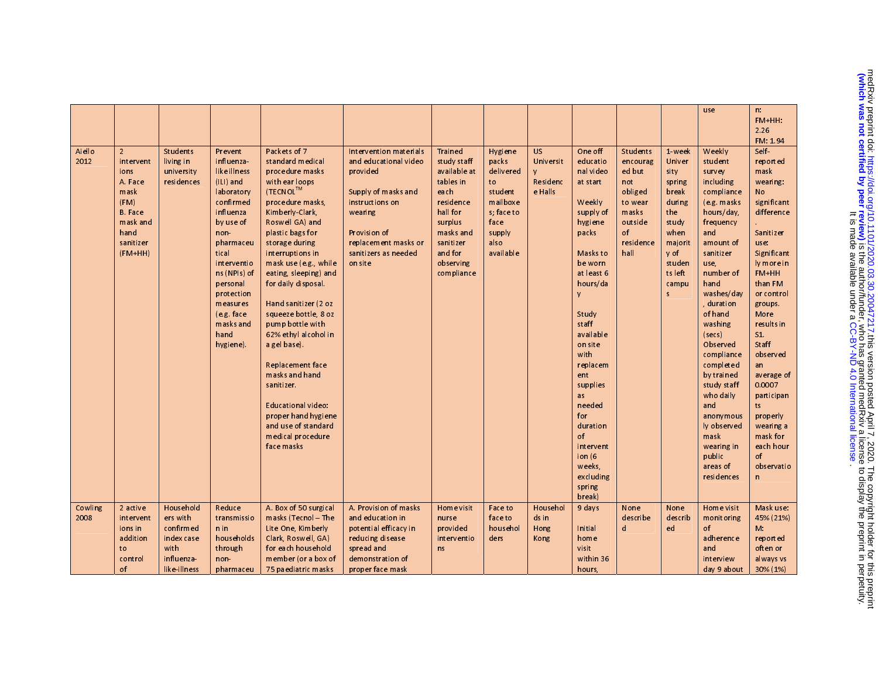| use                                                                                                                                                                                          | n.<br>$FM+HH$ :  |
|----------------------------------------------------------------------------------------------------------------------------------------------------------------------------------------------|------------------|
|                                                                                                                                                                                              |                  |
|                                                                                                                                                                                              | 2.26             |
|                                                                                                                                                                                              |                  |
|                                                                                                                                                                                              | FM: 1.94         |
| Packets of 7<br>Aiello<br>$\overline{2}$<br><b>Students</b><br>Intervention materials<br><b>Trained</b><br><b>US</b><br>One off<br><b>Students</b><br>Weekly<br>Prevent<br>1 week<br>Hygiene | Self             |
| standard medical<br>and educational video<br>study staff<br>Universit<br>2012<br>living in<br>influenza<br>packs<br>educatio<br>Univer<br>student<br>intervent<br>encourag                   | reported         |
| like illness<br>procedure masks<br>nal video<br>university<br>provided<br>available at<br>delivered<br>ed but<br>survey<br>ions<br>sity                                                      | mask             |
| (ILI) and<br>tables in<br>Residenc<br>A Face<br>residences<br>with ear loops<br>to<br>at start<br>not<br>including<br>spring                                                                 | wearing:         |
| (TECNOL <sup>TM</sup> )<br>e Halls<br>mask<br>laboratory<br>Supply of masks and<br>each<br>student<br>obliged<br>compliance<br>break                                                         | No               |
| (FM)<br>confirmed<br>procedure masks,<br>instructions on<br>residence<br>mailboxe<br>Weekly<br>(e.g. masks<br>to wear<br>during                                                              | significant      |
| <b>B.</b> Face<br>Kimberly Clark,<br>hall for<br>s; face to<br>supply of<br>masks<br>influenza<br>wearing<br>the<br>hours/day,                                                               | difference       |
| mask and<br>surplus<br>by use of<br>Roswell GA) and<br>face<br>hygiene<br>outside<br>stu dy<br>frequency                                                                                     |                  |
| of<br>plastic bags for<br>masks and<br>when<br>and<br>hand<br>Provision of<br>supply<br>packs<br>n on-                                                                                       | <b>Sanitizer</b> |
| sanitizer<br>storage during<br>sanitizer<br>residence<br>pharmaceu<br>replacement masks or<br>also<br>majorit<br>amount of                                                                   | use:             |
| and for<br>hall<br>$(FM+HH)$<br>tical<br>interruptions in<br>sanitizers as needed<br>available<br>Masks to<br>y of<br>sanitizer                                                              | Significant      |
| mask use (e.g., while<br>observing<br>be worn<br>studen<br>interventio<br>on site<br>use,                                                                                                    | ly more in       |
| ns (NPIs) of<br>eating, sleeping) and<br>compliance<br>at least 6<br>tsleft<br>number of                                                                                                     | $FM+HH$          |
| for daily disposal.<br>hours/da<br>hand<br>personal<br>campu                                                                                                                                 | than FM          |
| protection<br>washes/day<br>s<br>V                                                                                                                                                           | or control       |
| measures<br>Hand sanitizer (2 oz<br>duration                                                                                                                                                 | groups.          |
| of hand<br>(e.g. face<br>squeeze bottle, 8 oz<br>Study                                                                                                                                       | More             |
| pump bottle with<br>staff<br>masks and<br>washing                                                                                                                                            | results in       |
| hand<br>62% ethyl alcohol in<br>available<br>(secs)                                                                                                                                          | S <sub>1</sub>   |
| on site<br>Observed<br>hygiene).<br>a gel base).                                                                                                                                             | Staff            |
| with<br>compliance                                                                                                                                                                           | observed         |
| Replacement face<br>replacem<br>complet ed                                                                                                                                                   | an               |
| masks and hand<br>by trained<br>ent                                                                                                                                                          | average of       |
| sanitizer.<br>supplies<br>study staff                                                                                                                                                        | 0.0007           |
| who daily<br>as                                                                                                                                                                              | participan       |
| Educational video:<br>needed<br>and                                                                                                                                                          | ts.              |
| proper hand hygiene<br>for<br>anonymous                                                                                                                                                      | properly         |
| and use of standard<br>duration<br>ly observed                                                                                                                                               | wearing a        |
| medical procedure<br>of<br>mask                                                                                                                                                              | mask for         |
| face masks<br>intervent<br>wearing in                                                                                                                                                        | each hour        |
| ion $(6)$<br>public                                                                                                                                                                          | of               |
| weeks.<br>areas of                                                                                                                                                                           | observatio       |
| excluding<br>residences                                                                                                                                                                      | n.               |
| spring                                                                                                                                                                                       |                  |
| break)                                                                                                                                                                                       |                  |
| Household<br>Reduce<br>A Box of 50 surgical<br>A. Provision of masks<br>Home visit<br>Cowling<br>2 active<br>Home visit<br><b>Face to</b><br>Househol<br>9 days<br>None<br>None              | Mask use:        |
| describe<br>2008<br>ers with<br>masks (Tecn of $-$ The<br>and education in<br>face to<br>ds in<br>describ<br>monitoring<br>intervent<br>transmissio<br>nurse                                 | 45% (21%)        |
| confirmed<br>househol<br>d<br>$n$ in<br>Lite One, Kimberly<br>potential efficacy in<br>provided<br>Hong<br>of<br>ionsin<br>Initial<br>ed                                                     | M <sub>1</sub>   |
| households<br>Clark, Roswell, GA)<br>addition<br>index case<br>reducing disease<br>interventio<br>ders<br>home<br>adherence<br>Kong                                                          | reported         |
| for each household<br>spread and<br>with<br>through<br>visit<br>to<br>ns<br>and                                                                                                              | often or         |
| within 36<br>influenza-<br>member (or a box of<br>demonstration of<br>control<br>non-<br>interview                                                                                           | al ways vs       |
| of<br>like illness<br>75 paediatric masks<br>proper face mask<br>day 9 about<br>pharmaceu<br>hours,                                                                                          | 30% (1%)         |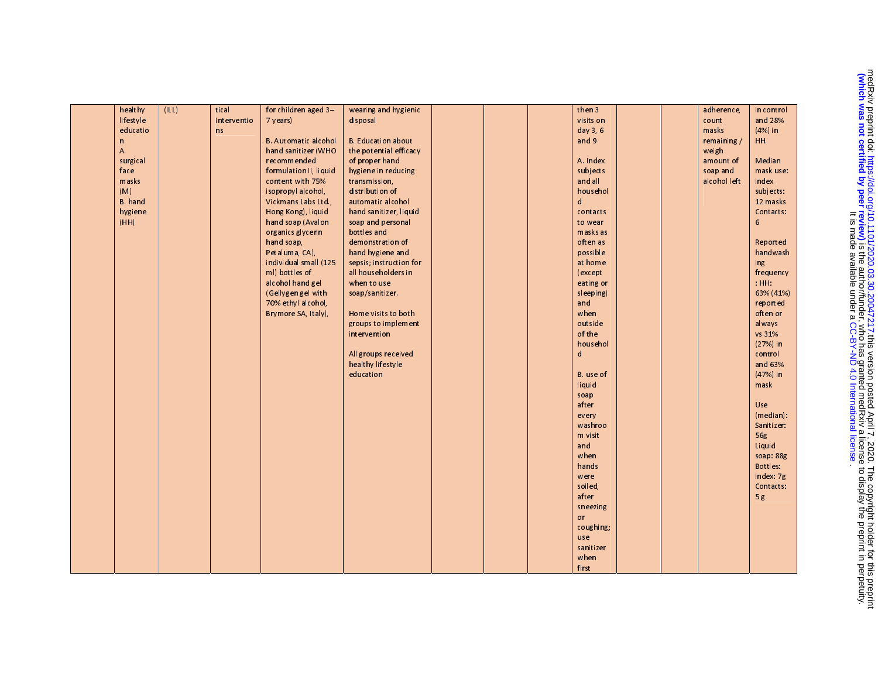| healthy        | (ILL) | tical       | for children aged 3-        | wearing and hygienic      |  | then 3    |  | adherence,   | in control       |
|----------------|-------|-------------|-----------------------------|---------------------------|--|-----------|--|--------------|------------------|
| lifestyle      |       | interventio | 7 years)                    | disposal                  |  | visits on |  | count        | and 28%          |
| educatio       |       | n s         |                             |                           |  | day 3, 6  |  | masks        | $(4%)$ in        |
| $\mathsf{n}$   |       |             | <b>B.</b> Automatic alcohol | <b>B.</b> Education about |  | and 9     |  | remaining/   | HH.              |
| A.             |       |             | hand sanitizer (WHO         | the potential efficacy    |  |           |  | weigh        |                  |
| surgical       |       |             | recommended                 | of proper hand            |  | A. Index  |  | amount of    | Median           |
| face           |       |             | formulation II, liquid      | hygiene in reducing       |  | subjects  |  | soap and     | mask use:        |
| masks          |       |             | content with 75%            | transmission,             |  | and all   |  | alcohol left | index            |
| (M)            |       |             | isopropyl alcohol,          | distribution of           |  | househol  |  |              | subjects:        |
| <b>B.</b> hand |       |             | Vickmans Labs Ltd.,         | automatic alcohol         |  | d         |  |              | 12 masks         |
| hygiene        |       |             | Hong Kong), liquid          | hand sanitizer, liquid    |  | contacts  |  |              | Contacts:        |
| (HH)           |       |             | hand soap (Avalon           | soap and personal         |  | to wear   |  |              | 6                |
|                |       |             | organics glycerin           | bottles and               |  | masks as  |  |              |                  |
|                |       |             | hand soap,                  | demonstration of          |  | often as  |  |              | Reported         |
|                |       |             | Petaluma, CA),              | hand hygiene and          |  | possible  |  |              | handwash         |
|                |       |             | individual small (125       | sepsis; instruction for   |  | at home   |  |              | ing              |
|                |       |             | ml) bottles of              | all householders in       |  | (except   |  |              | frequency        |
|                |       |             | alcohol hand gel            | when to use               |  | eating or |  |              | HHH              |
|                |       |             | (Gellygen gel with          | soap/sanitizer            |  | sleeping) |  |              | 63% (41%)        |
|                |       |             | 70% ethyl alcohol,          |                           |  | and       |  |              | reported         |
|                |       |             | Brymore SA, Italy),         | Home visits to both       |  | when      |  |              | often or         |
|                |       |             |                             | groups to implement       |  | outside   |  |              | always           |
|                |       |             |                             | intervention              |  | of the    |  |              | vs 31%           |
|                |       |             |                             |                           |  | househol  |  |              | $(27%)$ in       |
|                |       |             |                             | All groups received       |  | d         |  |              | control          |
|                |       |             |                             | healthy lifestyle         |  |           |  |              | and 63%          |
|                |       |             |                             | education                 |  | B. use of |  |              | $(47%)$ in       |
|                |       |             |                             |                           |  | liquid    |  |              | mask             |
|                |       |             |                             |                           |  | soap      |  |              |                  |
|                |       |             |                             |                           |  | after     |  |              | Use              |
|                |       |             |                             |                           |  | every     |  |              | $(m$ edian $)$ : |
|                |       |             |                             |                           |  | washroo   |  |              | Sanitizer:       |
|                |       |             |                             |                           |  | m visit   |  |              | 56g              |
|                |       |             |                             |                           |  | and       |  |              | Liquid           |
|                |       |             |                             |                           |  | when      |  |              | soap: 88g        |
|                |       |             |                             |                           |  | hands     |  |              | Bottles:         |
|                |       |             |                             |                           |  | were      |  |              | Index: 7g        |
|                |       |             |                             |                           |  | soiled,   |  |              | Contacts:        |
|                |       |             |                             |                           |  | after     |  |              | 5g               |
|                |       |             |                             |                           |  | sneezing  |  |              |                  |
|                |       |             |                             |                           |  | or        |  |              |                  |
|                |       |             |                             |                           |  | coughing; |  |              |                  |
|                |       |             |                             |                           |  | use       |  |              |                  |
|                |       |             |                             |                           |  | sanitizer |  |              |                  |
|                |       |             |                             |                           |  | when      |  |              |                  |
|                |       |             |                             |                           |  | first     |  |              |                  |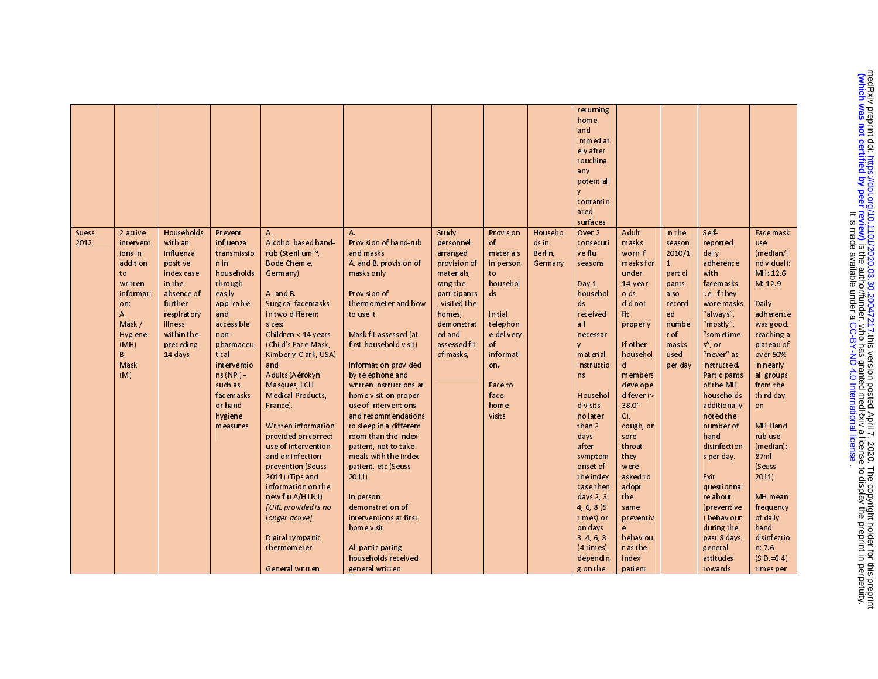| <b>Suess</b><br>2012 | 2 active<br>intervent<br>ions in<br>addition<br>to<br>written<br>informati<br>on:<br>Α.<br>Mask /<br>Hygiene<br>(MH)<br>В.<br>Mask<br>(M) | Households<br>with an<br>influenza<br>positive<br>index case<br>in the<br>absence of<br>further<br>respiratory<br>illness<br>within the<br>preceding<br>14 days | Prevent<br>influenza<br>transmissio<br>n in<br>households<br>through<br>easily<br>applicable<br>and<br>accessible<br>non-<br>pharmaceu<br>tical<br>interventio<br>$ns(NPI) -$<br>such as<br>facemasks<br>or hand<br>hygiene<br>measures | A.<br>Alcohol based hand-<br>rub (Sterilium™,<br><b>Bode Chemie,</b><br>Germany)<br>A and B.<br>Surgical facemasks<br>in two different<br>sizes:<br>Children $<$ 14 years<br>(Child's Face Mask,<br>Kimberly Clark, USA)<br>and<br>Adults (Aérokyn<br>Masques, LCH<br><b>Medical Products</b><br>France).<br>Written information<br>provided on correct<br>use of intervention<br>and on infection<br>prevention (Seuss<br>2011) (Tips and<br>information on the<br>new flu A/H1N1)<br>[URL provided is no<br>longer activel<br>Digital tympanic<br>thermometer<br>General written | $\mathsf{A}$<br>Provision of hand-rub<br>and masks<br>A and B provision of<br>masks only<br>Provision of<br>thermometer and how<br>to use it<br>Mask fit assessed (at<br>first household visit)<br>Information provided<br>by telephone and<br>written instructions at<br>home visit on proper<br>use of interventions<br>and recommendations<br>to sleep in a different<br>room than the index<br>patient, not to take<br>meals with the index<br>patient, etc (Seuss<br>2011<br>In person<br>demonstration of<br>interventions at first<br>home visit<br>All participating<br>households received<br>general written | Study<br>personnel<br>arranged<br>provision of<br>materials,<br>rang the<br>participants<br>, visited the<br>homes,<br>demonstrat<br>ed and<br>assessed fit<br>of masks, | Provision<br>of<br>materials<br>in person<br>to<br>hou sehol<br>ds<br>Initial<br>telephon<br>e delivery<br>of<br>informati<br>on.<br>Faceto<br>face<br>home<br>visits | Househol<br>ds in<br>Berlin,<br>Germany | returning<br>home<br>and<br>immediat<br>ely after<br>touching<br>any<br>potentiall<br>V<br>contamin<br>ated<br>surfaces<br>Over 2<br>consecuti<br>ve flu<br>seasons<br>Day 1<br>househol<br>ds<br>received<br>all<br>necessar<br>V<br>material<br>instructio<br>ns<br>Househol<br>d visits<br>no later<br>than 2<br>days<br>after<br>symptom<br>onset of<br>the index<br>case then<br>days $2, 3$<br>4, 6, 8(5)<br>times) or<br>on days<br>3, 4, 6, 8<br>(4 times)<br>dependin<br>g on the | Adult<br>masks<br>worn if<br>masks for<br>under<br>14 year<br>olds<br>did not<br>fit<br>properly<br>If other<br>househol<br>$\mathsf{d}$<br>members<br>develope<br>$d$ fever $($<br>$38.0^\circ$<br>C)<br>cough, or<br>sore<br>throat<br>they<br>were<br>asked to<br>adopt<br>the<br>same<br>preventiv<br>e<br>behaviou<br>r as the<br>index<br>patient | In the<br>season<br>2010/1<br>$\mathbf{1}$<br>partici<br>pants<br>also<br>record<br>ed<br>numbe<br>r of<br>masks<br>used<br>per day | Self-<br>report ed<br>daily<br>adherence<br>with<br>facemasks,<br>i.e. if they<br>wore masks<br>"always",<br>"mostly",<br>"sometime<br>$s''$ , or<br>"never" as<br>instructed.<br><b>Participants</b><br>of the MH<br>households<br>additionally<br>noted the<br>number of<br>hand<br>disinfection<br>s per day<br>Exit<br>questionnai<br>re about<br>(preventive<br>) behaviour<br>during the<br>past 8 days,<br>general<br>attitudes<br>towards | Face mask<br>use<br>(median/i<br>ndividual):<br>MH: 12.6<br>M: 12.9<br>Daily<br>adherence<br>was good,<br>reaching a<br>plateau of<br>over 50%<br>in nearly<br>all groups<br>from the<br>third day<br>on<br>MH Hand<br>rub use<br>$(m$ edian $)$ :<br>87ml<br>(Seuss<br>2011<br>MH mean<br>frequency<br>of daily<br>hand<br>disinfectio<br>n: 7.6<br>$(S.D = 6.4)$<br>times per |
|----------------------|-------------------------------------------------------------------------------------------------------------------------------------------|-----------------------------------------------------------------------------------------------------------------------------------------------------------------|-----------------------------------------------------------------------------------------------------------------------------------------------------------------------------------------------------------------------------------------|------------------------------------------------------------------------------------------------------------------------------------------------------------------------------------------------------------------------------------------------------------------------------------------------------------------------------------------------------------------------------------------------------------------------------------------------------------------------------------------------------------------------------------------------------------------------------------|------------------------------------------------------------------------------------------------------------------------------------------------------------------------------------------------------------------------------------------------------------------------------------------------------------------------------------------------------------------------------------------------------------------------------------------------------------------------------------------------------------------------------------------------------------------------------------------------------------------------|--------------------------------------------------------------------------------------------------------------------------------------------------------------------------|-----------------------------------------------------------------------------------------------------------------------------------------------------------------------|-----------------------------------------|--------------------------------------------------------------------------------------------------------------------------------------------------------------------------------------------------------------------------------------------------------------------------------------------------------------------------------------------------------------------------------------------------------------------------------------------------------------------------------------------|---------------------------------------------------------------------------------------------------------------------------------------------------------------------------------------------------------------------------------------------------------------------------------------------------------------------------------------------------------|-------------------------------------------------------------------------------------------------------------------------------------|---------------------------------------------------------------------------------------------------------------------------------------------------------------------------------------------------------------------------------------------------------------------------------------------------------------------------------------------------------------------------------------------------------------------------------------------------|---------------------------------------------------------------------------------------------------------------------------------------------------------------------------------------------------------------------------------------------------------------------------------------------------------------------------------------------------------------------------------|
|----------------------|-------------------------------------------------------------------------------------------------------------------------------------------|-----------------------------------------------------------------------------------------------------------------------------------------------------------------|-----------------------------------------------------------------------------------------------------------------------------------------------------------------------------------------------------------------------------------------|------------------------------------------------------------------------------------------------------------------------------------------------------------------------------------------------------------------------------------------------------------------------------------------------------------------------------------------------------------------------------------------------------------------------------------------------------------------------------------------------------------------------------------------------------------------------------------|------------------------------------------------------------------------------------------------------------------------------------------------------------------------------------------------------------------------------------------------------------------------------------------------------------------------------------------------------------------------------------------------------------------------------------------------------------------------------------------------------------------------------------------------------------------------------------------------------------------------|--------------------------------------------------------------------------------------------------------------------------------------------------------------------------|-----------------------------------------------------------------------------------------------------------------------------------------------------------------------|-----------------------------------------|--------------------------------------------------------------------------------------------------------------------------------------------------------------------------------------------------------------------------------------------------------------------------------------------------------------------------------------------------------------------------------------------------------------------------------------------------------------------------------------------|---------------------------------------------------------------------------------------------------------------------------------------------------------------------------------------------------------------------------------------------------------------------------------------------------------------------------------------------------------|-------------------------------------------------------------------------------------------------------------------------------------|---------------------------------------------------------------------------------------------------------------------------------------------------------------------------------------------------------------------------------------------------------------------------------------------------------------------------------------------------------------------------------------------------------------------------------------------------|---------------------------------------------------------------------------------------------------------------------------------------------------------------------------------------------------------------------------------------------------------------------------------------------------------------------------------------------------------------------------------|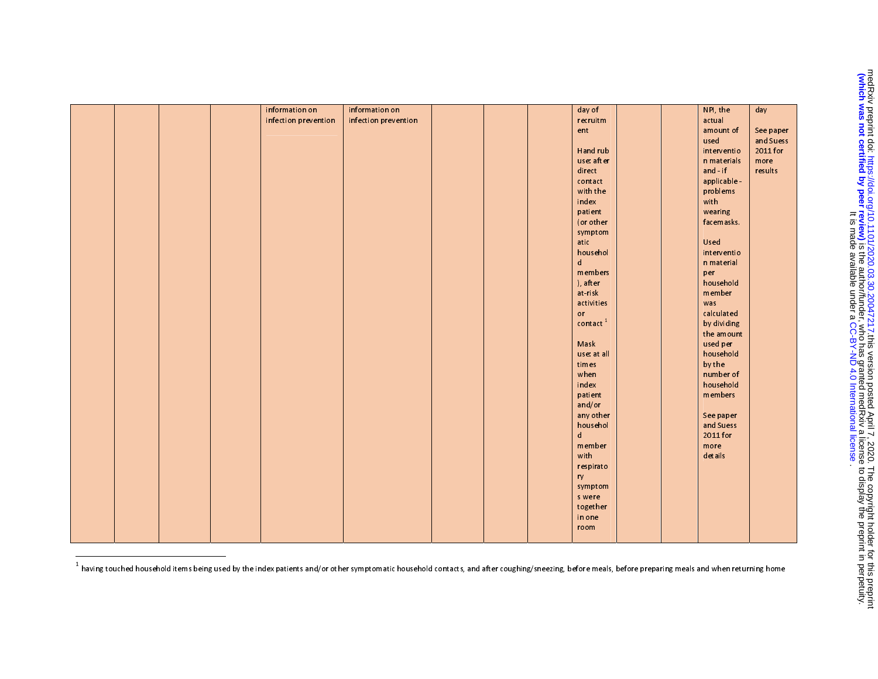|  |  | information on       | information on       |  | day of                  |  | NPI, the     | day       |
|--|--|----------------------|----------------------|--|-------------------------|--|--------------|-----------|
|  |  | infection prevention | infection prevention |  | recruitm                |  | actual       |           |
|  |  |                      |                      |  | ent                     |  | amount of    | See paper |
|  |  |                      |                      |  |                         |  | used         | and Suess |
|  |  |                      |                      |  | <b>Handrub</b>          |  | interventio  | 2011 for  |
|  |  |                      |                      |  | use: after              |  | n materials  | more      |
|  |  |                      |                      |  | direct                  |  | and if       | results   |
|  |  |                      |                      |  | contact                 |  | applicable - |           |
|  |  |                      |                      |  | with the                |  | problems     |           |
|  |  |                      |                      |  | index                   |  | with         |           |
|  |  |                      |                      |  | patient                 |  | wearing      |           |
|  |  |                      |                      |  | (or other               |  | facemasks.   |           |
|  |  |                      |                      |  | symptom                 |  |              |           |
|  |  |                      |                      |  | atic                    |  | Used         |           |
|  |  |                      |                      |  | househol                |  | interventio  |           |
|  |  |                      |                      |  | $\mathsf{d}$            |  | n material   |           |
|  |  |                      |                      |  | members                 |  | per          |           |
|  |  |                      |                      |  | ), after                |  | household    |           |
|  |  |                      |                      |  | at risk                 |  | member       |           |
|  |  |                      |                      |  | activities              |  | was          |           |
|  |  |                      |                      |  | or                      |  | calculated   |           |
|  |  |                      |                      |  | $\texttt{contact}$ $^1$ |  | by dividing  |           |
|  |  |                      |                      |  |                         |  | the amount   |           |
|  |  |                      |                      |  | Mask                    |  | used per     |           |
|  |  |                      |                      |  | use: at all             |  | household    |           |
|  |  |                      |                      |  | times                   |  | by the       |           |
|  |  |                      |                      |  | when                    |  | number of    |           |
|  |  |                      |                      |  | index                   |  | household    |           |
|  |  |                      |                      |  | patient                 |  | members      |           |
|  |  |                      |                      |  | and/or                  |  |              |           |
|  |  |                      |                      |  | any other               |  | Seepaper     |           |
|  |  |                      |                      |  | househol                |  | and Suess    |           |
|  |  |                      |                      |  | d                       |  | 2011 for     |           |
|  |  |                      |                      |  | member                  |  | more         |           |
|  |  |                      |                      |  | with                    |  | details      |           |
|  |  |                      |                      |  | respirato               |  |              |           |
|  |  |                      |                      |  | ry                      |  |              |           |
|  |  |                      |                      |  | symptom                 |  |              |           |
|  |  |                      |                      |  | s were                  |  |              |           |
|  |  |                      |                      |  | together                |  |              |           |
|  |  |                      |                      |  | in one                  |  |              |           |
|  |  |                      |                      |  | room                    |  |              |           |
|  |  |                      |                      |  |                         |  |              |           |

<u>.</u><br>I having touched household items being used by the index patients and/or other symptomatic household contacts, and after coughing/sneezing, before meals, before preparing meals and when returning home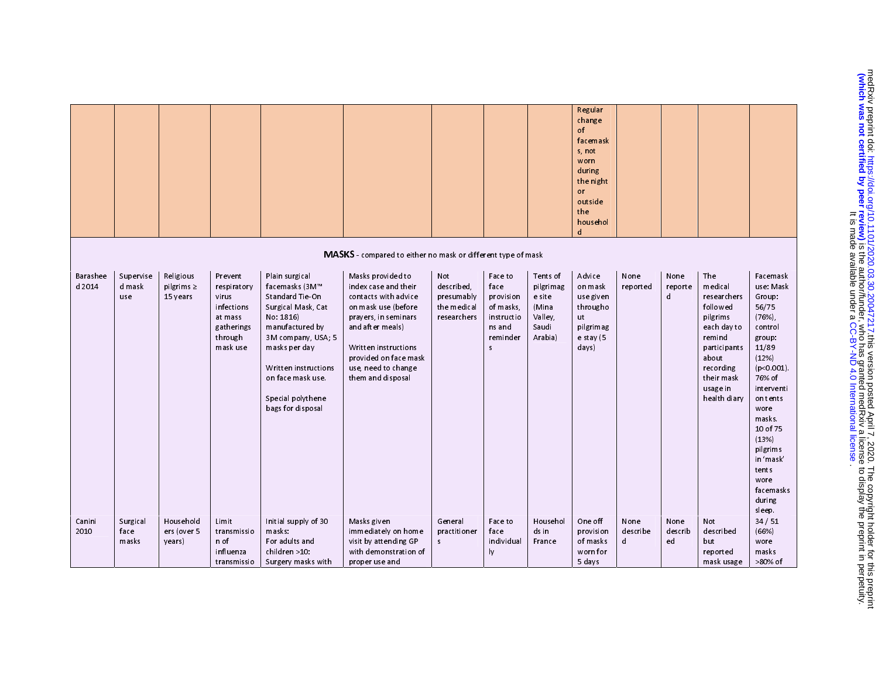|                    |                            |                                          |                                                                                               |                                                                                                                                                                                                                                         |                                                                                                                                                                                                                                   |                                                               |                                                                                              |                                                                         | Regular<br>change<br>of<br>facemask<br>s, not<br>worn<br>during<br>the night<br>or<br>outside<br>the<br>househol<br>d |                       |                       |                                                                                                                                                                |                                                                                                                                                                                                                                                             |
|--------------------|----------------------------|------------------------------------------|-----------------------------------------------------------------------------------------------|-----------------------------------------------------------------------------------------------------------------------------------------------------------------------------------------------------------------------------------------|-----------------------------------------------------------------------------------------------------------------------------------------------------------------------------------------------------------------------------------|---------------------------------------------------------------|----------------------------------------------------------------------------------------------|-------------------------------------------------------------------------|-----------------------------------------------------------------------------------------------------------------------|-----------------------|-----------------------|----------------------------------------------------------------------------------------------------------------------------------------------------------------|-------------------------------------------------------------------------------------------------------------------------------------------------------------------------------------------------------------------------------------------------------------|
|                    |                            |                                          |                                                                                               |                                                                                                                                                                                                                                         | MASKS - compared to either no mask or different type of mask                                                                                                                                                                      |                                                               |                                                                                              |                                                                         |                                                                                                                       |                       |                       |                                                                                                                                                                |                                                                                                                                                                                                                                                             |
| Barashee<br>d 2014 | Supervise<br>d mask<br>use | Religious<br>pilgrims $\geq$<br>15 years | Prevent<br>respiratory<br>virus<br>infections<br>at mass<br>gatherings<br>through<br>mask use | Plain surgical<br>facemasks (3M™<br>Standard Tie-On<br>Surgical Mask, Cat<br>No: 1816)<br>manufactured by<br>3M company, USA; 5<br>masks per day<br>Written instructions<br>on face mask use.<br>Special polythene<br>bags for disposal | Masks provided to<br>index case and their<br>contacts with advice<br>on mask use (before<br>prayers, in seminars<br>and after meals)<br>Written instructions<br>provided on face mask<br>use, need to change<br>them and disposal | Not<br>described.<br>presumably<br>the medical<br>researchers | Faceto<br>face<br>provision<br>of masks,<br>instructio<br>ns and<br>reminder<br>$\mathsf{s}$ | Tents of<br>pilgrimag<br>e site<br>(Mina<br>Valley,<br>Saudi<br>Arabia) | Advice<br>on mask<br>use given<br>througho<br>ut<br>pilgrimag<br>$e$ stay $(5)$<br>days)                              | None<br>reported      | None<br>reporte<br>d  | The<br>medical<br>researchers<br>followed<br>pilgrims<br>each day to<br>remind<br>participants<br>about<br>recording<br>their mask<br>usage in<br>health diary | Facemask<br>use: Mask<br>Group:<br>56/75<br>(76%)<br>control<br>group:<br>11/89<br>(12%)<br>(p<0.001)<br>76% of<br>interventi<br>on tents<br>wore<br>masks.<br>10 of 75<br>(13%)<br>pilgrims<br>in 'mask'<br>tents<br>wore<br>facemasks<br>during<br>sleep. |
| Canini<br>2010     | Surgical<br>face<br>masks  | Household<br>ers (over 5<br>years)       | Limit<br>transmissio<br>n of<br>influenza                                                     | Initial supply of 30<br>masks:<br>For adults and<br>children >10                                                                                                                                                                        | Masks given<br>immediately on home<br>visit by attending GP<br>with demonstration of                                                                                                                                              | General<br>practitioner<br>$\sf s$                            | Faceto<br>face<br>individual<br>ly                                                           | Househol<br>ds in<br>France                                             | One off<br>provision<br>of masks<br>worn for                                                                          | None<br>describe<br>d | None<br>describ<br>ed | Not<br>described<br>but<br>report ed                                                                                                                           | 34 / 51<br>(66%)<br>wore<br>masks                                                                                                                                                                                                                           |
|                    |                            |                                          | transmissio                                                                                   | Surgery masks with                                                                                                                                                                                                                      | proper use and                                                                                                                                                                                                                    |                                                               |                                                                                              |                                                                         | 5 days                                                                                                                |                       |                       | mask usage                                                                                                                                                     | >80% of                                                                                                                                                                                                                                                     |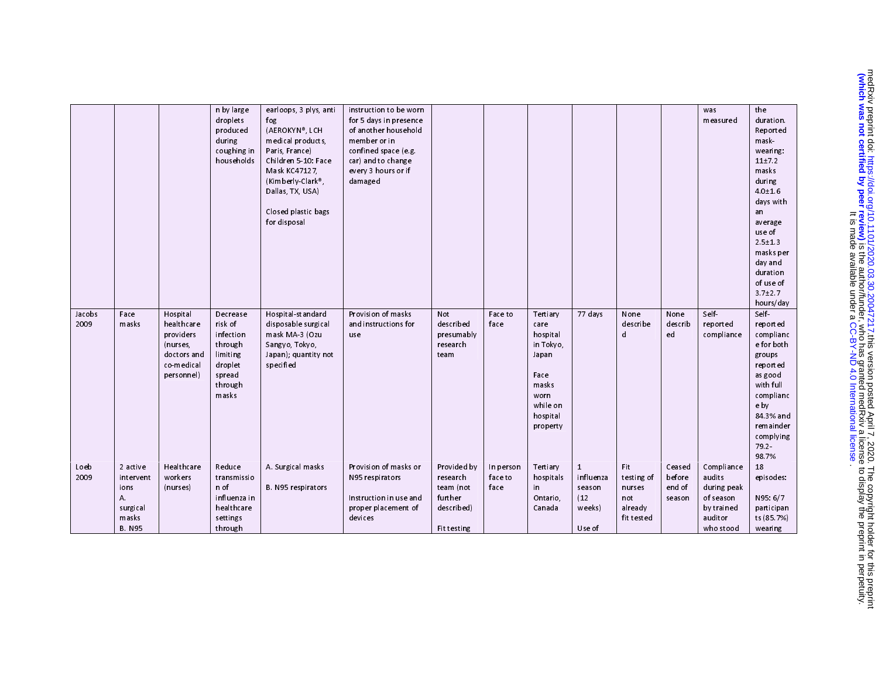|                |                                                                           |                                                                                            | n by large<br>droplets<br>produced<br>during<br>coughing in<br>households                        | earloops, 3 plys, anti<br>fog<br>(AEROKYN®, LCH<br>medical products.<br>Paris, France)<br>Children 5-10: Face     | instruction to be worn<br>for 5 days in presence<br>of another household<br>member or in<br>confined space (e.g.<br>car) and to change |                                                                              |                              |                                                                                                                 |                                                                        |                                                             |                                      | was<br>measured                                                                        | the<br>duration.<br>Reported<br>mask<br>wearing:<br>11±7.2                                                                                                             |
|----------------|---------------------------------------------------------------------------|--------------------------------------------------------------------------------------------|--------------------------------------------------------------------------------------------------|-------------------------------------------------------------------------------------------------------------------|----------------------------------------------------------------------------------------------------------------------------------------|------------------------------------------------------------------------------|------------------------------|-----------------------------------------------------------------------------------------------------------------|------------------------------------------------------------------------|-------------------------------------------------------------|--------------------------------------|----------------------------------------------------------------------------------------|------------------------------------------------------------------------------------------------------------------------------------------------------------------------|
|                |                                                                           |                                                                                            |                                                                                                  | Mask KC47127,<br>(Kimberly-Clark®,<br>Dallas, TX, USA)<br>Closed plastic bags<br>for disposal                     | every 3 hours or if<br>damaged                                                                                                         |                                                                              |                              |                                                                                                                 |                                                                        |                                                             |                                      |                                                                                        | masks<br>during<br>40±16<br>days with<br>an<br>average<br>use of                                                                                                       |
|                |                                                                           |                                                                                            |                                                                                                  |                                                                                                                   |                                                                                                                                        |                                                                              |                              |                                                                                                                 |                                                                        |                                                             |                                      |                                                                                        | $2.5 \pm 1.3$<br>masks per<br>day and<br>duration<br>of use of<br>3.7±2.7<br>hours/day                                                                                 |
| Jacobs<br>2009 | Face<br>masks                                                             | Hospital<br>healthcare<br>providers<br>(nurses,<br>doctors and<br>co medical<br>personnel) | Decrease<br>risk of<br>infection<br>through<br>limiting<br>droplet<br>spread<br>through<br>masks | Hospital standard<br>disposable surgical<br>mask MA-3 (Ozu<br>Sangyo, Tokyo,<br>Japan); quantity not<br>specified | Provision of masks<br>and instructions for<br>use                                                                                      | Not<br>described<br>presumably<br>research<br>team                           | Faceto<br>face               | Tertiary<br>care<br>hospital<br>in Tokyo,<br>Japan<br>Face<br>masks<br>worn<br>while on<br>hospital<br>property | 77 days                                                                | None<br>describe<br>d                                       | None<br>describ<br>ed                | Self-<br>report ed<br>compliance                                                       | Self<br>reported<br>complianc<br>e for both<br>groups<br>reported<br>as good<br>with full<br>complianc<br>e by<br>84.3% and<br>remainder<br>complying<br>79.2<br>98.7% |
| Loeb<br>2009   | 2 active<br>intervent<br>ions<br>Α.<br>surgical<br>masks<br><b>B. N95</b> | Healthcare<br>workers<br>(nurses)                                                          | Reduce<br>transmissio<br>n of<br>influenza in<br>healthcare<br>settings<br>through               | A. Surgical masks<br>B. N95 respirators                                                                           | Provision of masks or<br>N95 respirators<br>Instruction in use and<br>proper placement of<br>devices                                   | Provided by<br>research<br>team (not<br>further<br>described)<br>Fit testing | In person<br>face to<br>face | Tertiary<br>hospitals<br>in.<br>Ontario,<br>Canada                                                              | $\mathbf{1}$<br>influenza<br>season<br>(12)<br>weeks)<br><b>Use of</b> | Fit<br>testing of<br>nurses<br>not<br>already<br>fit tested | Ceased<br>before<br>end of<br>season | Compliance<br>audits<br>during peak<br>of season<br>by trained<br>auditor<br>who stood | 18<br>episodes:<br>N95: 6/7<br>participan<br>ts (85 7%)<br>wearing                                                                                                     |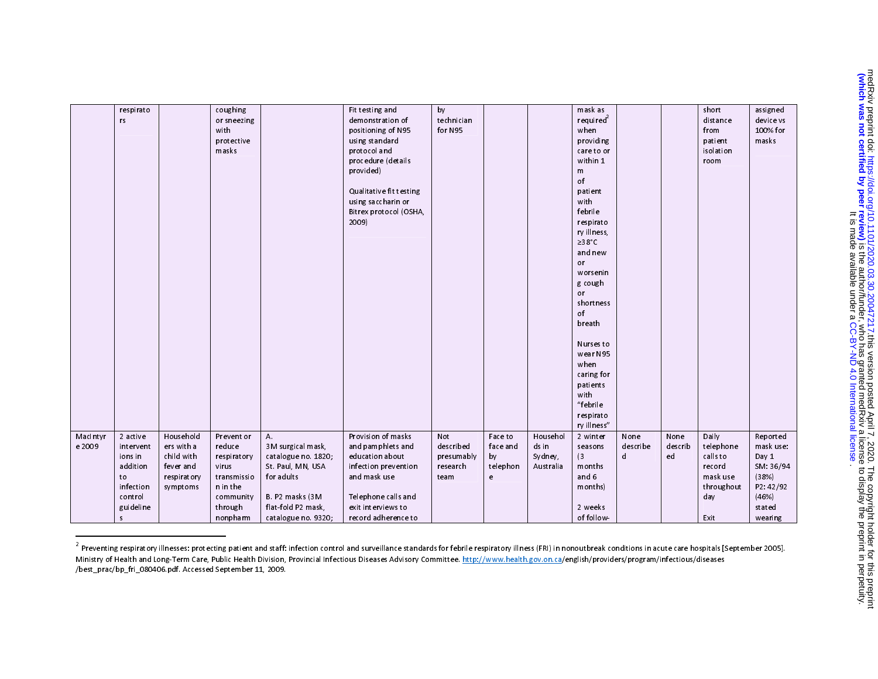|          | respirato |             | coughing    |                     | Fit testing and         | by         |                |           | mask as               |          |         | short      | assign ed |
|----------|-----------|-------------|-------------|---------------------|-------------------------|------------|----------------|-----------|-----------------------|----------|---------|------------|-----------|
|          | rs        |             | or sneezing |                     | demonstration of        | technician |                |           | required <sup>2</sup> |          |         | distance   | device vs |
|          |           |             | with        |                     | positioning of N95      | for N95    |                |           | when                  |          |         | from       | 100% for  |
|          |           |             | protective  |                     | using standard          |            |                |           | providing             |          |         | patient    | masks     |
|          |           |             | masks       |                     | protocol and            |            |                |           | care to or            |          |         | isolation  |           |
|          |           |             |             |                     | procedure (details      |            |                |           | within 1              |          |         | room       |           |
|          |           |             |             |                     | provided)               |            |                |           | ${\sf m}$             |          |         |            |           |
|          |           |             |             |                     |                         |            |                |           | of                    |          |         |            |           |
|          |           |             |             |                     | Qualitative fit testing |            |                |           | patient               |          |         |            |           |
|          |           |             |             |                     | using saccharin or      |            |                |           | with                  |          |         |            |           |
|          |           |             |             |                     | Bitrex protocol (OSHA,  |            |                |           | febrile               |          |         |            |           |
|          |           |             |             |                     | 2009)                   |            |                |           | respirato             |          |         |            |           |
|          |           |             |             |                     |                         |            |                |           | ry illness,           |          |         |            |           |
|          |           |             |             |                     |                         |            |                |           | ≥38°C                 |          |         |            |           |
|          |           |             |             |                     |                         |            |                |           | and new               |          |         |            |           |
|          |           |             |             |                     |                         |            |                |           | or                    |          |         |            |           |
|          |           |             |             |                     |                         |            |                |           | worsenin              |          |         |            |           |
|          |           |             |             |                     |                         |            |                |           | g cough               |          |         |            |           |
|          |           |             |             |                     |                         |            |                |           | or                    |          |         |            |           |
|          |           |             |             |                     |                         |            |                |           | shortness             |          |         |            |           |
|          |           |             |             |                     |                         |            |                |           | of                    |          |         |            |           |
|          |           |             |             |                     |                         |            |                |           | breath                |          |         |            |           |
|          |           |             |             |                     |                         |            |                |           |                       |          |         |            |           |
|          |           |             |             |                     |                         |            |                |           | Nurses to             |          |         |            |           |
|          |           |             |             |                     |                         |            |                |           | wear N95              |          |         |            |           |
|          |           |             |             |                     |                         |            |                |           | when                  |          |         |            |           |
|          |           |             |             |                     |                         |            |                |           | caring for            |          |         |            |           |
|          |           |             |             |                     |                         |            |                |           | patients<br>with      |          |         |            |           |
|          |           |             |             |                     |                         |            |                |           | "febrile              |          |         |            |           |
|          |           |             |             |                     |                         |            |                |           | respirato             |          |         |            |           |
|          |           |             |             |                     |                         |            |                |           | ry illness"           |          |         |            |           |
| Macintyr | 2 active  | Household   | Prevent or  | A.                  | Provision of masks      | Not        | <b>Face to</b> | Househol  | 2 winter              | None     | None    | Daily      | Reported  |
| e 2009   | intervent | ers with a  | reduce      | 3M surgical mask,   | and pamphlets and       | described  | face and       | ds in     | seasons               | describe | describ | telephone  | mask use: |
|          | ionsin    | child with  | respiratory | catalogue no. 1820; | education about         | presumably | by             | Sydney,   | (3)                   | d        | ed      | calls to   | Day 1     |
|          | addition  | fever and   | virus       | St. Paul, MN, USA   | infection prevention    | research   | telephon       | Australia | months                |          |         | record     | SM: 36/94 |
|          | to        | respiratory | transmissio | for adults          | and mask use            | team       | e              |           | and 6                 |          |         | mask use   | (38%)     |
|          | infection | symptoms    | n in the    |                     |                         |            |                |           | months)               |          |         | throughout | P2: 42/92 |
|          | control   |             | community   | B. P2 masks (3M     | Telephone calls and     |            |                |           |                       |          |         | day        | (46%)     |
|          | guideline |             | through     | flat-fold P2 mask,  | exit interviews to      |            |                |           | 2 weeks               |          |         |            | stated    |
|          | s         |             | nonpharm    | catalogue no 9320;  | record adherence to     |            |                |           | of follow-            |          |         | Exit       | wearing   |

<sup>&</sup>lt;sup>2</sup><br>Preventing respiratory illnesses: protecting patient and staff: infection control and surveillance standards for febrile respiratory illness (FRI) in nonoutbreak conditions in acute care hospitals [September 2005]. Ministry of Health and Long-Term Care, Public Health Division, Provincial Infectious Diseases Advisory Committee. http://www.health.gov.on.ca/english/providers/program/infectious/diseases /best\_prac/bp\_fri\_080406.pdf. Accessed September 11, 2009.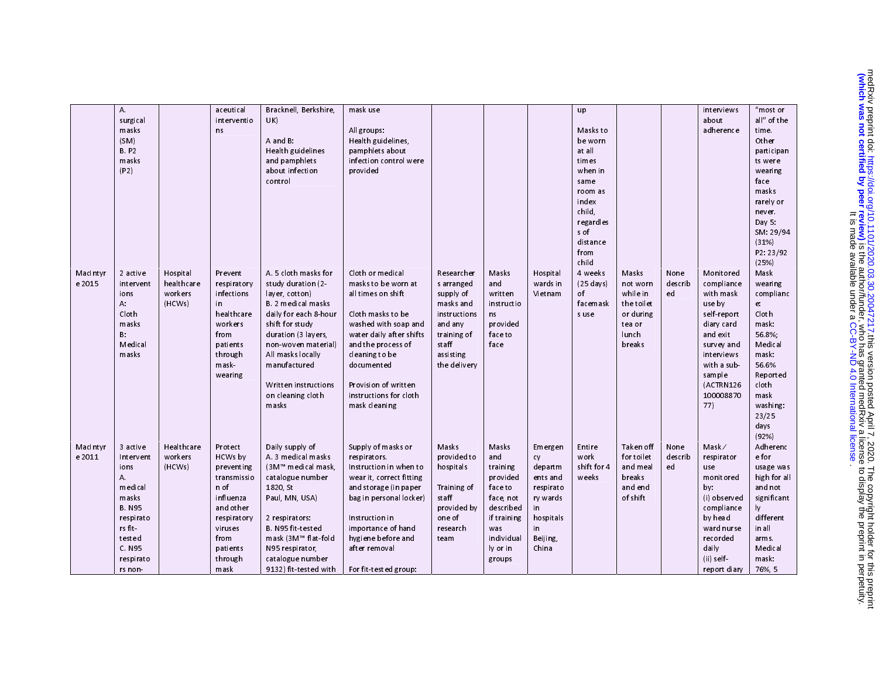|          | A.           |                       | aceutical         | Bracknell, Berkshire,                       | mask use                 |              |                       |           | up                        |                      |         | interviews   | "most or           |
|----------|--------------|-----------------------|-------------------|---------------------------------------------|--------------------------|--------------|-----------------------|-----------|---------------------------|----------------------|---------|--------------|--------------------|
|          | surgical     |                       | interventio       | UK)                                         |                          |              |                       |           |                           |                      |         | about        | all" of the        |
|          | masks        |                       | n <sub>s</sub>    |                                             | All groups:              |              |                       |           | Masks to                  |                      |         | adherence    | time.              |
|          | (SM)         |                       |                   | A and B:                                    | Health guidelines,       |              |                       |           | be worn                   |                      |         |              | Other              |
|          | <b>B.P2</b>  |                       |                   | Health guidelines                           | pamphlets about          |              |                       |           | at all                    |                      |         |              | participan         |
|          | masks        |                       |                   | and pamphlets                               | infection control were   |              |                       |           | times                     |                      |         |              |                    |
|          | (P2)         |                       |                   | about infection                             | provided                 |              |                       |           | when in                   |                      |         |              | ts were            |
|          |              |                       |                   | control                                     |                          |              |                       |           |                           |                      |         |              | wearing            |
|          |              |                       |                   |                                             |                          |              |                       |           | same                      |                      |         |              | face<br>masks      |
|          |              |                       |                   |                                             |                          |              |                       |           | room as                   |                      |         |              |                    |
|          |              |                       |                   |                                             |                          |              |                       |           | index<br>child,           |                      |         |              | rarely or          |
|          |              |                       |                   |                                             |                          |              |                       |           |                           |                      |         |              | never.             |
|          |              |                       |                   |                                             |                          |              |                       |           | regardles<br>s of         |                      |         |              | Day $5$ :          |
|          |              |                       |                   |                                             |                          |              |                       |           |                           |                      |         |              | SM: 29/94<br>(31%) |
|          |              |                       |                   |                                             |                          |              |                       |           | distance                  |                      |         |              |                    |
|          |              |                       |                   |                                             |                          |              |                       |           | from<br>child             |                      |         |              | P2: 23/92<br>(25%) |
|          |              |                       |                   | A. 5 cloth masks for                        | Cloth or medical         |              |                       |           |                           | Masks                |         | Monitored    |                    |
| Macintyr | 2 active     | Hospital              | Prevent           |                                             |                          | Researcher   | <b>Masks</b>          | Hospital  | 4 weeks                   |                      | None    |              | Mask               |
| e 2015   | intervent    | healthcare<br>workers | respiratory       | study duration (2-                          | masks to be worn at      | s arranged   | and                   | wards in  | $(25 \text{ days})$<br>of | not worn<br>while in | describ | compliance   | wearing            |
|          | ions         |                       | infections<br>in. | layer, cotton)<br><b>B.</b> 2 medical masks | all times on shift       | supply of    | written<br>instructio | Vietnam   | facemask                  |                      | ed      | with mask    | complianc          |
|          | А.           | (HCWs)                |                   |                                             |                          | masks and    |                       |           |                           | the toilet           |         | useby        | e.                 |
|          | Cloth        |                       | healthcare        | daily for each 8-hour                       | Cloth masks to be        | instructions | ns                    |           | s use                     | or during            |         | self-report  | Cloth              |
|          | masks        |                       | workers           | shift for study                             | washed with soap and     | and any      | provided              |           |                           | tea or               |         | diary card   | mask:              |
|          | $B$ :        |                       | from              | duration (3 layers,                         | water daily after shifts | training of  | face to               |           |                           | lunch                |         | and exit     | 56.8%;             |
|          | M edical     |                       | patients          | non-woven material)                         | and the process of       | staff        | face                  |           |                           | breaks               |         | survey and   | Medical            |
|          | masks        |                       | through           | All masks locally                           | cleaning to be           | assisting    |                       |           |                           |                      |         | interviews   | mask:              |
|          |              |                       | mask              | manufactured                                | documented               | the delivery |                       |           |                           |                      |         | with a sub   | 56.6%              |
|          |              |                       | wearing           |                                             |                          |              |                       |           |                           |                      |         | sample       | Reported           |
|          |              |                       |                   | Written instructions                        | Provision of written     |              |                       |           |                           |                      |         | (ACTRN126    | cloth              |
|          |              |                       |                   | on cleaning cloth                           | instructions for cloth   |              |                       |           |                           |                      |         | 100008870    | mask               |
|          |              |                       |                   | masks                                       | mask cleaning            |              |                       |           |                           |                      |         | 77)          | washing:           |
|          |              |                       |                   |                                             |                          |              |                       |           |                           |                      |         |              | 23/25              |
|          |              |                       |                   |                                             |                          |              |                       |           |                           |                      |         |              | days               |
|          |              |                       |                   |                                             |                          |              |                       |           |                           |                      |         |              | (92%)              |
| Macintyr | 3 active     | Healthcare            | Protect           | Daily supply of                             | Supply of masks or       | Masks        | Masks                 | Emergen   | Entire                    | Taken off            | None    | Mask/        | Adherenc           |
| e 2011   | Intervent    | workers               | <b>HCWs by</b>    | A 3 medical masks                           | respirators.             | provided to  | and                   | cy        | work                      | for toilet           | describ | respirator   | e for              |
|          | ions         | (HCWs)                | preventing        | (3M™ medical mask,                          | Instruction in when to   | hospitals    | training              | departm   | shift for 4               | and meal             | ed      | use          | usage was          |
|          | Α.           |                       | transmissio       | catalogue number                            | wear it, correct fitting |              | provided              | ents and  | weeks                     | breaks               |         | monitored    | high for all       |
|          | m edi cal    |                       | n of              | 1820, St                                    | and storage (in paper    | Training of  | face to               | respirato |                           | and end              |         | by:          | and not            |
|          | masks        |                       | influenza         | Paul, MN, USA)                              | bag in personal locker)  | staff        | face not              | ry wards  |                           | of shift             |         | (i) observed | significant        |
|          | <b>B.N95</b> |                       | and other         |                                             |                          | provided by  | described             | in.       |                           |                      |         | compliance   | ly                 |
|          | respirato    |                       | respiratory       | 2 respirators:                              | Instruction in           | one of       | if training           | hospitals |                           |                      |         | by head      | different          |
|          | rs fit       |                       | viruses           | B. N95 fit tested                           | importance of hand       | research     | was                   | in.       |                           |                      |         | ward nurse   | in all             |
|          | tested       |                       | from              | mask (3M™ flat-fold                         | hygiene before and       | team         | individual            | Beijing,  |                           |                      |         | recorded     | arms.              |
|          | C. N95       |                       | patients          | N95 respirator,                             | after removal            |              | ly or in              | China     |                           |                      |         | daily        | Medical            |
|          | respirato    |                       | through           | catalogue number                            |                          |              | groups                |           |                           |                      |         | $(ii)$ self  | mask:              |
|          | rs non-      |                       | mask              | 9132) fit tested with                       | For fit tested group:    |              |                       |           |                           |                      |         | report diary | 76%, 5             |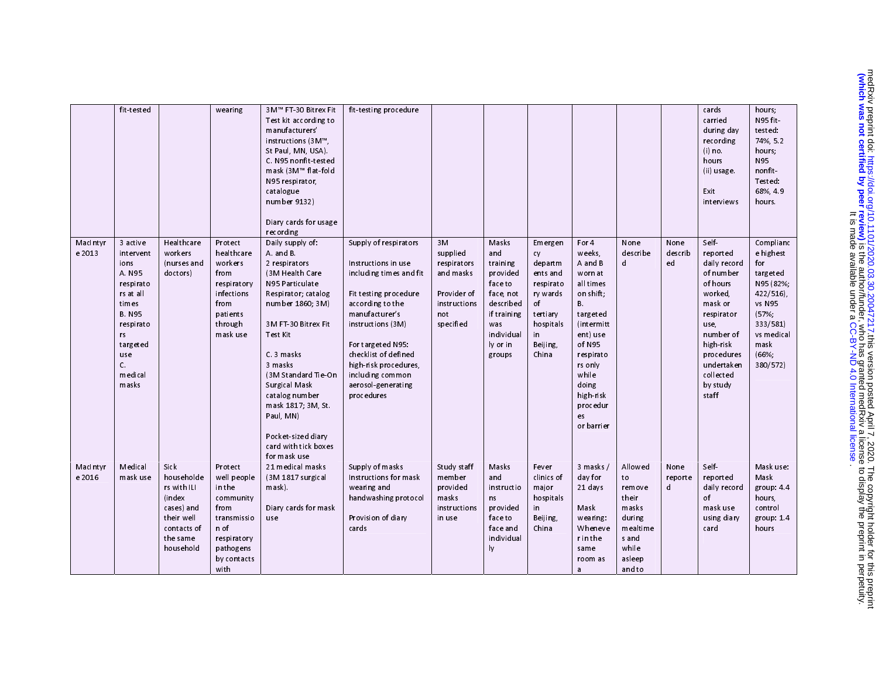|                    | fit tested                                                                                                                                                             |                                                                                                                        | wearing                                                                                                                         | 3M™ FT-30 Bitrex Fit<br>Test kit according to<br>manufacturers'<br>instructions (3M™,<br>St Paul, MN, USA).<br>C. N95 nonfit-tested<br>mask (3M™ flat-fold<br>N95 respirator.<br>catalogue<br>number 9132)<br>Diary cards for usage<br>recording                                                                                                    | fit testing procedure                                                                                                                                                                                                                                                                     |                                                                                               |                                                                                                                                     |                                                                                                                          |                                                                                                                                                                                                               |                                                                                                       |                       | cards<br>carried<br>during day<br>recording<br>$(i)$ no.<br>hours<br>(ii) usage.<br>Exit<br>interviews                                                                                           | hours;<br>N95 fit<br>tested:<br>74%, 5.2<br>hours;<br><b>N95</b><br>nonfit<br>Tested:<br>68% 49<br>hours.                                      |
|--------------------|------------------------------------------------------------------------------------------------------------------------------------------------------------------------|------------------------------------------------------------------------------------------------------------------------|---------------------------------------------------------------------------------------------------------------------------------|-----------------------------------------------------------------------------------------------------------------------------------------------------------------------------------------------------------------------------------------------------------------------------------------------------------------------------------------------------|-------------------------------------------------------------------------------------------------------------------------------------------------------------------------------------------------------------------------------------------------------------------------------------------|-----------------------------------------------------------------------------------------------|-------------------------------------------------------------------------------------------------------------------------------------|--------------------------------------------------------------------------------------------------------------------------|---------------------------------------------------------------------------------------------------------------------------------------------------------------------------------------------------------------|-------------------------------------------------------------------------------------------------------|-----------------------|--------------------------------------------------------------------------------------------------------------------------------------------------------------------------------------------------|------------------------------------------------------------------------------------------------------------------------------------------------|
| Macintyr<br>e 2013 | 3 active<br>intervent<br>ions<br>A N95<br>respirato<br>rs at all<br>times<br><b>B. N95</b><br>respirato<br>rs<br>targeted<br>use<br>$\mathsf{C}$<br>m edi cal<br>masks | Healthcare<br>workers<br>(nurses and<br>doctors)                                                                       | Protect<br>healthcare<br>workers<br>from<br>respiratory<br>infections<br>from<br>patients<br>through<br>mask use                | Daily supply of:<br>A and B<br>2 respirators<br>(3M Health Care<br>N95 Particulate<br>Respirator; catalog<br>number 1860; 3M)<br>3M FT 30 Bitrex Fit<br>Test Kit<br>C. 3 masks<br>3 masks<br>(3M Standard Tie-On<br>Surgical Mask<br>catalog number<br>mask 1817; 3M, St<br>Paul, MN)<br>Pocket sized diary<br>card with tick boxes<br>for mask use | Supply of respirators<br>Instructions in use<br>including times and fit<br>Fit testing procedure<br>according to the<br>manufacturer's<br>instructions (3M)<br>For targeted N95:<br>checklist of defined<br>high-risk procedures,<br>including common<br>aerosol-generating<br>procedures | 3M<br>supplied<br>respirators<br>and masks<br>Provider of<br>instructions<br>not<br>specified | Masks<br>and<br>training<br>provided<br>face to<br>face, not<br>described<br>if training<br>was<br>individual<br>ly or in<br>groups | Emergen<br>cy<br>departm<br>ents and<br>respirato<br>ry wards<br>of<br>tertiary<br>hospitals<br>in.<br>Beijing,<br>China | For 4<br>weeks.<br>A and B<br>worn at<br>all times<br>on shift;<br>В.<br>targeted<br>(intermitt)<br>ent) use<br>of N95<br>respirato<br>rs only<br>while<br>doing<br>high risk<br>procedur<br>es<br>or barrier | None<br>describe<br>d                                                                                 | None<br>describ<br>ed | Self-<br>report ed<br>daily record<br>of number<br>of hours<br>worked.<br>mask or<br>respirator<br>use,<br>number of<br>high risk<br>procedures<br>undertaken<br>collect ed<br>by study<br>staff | Complianc<br>e highest<br>for<br>targeted<br>N95 (82%;<br>$422/516$ ),<br>vs N95<br>(57%<br>333/581<br>vs medical<br>mask<br>(66%;<br>380/572) |
| Macintyr<br>e 2016 | <b>Medical</b><br>mask use                                                                                                                                             | Sick<br>householde<br>rs with ILI<br><i>(index</i><br>cases) and<br>their well<br>contacts of<br>the same<br>household | Protect<br>well people<br>in the<br>community<br>from<br>transmissio<br>n of<br>respiratory<br>pathogens<br>by contacts<br>with | 21 medical masks<br>(3M 1817 surgical<br>mask).<br>Diary cards for mask<br>use                                                                                                                                                                                                                                                                      | Supply of masks<br>Instructions for mask<br>wearing and<br>handwashing protocol<br>Provision of diary<br>cards                                                                                                                                                                            | Study staff<br>member<br>provided<br>masks<br>instructions<br>in use                          | Masks<br>and<br>instructio<br>ns<br>provided<br>face to<br>face and<br>individual<br>ly                                             | Fever<br>clinics of<br>major<br>hospitals<br>in.<br>Beijing,<br>China                                                    | 3 masks/<br>day for<br>21 days<br>Mask<br>wearing:<br>Wheneve<br>r in the<br>same<br>room as<br>a                                                                                                             | Allowed<br>to<br>remove<br>their<br>masks<br>during<br>mealtime<br>s and<br>while<br>asleep<br>and to | None<br>reporte<br>d  | Self-<br>report ed<br>daily record<br>of<br>mask use<br>using diary<br>card                                                                                                                      | Mask use:<br>Mask<br>group: 4.4<br>hours,<br>control<br>group: $1.4$<br>hours                                                                  |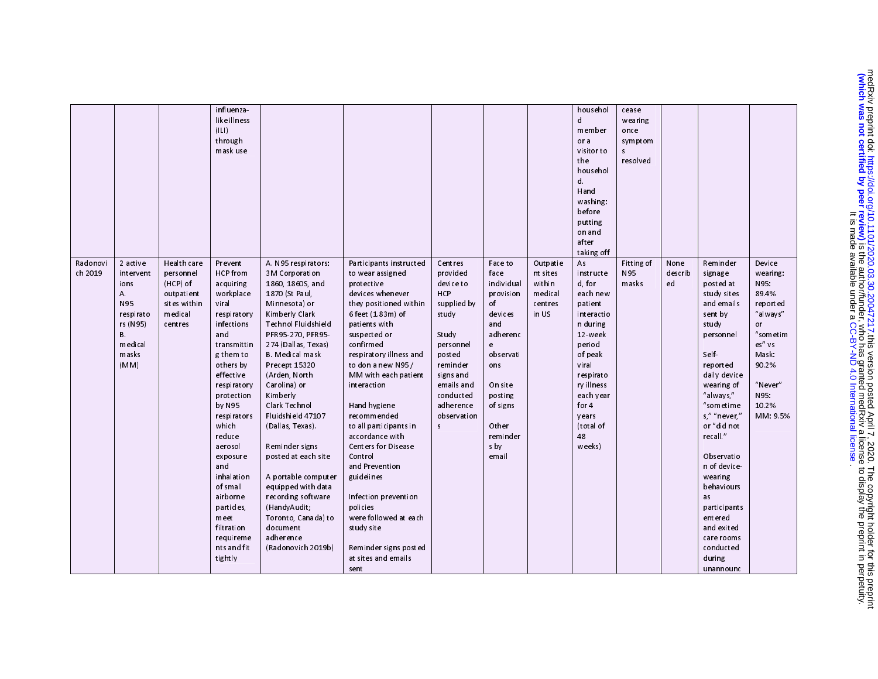| Radonovi<br>ch 2019 | 2 active<br>intervent<br>ions<br>A.<br>N95<br>respirato<br>rs (N95)<br>В.<br>m edi cal<br>masks<br>(MM) | Health care<br>personnel<br>(HCP) of<br>outpatient<br>sites within<br>medical<br>centres | influenza<br>like illness<br>( L )<br>through<br>mask use<br>Prevent<br>HCP from<br>acquiring<br>workplace<br>viral<br>respiratory<br>infections<br>and<br>transmittin<br>g them to<br>others by<br>effective<br>respiratory<br>protection<br>by N95<br>respirators<br>which<br>reduce<br>aerosol<br>exposure<br>and<br>inhalation<br>of small<br>airborne<br>particles,<br>meet<br>filtration<br>requireme<br>nts and fit<br>tightly | A N95 respirators:<br>3M Corporation<br>1860, 1860S, and<br>1870 (St Paul,<br>Minnesota) or<br>Kimberly Clark<br>Technol Fluidshield<br>PFR95-270, PFR95-<br>274 (Dallas, Texas)<br><b>B.</b> Medical mask<br>Precept 15320<br>(Arden, North<br>Carolina) or<br>Kimberly<br>Clark Technol<br>Fluidshield 47107<br>(Dallas, Texas).<br>Reminder signs<br>posted at each site<br>A portable computer<br>equipped with data<br>recording software<br>(HandyAudit;<br>Toronto, Canada) to<br>document<br>adherence<br>(Radonovich 2019b) | Participants instructed<br>to wear assigned<br>protective<br>devices whenever<br>they positioned within<br>6 feet (1.83m) of<br>patients with<br>suspected or<br>confirmed<br>respiratory illness and<br>to don a new N95 /<br>MM with each patient<br>interaction<br>Hand hygiene<br>r ecommen ded<br>to all participants in<br>accordance with<br><b>Centers for Disease</b><br>Control<br>and Prevention<br>guidelines<br>Infection prevention<br>poli ci es<br>were followed at each<br>study site<br>Reminder signs posted<br>at sites and emails<br>sent | Centres<br>provided<br>device to<br>H <sub>CP</sub><br>supplied by<br>study<br>Study<br>personnel<br>posted<br>reminder<br>signs and<br>emails and<br>conducted<br>adherence<br>observation<br>$\sf s$ | Face to<br>face<br>individual<br>provision<br>of<br>devices<br>and<br>adh er en c<br>e<br>observati<br>ons<br>On site<br>posting<br>of signs<br>Oth er<br>reminder<br>s by<br>email | Outpatie<br>nt sites<br>within<br>medical<br>centres<br>in US | househol<br>d<br>member<br>or a<br>visitor to<br>the<br>househol<br>d.<br>Hand<br>washing:<br>before<br>putting<br>on and<br>after<br>taking off<br>As<br>instructe<br>d, for<br>each new<br>patient<br>interactio<br>n during<br>12 week<br>period<br>of peak<br>viral<br>respirato<br>ry illness<br>each year<br>for $4$<br>years<br>(total of<br>48<br>weeks) | cease<br>wearing<br>once<br>symptom<br>s<br>resolved<br>Fitting of<br>N95<br>masks | None<br>describ<br>ed | Reminder<br>signage<br>posted at<br>study sites<br>and emails<br>sent by<br>study<br>personnel<br>Self-<br>report ed<br>daily device<br>wearing of<br>"always,"<br>"sometime<br>s," "never,"<br>or "did not<br>recall."<br>Observatio<br>n of device-<br>wearing<br>behaviours<br>as<br>participants<br>entered<br>and exited<br>care rooms<br>conducted<br>during<br>unannounc | Device<br>wearing:<br>N95:<br>89 4%<br>reported<br>"al ways"<br>or<br>"sometim<br>es" vs<br>Mask:<br>90.2%<br>"Never"<br>N95:<br>10.2%<br>MM: 9.5% |
|---------------------|---------------------------------------------------------------------------------------------------------|------------------------------------------------------------------------------------------|---------------------------------------------------------------------------------------------------------------------------------------------------------------------------------------------------------------------------------------------------------------------------------------------------------------------------------------------------------------------------------------------------------------------------------------|--------------------------------------------------------------------------------------------------------------------------------------------------------------------------------------------------------------------------------------------------------------------------------------------------------------------------------------------------------------------------------------------------------------------------------------------------------------------------------------------------------------------------------------|----------------------------------------------------------------------------------------------------------------------------------------------------------------------------------------------------------------------------------------------------------------------------------------------------------------------------------------------------------------------------------------------------------------------------------------------------------------------------------------------------------------------------------------------------------------|--------------------------------------------------------------------------------------------------------------------------------------------------------------------------------------------------------|-------------------------------------------------------------------------------------------------------------------------------------------------------------------------------------|---------------------------------------------------------------|------------------------------------------------------------------------------------------------------------------------------------------------------------------------------------------------------------------------------------------------------------------------------------------------------------------------------------------------------------------|------------------------------------------------------------------------------------|-----------------------|---------------------------------------------------------------------------------------------------------------------------------------------------------------------------------------------------------------------------------------------------------------------------------------------------------------------------------------------------------------------------------|----------------------------------------------------------------------------------------------------------------------------------------------------|
|---------------------|---------------------------------------------------------------------------------------------------------|------------------------------------------------------------------------------------------|---------------------------------------------------------------------------------------------------------------------------------------------------------------------------------------------------------------------------------------------------------------------------------------------------------------------------------------------------------------------------------------------------------------------------------------|--------------------------------------------------------------------------------------------------------------------------------------------------------------------------------------------------------------------------------------------------------------------------------------------------------------------------------------------------------------------------------------------------------------------------------------------------------------------------------------------------------------------------------------|----------------------------------------------------------------------------------------------------------------------------------------------------------------------------------------------------------------------------------------------------------------------------------------------------------------------------------------------------------------------------------------------------------------------------------------------------------------------------------------------------------------------------------------------------------------|--------------------------------------------------------------------------------------------------------------------------------------------------------------------------------------------------------|-------------------------------------------------------------------------------------------------------------------------------------------------------------------------------------|---------------------------------------------------------------|------------------------------------------------------------------------------------------------------------------------------------------------------------------------------------------------------------------------------------------------------------------------------------------------------------------------------------------------------------------|------------------------------------------------------------------------------------|-----------------------|---------------------------------------------------------------------------------------------------------------------------------------------------------------------------------------------------------------------------------------------------------------------------------------------------------------------------------------------------------------------------------|----------------------------------------------------------------------------------------------------------------------------------------------------|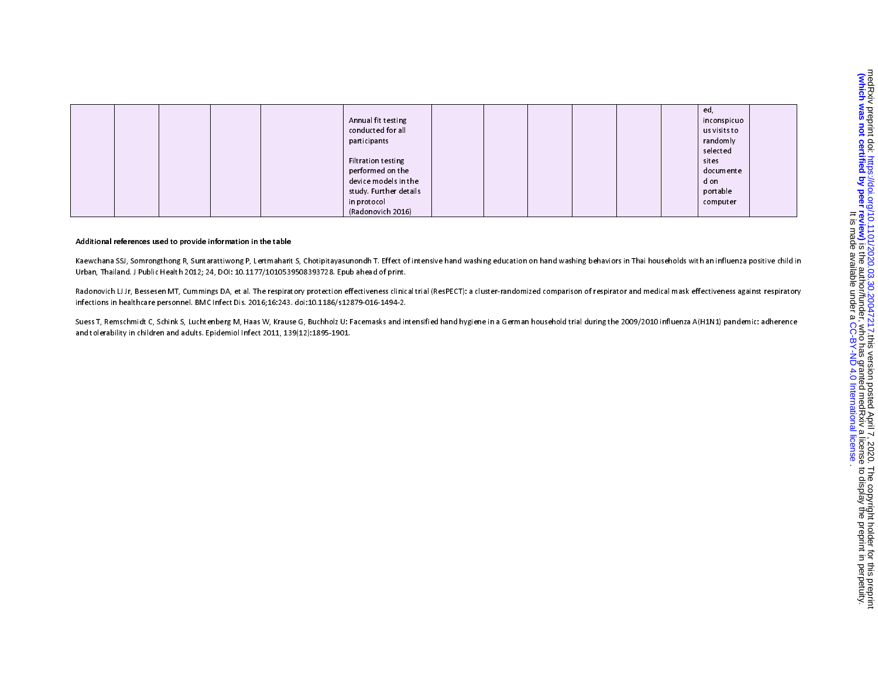|  |  |  |                        |  |  | ed,          |  |
|--|--|--|------------------------|--|--|--------------|--|
|  |  |  | Annual fit testing     |  |  | inconspicuo  |  |
|  |  |  | conducted for all      |  |  | us visits to |  |
|  |  |  | participants           |  |  | randomly     |  |
|  |  |  |                        |  |  | selected     |  |
|  |  |  | Filtration testing     |  |  | sit es       |  |
|  |  |  | performed on the       |  |  | documente    |  |
|  |  |  | device models in the   |  |  | d on         |  |
|  |  |  | study. Further details |  |  | portable     |  |
|  |  |  | in protocol            |  |  | computer     |  |
|  |  |  | (Radonovich 2016)      |  |  |              |  |

### Additional references used to provide information in the table

Kaewchana SSJ, Somrongthong R, Suntarattiwong P, Lertmaharit S, Chotipitayasunondh T. Effect of intensive hand washing education on hand washing behaviors in Thai households with an influenza positive child in Urban, Thailand. J Public Health 2012; 24, DOI: 10.1177/1010539508393728. Epub ahead of print.

Radonovich LJ Jr, Bessesen MT, Cummings DA, et al. The respiratory protection effectiveness clinical trial (ResPECT): a cluster-randomized comparison of respirator and medical mask effectiveness against respiratory infections in healthcare personnel. BMC Infect Dis. 2016;16:243. doi:10.1186/s12879-016-1494-2.

Suess T, Remschmidt C, Schink S, Luchtenberg M, Haas W, Krause G, Buchholz U: Facemasks and intensified hand hygiene in a German household trial during the 2009/2010 influenza A(H1N1) pandemic: adherence and tolerability in children and adults. Epidemiol Infect 2011, 139(12):1895-1901.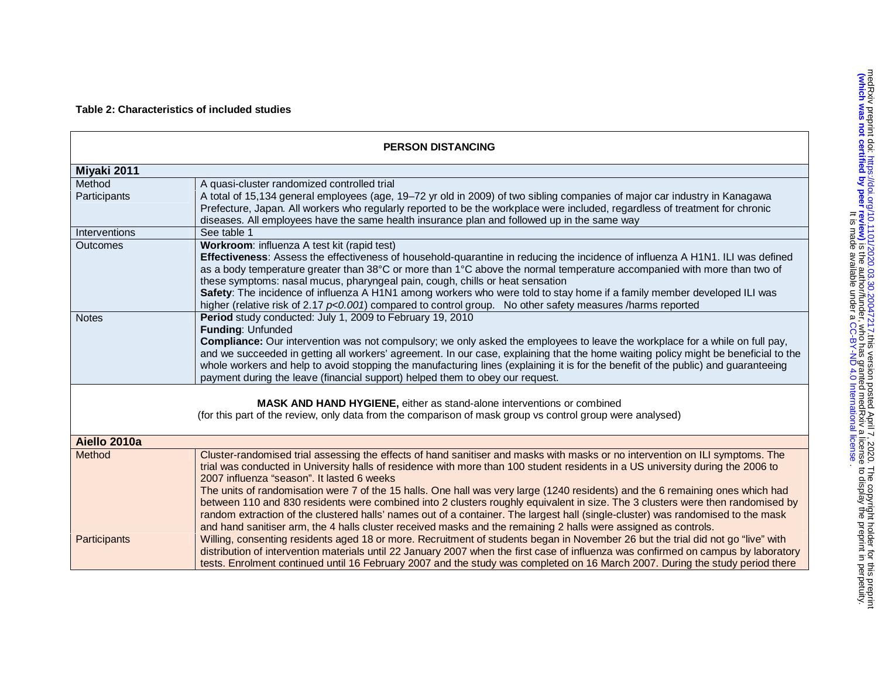| <b>PERSON DISTANCING</b>                                                                                                                                                            |                                                                                                                                                                                                                                                                                                                                                                                                                                                                                                                                                                                                                                                                                                                                                                                                                                           |  |  |  |
|-------------------------------------------------------------------------------------------------------------------------------------------------------------------------------------|-------------------------------------------------------------------------------------------------------------------------------------------------------------------------------------------------------------------------------------------------------------------------------------------------------------------------------------------------------------------------------------------------------------------------------------------------------------------------------------------------------------------------------------------------------------------------------------------------------------------------------------------------------------------------------------------------------------------------------------------------------------------------------------------------------------------------------------------|--|--|--|
| Miyaki 2011                                                                                                                                                                         |                                                                                                                                                                                                                                                                                                                                                                                                                                                                                                                                                                                                                                                                                                                                                                                                                                           |  |  |  |
| Method                                                                                                                                                                              | A quasi-cluster randomized controlled trial                                                                                                                                                                                                                                                                                                                                                                                                                                                                                                                                                                                                                                                                                                                                                                                               |  |  |  |
| Participants                                                                                                                                                                        | A total of 15,134 general employees (age, 19-72 yr old in 2009) of two sibling companies of major car industry in Kanagawa<br>Prefecture, Japan. All workers who regularly reported to be the workplace were included, regardless of treatment for chronic<br>diseases. All employees have the same health insurance plan and followed up in the same way                                                                                                                                                                                                                                                                                                                                                                                                                                                                                 |  |  |  |
| Interventions                                                                                                                                                                       | See table 1                                                                                                                                                                                                                                                                                                                                                                                                                                                                                                                                                                                                                                                                                                                                                                                                                               |  |  |  |
| Outcomes                                                                                                                                                                            | Workroom: influenza A test kit (rapid test)<br>Effectiveness: Assess the effectiveness of household-quarantine in reducing the incidence of influenza A H1N1. ILI was defined<br>as a body temperature greater than 38°C or more than 1°C above the normal temperature accompanied with more than two of<br>these symptoms: nasal mucus, pharyngeal pain, cough, chills or heat sensation<br>Safety: The incidence of influenza A H1N1 among workers who were told to stay home if a family member developed ILI was<br>higher (relative risk of 2.17 $p<0.001$ ) compared to control group. No other safety measures /harms reported                                                                                                                                                                                                     |  |  |  |
| <b>Notes</b>                                                                                                                                                                        | Period study conducted: July 1, 2009 to February 19, 2010<br>Funding: Unfunded<br>Compliance: Our intervention was not compulsory; we only asked the employees to leave the workplace for a while on full pay,<br>and we succeeded in getting all workers' agreement. In our case, explaining that the home waiting policy might be beneficial to the<br>whole workers and help to avoid stopping the manufacturing lines (explaining it is for the benefit of the public) and guaranteeing<br>payment during the leave (financial support) helped them to obey our request.                                                                                                                                                                                                                                                              |  |  |  |
| MASK AND HAND HYGIENE, either as stand-alone interventions or combined<br>(for this part of the review, only data from the comparison of mask group vs control group were analysed) |                                                                                                                                                                                                                                                                                                                                                                                                                                                                                                                                                                                                                                                                                                                                                                                                                                           |  |  |  |
| Aiello 2010a                                                                                                                                                                        |                                                                                                                                                                                                                                                                                                                                                                                                                                                                                                                                                                                                                                                                                                                                                                                                                                           |  |  |  |
| Method                                                                                                                                                                              | Cluster-randomised trial assessing the effects of hand sanitiser and masks with masks or no intervention on ILI symptoms. The<br>trial was conducted in University halls of residence with more than 100 student residents in a US university during the 2006 to<br>2007 influenza "season". It lasted 6 weeks<br>The units of randomisation were 7 of the 15 halls. One hall was very large (1240 residents) and the 6 remaining ones which had<br>between 110 and 830 residents were combined into 2 clusters roughly equivalent in size. The 3 clusters were then randomised by<br>random extraction of the clustered halls' names out of a container. The largest hall (single-cluster) was randomised to the mask<br>and hand sanitiser arm, the 4 halls cluster received masks and the remaining 2 halls were assigned as controls. |  |  |  |
| Participants                                                                                                                                                                        | Willing, consenting residents aged 18 or more. Recruitment of students began in November 26 but the trial did not go "live" with<br>distribution of intervention materials until 22 January 2007 when the first case of influenza was confirmed on campus by laboratory<br>tests. Enrolment continued until 16 February 2007 and the study was completed on 16 March 2007. During the study period there                                                                                                                                                                                                                                                                                                                                                                                                                                  |  |  |  |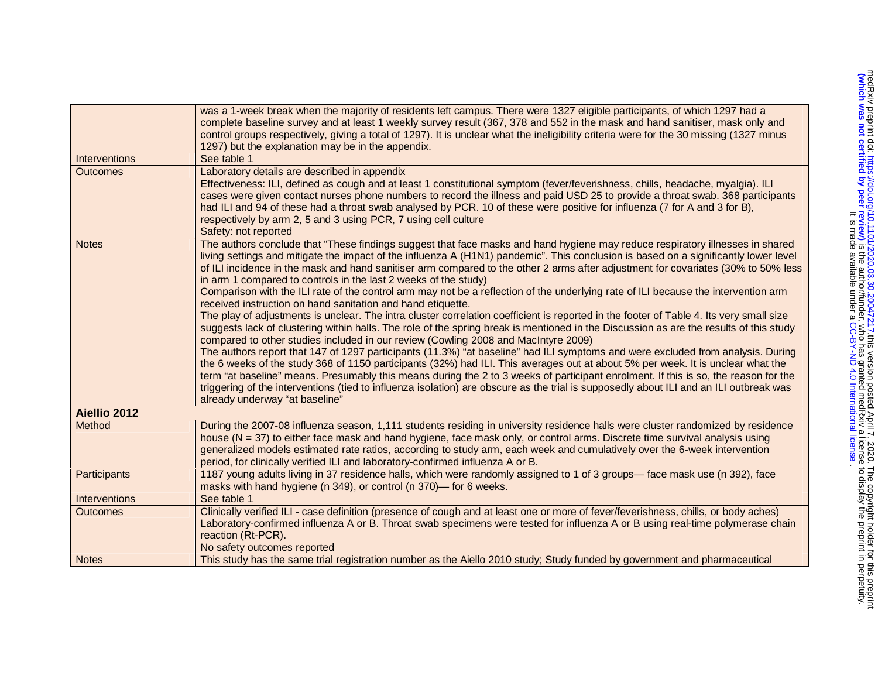|                 | was a 1-week break when the majority of residents left campus. There were 1327 eligible participants, of which 1297 had a<br>complete baseline survey and at least 1 weekly survey result (367, 378 and 552 in the mask and hand sanitiser, mask only and<br>control groups respectively, giving a total of 1297). It is unclear what the ineligibility criteria were for the 30 missing (1327 minus<br>1297) but the explanation may be in the appendix.                                                                                                                                                                                                                                                                                                                                                                                                                                                                                                                                                                                                                                                                                                                                                                                                                                                                                                                                                                                                                                                                                                                                                                                              |
|-----------------|--------------------------------------------------------------------------------------------------------------------------------------------------------------------------------------------------------------------------------------------------------------------------------------------------------------------------------------------------------------------------------------------------------------------------------------------------------------------------------------------------------------------------------------------------------------------------------------------------------------------------------------------------------------------------------------------------------------------------------------------------------------------------------------------------------------------------------------------------------------------------------------------------------------------------------------------------------------------------------------------------------------------------------------------------------------------------------------------------------------------------------------------------------------------------------------------------------------------------------------------------------------------------------------------------------------------------------------------------------------------------------------------------------------------------------------------------------------------------------------------------------------------------------------------------------------------------------------------------------------------------------------------------------|
| Interventions   | See table 1                                                                                                                                                                                                                                                                                                                                                                                                                                                                                                                                                                                                                                                                                                                                                                                                                                                                                                                                                                                                                                                                                                                                                                                                                                                                                                                                                                                                                                                                                                                                                                                                                                            |
| <b>Outcomes</b> | Laboratory details are described in appendix<br>Effectiveness: ILI, defined as cough and at least 1 constitutional symptom (fever/feverishness, chills, headache, myalgia). ILI<br>cases were given contact nurses phone numbers to record the illness and paid USD 25 to provide a throat swab. 368 participants<br>had ILI and 94 of these had a throat swab analysed by PCR. 10 of these were positive for influenza (7 for A and 3 for B),<br>respectively by arm 2, 5 and 3 using PCR, 7 using cell culture<br>Safety: not reported                                                                                                                                                                                                                                                                                                                                                                                                                                                                                                                                                                                                                                                                                                                                                                                                                                                                                                                                                                                                                                                                                                               |
| <b>Notes</b>    | The authors conclude that "These findings suggest that face masks and hand hygiene may reduce respiratory illnesses in shared<br>living settings and mitigate the impact of the influenza A (H1N1) pandemic". This conclusion is based on a significantly lower level<br>of ILI incidence in the mask and hand sanitiser arm compared to the other 2 arms after adjustment for covariates (30% to 50% less<br>in arm 1 compared to controls in the last 2 weeks of the study)<br>Comparison with the ILI rate of the control arm may not be a reflection of the underlying rate of ILI because the intervention arm<br>received instruction on hand sanitation and hand etiquette.<br>The play of adjustments is unclear. The intra cluster correlation coefficient is reported in the footer of Table 4. Its very small size<br>suggests lack of clustering within halls. The role of the spring break is mentioned in the Discussion as are the results of this study<br>compared to other studies included in our review (Cowling 2008 and MacIntyre 2009)<br>The authors report that 147 of 1297 participants (11.3%) "at baseline" had ILI symptoms and were excluded from analysis. During<br>the 6 weeks of the study 368 of 1150 participants (32%) had ILI. This averages out at about 5% per week. It is unclear what the<br>term "at baseline" means. Presumably this means during the 2 to 3 weeks of participant enrolment. If this is so, the reason for the<br>triggering of the interventions (tied to influenza isolation) are obscure as the trial is supposedly about ILI and an ILI outbreak was<br>already underway "at baseline" |
| Aiellio 2012    |                                                                                                                                                                                                                                                                                                                                                                                                                                                                                                                                                                                                                                                                                                                                                                                                                                                                                                                                                                                                                                                                                                                                                                                                                                                                                                                                                                                                                                                                                                                                                                                                                                                        |
| Method          | During the 2007-08 influenza season, 1,111 students residing in university residence halls were cluster randomized by residence<br>house ( $N = 37$ ) to either face mask and hand hygiene, face mask only, or control arms. Discrete time survival analysis using<br>generalized models estimated rate ratios, according to study arm, each week and cumulatively over the 6-week intervention<br>period, for clinically verified ILI and laboratory-confirmed influenza A or B.                                                                                                                                                                                                                                                                                                                                                                                                                                                                                                                                                                                                                                                                                                                                                                                                                                                                                                                                                                                                                                                                                                                                                                      |
| Participants    | 1187 young adults living in 37 residence halls, which were randomly assigned to 1 of 3 groups- face mask use (n 392), face<br>masks with hand hygiene (n 349), or control (n 370)— for 6 weeks.                                                                                                                                                                                                                                                                                                                                                                                                                                                                                                                                                                                                                                                                                                                                                                                                                                                                                                                                                                                                                                                                                                                                                                                                                                                                                                                                                                                                                                                        |
| Interventions   | See table 1                                                                                                                                                                                                                                                                                                                                                                                                                                                                                                                                                                                                                                                                                                                                                                                                                                                                                                                                                                                                                                                                                                                                                                                                                                                                                                                                                                                                                                                                                                                                                                                                                                            |
| <b>Outcomes</b> | Clinically verified ILI - case definition (presence of cough and at least one or more of fever/feverishness, chills, or body aches)<br>Laboratory-confirmed influenza A or B. Throat swab specimens were tested for influenza A or B using real-time polymerase chain<br>reaction (Rt-PCR).<br>No safety outcomes reported                                                                                                                                                                                                                                                                                                                                                                                                                                                                                                                                                                                                                                                                                                                                                                                                                                                                                                                                                                                                                                                                                                                                                                                                                                                                                                                             |
| <b>Notes</b>    | This study has the same trial registration number as the Aiello 2010 study; Study funded by government and pharmaceutical                                                                                                                                                                                                                                                                                                                                                                                                                                                                                                                                                                                                                                                                                                                                                                                                                                                                                                                                                                                                                                                                                                                                                                                                                                                                                                                                                                                                                                                                                                                              |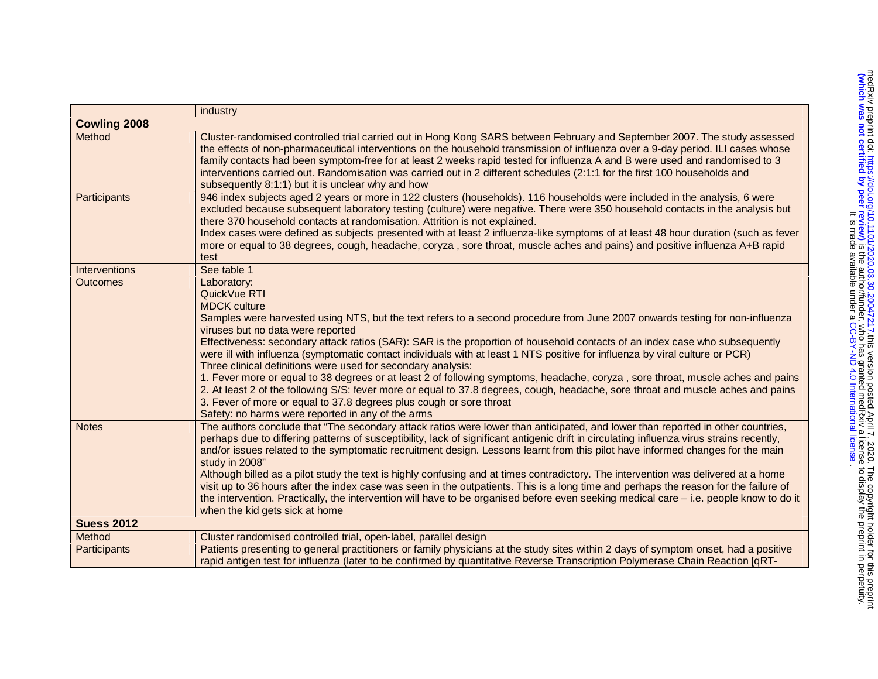|                     | industry                                                                                                                                                                                                                                                                                                                                                                                                                                                                                                                                                                                                                                                                                                                                                                                                                                                                                                                                                  |
|---------------------|-----------------------------------------------------------------------------------------------------------------------------------------------------------------------------------------------------------------------------------------------------------------------------------------------------------------------------------------------------------------------------------------------------------------------------------------------------------------------------------------------------------------------------------------------------------------------------------------------------------------------------------------------------------------------------------------------------------------------------------------------------------------------------------------------------------------------------------------------------------------------------------------------------------------------------------------------------------|
| <b>Cowling 2008</b> |                                                                                                                                                                                                                                                                                                                                                                                                                                                                                                                                                                                                                                                                                                                                                                                                                                                                                                                                                           |
| Method              | Cluster-randomised controlled trial carried out in Hong Kong SARS between February and September 2007. The study assessed<br>the effects of non-pharmaceutical interventions on the household transmission of influenza over a 9-day period. ILI cases whose<br>family contacts had been symptom-free for at least 2 weeks rapid tested for influenza A and B were used and randomised to 3<br>interventions carried out. Randomisation was carried out in 2 different schedules (2:1:1 for the first 100 households and<br>subsequently 8:1:1) but it is unclear why and how                                                                                                                                                                                                                                                                                                                                                                             |
| Participants        | 946 index subjects aged 2 years or more in 122 clusters (households). 116 households were included in the analysis, 6 were<br>excluded because subsequent laboratory testing (culture) were negative. There were 350 household contacts in the analysis but<br>there 370 household contacts at randomisation. Attrition is not explained.<br>Index cases were defined as subjects presented with at least 2 influenza-like symptoms of at least 48 hour duration (such as fever<br>more or equal to 38 degrees, cough, headache, coryza, sore throat, muscle aches and pains) and positive influenza A+B rapid<br>test                                                                                                                                                                                                                                                                                                                                    |
| Interventions       | See table 1                                                                                                                                                                                                                                                                                                                                                                                                                                                                                                                                                                                                                                                                                                                                                                                                                                                                                                                                               |
| <b>Outcomes</b>     | Laboratory:<br>QuickVue RTI<br><b>MDCK culture</b><br>Samples were harvested using NTS, but the text refers to a second procedure from June 2007 onwards testing for non-influenza<br>viruses but no data were reported<br>Effectiveness: secondary attack ratios (SAR): SAR is the proportion of household contacts of an index case who subsequently<br>were ill with influenza (symptomatic contact individuals with at least 1 NTS positive for influenza by viral culture or PCR)<br>Three clinical definitions were used for secondary analysis:<br>1. Fever more or equal to 38 degrees or at least 2 of following symptoms, headache, coryza, sore throat, muscle aches and pains<br>2. At least 2 of the following S/S: fever more or equal to 37.8 degrees, cough, headache, sore throat and muscle aches and pains<br>3. Fever of more or equal to 37.8 degrees plus cough or sore throat<br>Safety: no harms were reported in any of the arms |
| <b>Notes</b>        | The authors conclude that "The secondary attack ratios were lower than anticipated, and lower than reported in other countries,<br>perhaps due to differing patterns of susceptibility, lack of significant antigenic drift in circulating influenza virus strains recently,<br>and/or issues related to the symptomatic recruitment design. Lessons learnt from this pilot have informed changes for the main<br>study in 2008"<br>Although billed as a pilot study the text is highly confusing and at times contradictory. The intervention was delivered at a home<br>visit up to 36 hours after the index case was seen in the outpatients. This is a long time and perhaps the reason for the failure of<br>the intervention. Practically, the intervention will have to be organised before even seeking medical care – i.e. people know to do it<br>when the kid gets sick at home                                                                |
| <b>Suess 2012</b>   |                                                                                                                                                                                                                                                                                                                                                                                                                                                                                                                                                                                                                                                                                                                                                                                                                                                                                                                                                           |
| Method              | Cluster randomised controlled trial, open-label, parallel design                                                                                                                                                                                                                                                                                                                                                                                                                                                                                                                                                                                                                                                                                                                                                                                                                                                                                          |
| Participants        | Patients presenting to general practitioners or family physicians at the study sites within 2 days of symptom onset, had a positive<br>rapid antigen test for influenza (later to be confirmed by quantitative Reverse Transcription Polymerase Chain Reaction [qRT-                                                                                                                                                                                                                                                                                                                                                                                                                                                                                                                                                                                                                                                                                      |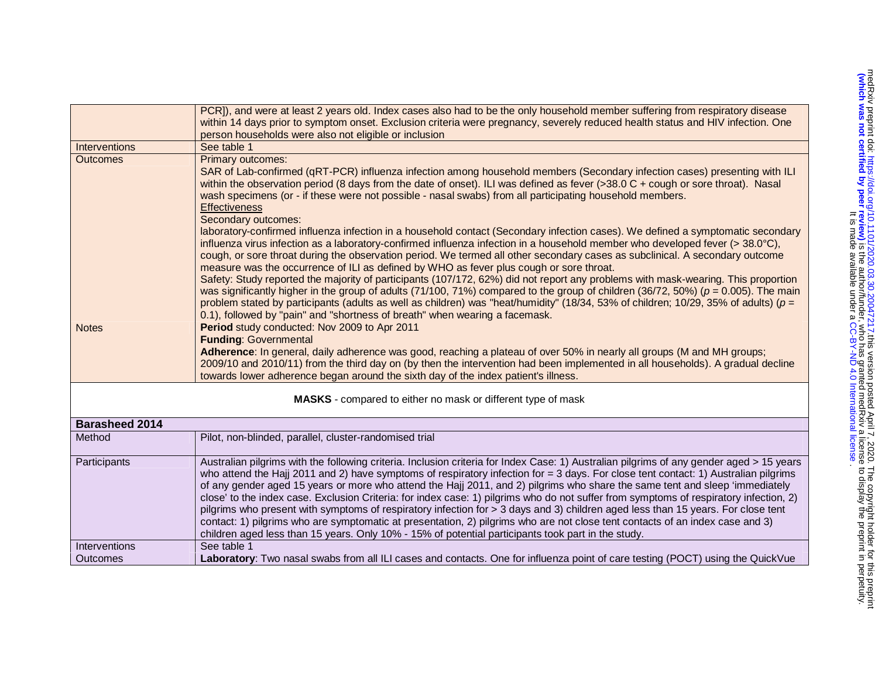|                                                              | PCR]), and were at least 2 years old. Index cases also had to be the only household member suffering from respiratory disease<br>within 14 days prior to symptom onset. Exclusion criteria were pregnancy, severely reduced health status and HIV infection. One<br>person households were also not eligible or inclusion                                                                                                                                                                                                                                                                                                                                                                                                                                                                                                                                                                                                              |  |  |
|--------------------------------------------------------------|----------------------------------------------------------------------------------------------------------------------------------------------------------------------------------------------------------------------------------------------------------------------------------------------------------------------------------------------------------------------------------------------------------------------------------------------------------------------------------------------------------------------------------------------------------------------------------------------------------------------------------------------------------------------------------------------------------------------------------------------------------------------------------------------------------------------------------------------------------------------------------------------------------------------------------------|--|--|
| Interventions                                                | See table 1                                                                                                                                                                                                                                                                                                                                                                                                                                                                                                                                                                                                                                                                                                                                                                                                                                                                                                                            |  |  |
| <b>Outcomes</b>                                              | Primary outcomes:<br>SAR of Lab-confirmed (qRT-PCR) influenza infection among household members (Secondary infection cases) presenting with ILI<br>within the observation period (8 days from the date of onset). ILI was defined as fever (>38.0 C + cough or sore throat). Nasal<br>wash specimens (or - if these were not possible - nasal swabs) from all participating household members.<br><b>Effectiveness</b><br>Secondary outcomes:                                                                                                                                                                                                                                                                                                                                                                                                                                                                                          |  |  |
|                                                              | laboratory-confirmed influenza infection in a household contact (Secondary infection cases). We defined a symptomatic secondary<br>influenza virus infection as a laboratory-confirmed influenza infection in a household member who developed fever (> 38.0°C),<br>cough, or sore throat during the observation period. We termed all other secondary cases as subclinical. A secondary outcome<br>measure was the occurrence of ILI as defined by WHO as fever plus cough or sore throat.                                                                                                                                                                                                                                                                                                                                                                                                                                            |  |  |
|                                                              | Safety: Study reported the majority of participants (107/172, 62%) did not report any problems with mask-wearing. This proportion<br>was significantly higher in the group of adults (71/100, 71%) compared to the group of children (36/72, 50%) ( $p = 0.005$ ). The main<br>problem stated by participants (adults as well as children) was "heat/humidity" (18/34, 53% of children; 10/29, 35% of adults) ( $p =$<br>0.1), followed by "pain" and "shortness of breath" when wearing a facemask.                                                                                                                                                                                                                                                                                                                                                                                                                                   |  |  |
| <b>Notes</b>                                                 | Period study conducted: Nov 2009 to Apr 2011<br><b>Funding: Governmental</b><br>Adherence: In general, daily adherence was good, reaching a plateau of over 50% in nearly all groups (M and MH groups;<br>2009/10 and 2010/11) from the third day on (by then the intervention had been implemented in all households). A gradual decline<br>towards lower adherence began around the sixth day of the index patient's illness.                                                                                                                                                                                                                                                                                                                                                                                                                                                                                                        |  |  |
| MASKS - compared to either no mask or different type of mask |                                                                                                                                                                                                                                                                                                                                                                                                                                                                                                                                                                                                                                                                                                                                                                                                                                                                                                                                        |  |  |
| <b>Barasheed 2014</b><br>Method                              | Pilot, non-blinded, parallel, cluster-randomised trial                                                                                                                                                                                                                                                                                                                                                                                                                                                                                                                                                                                                                                                                                                                                                                                                                                                                                 |  |  |
| Participants                                                 | Australian pilgrims with the following criteria. Inclusion criteria for Index Case: 1) Australian pilgrims of any gender aged > 15 years<br>who attend the Hajj 2011 and 2) have symptoms of respiratory infection for $=$ 3 days. For close tent contact: 1) Australian pilgrims<br>of any gender aged 15 years or more who attend the Hajj 2011, and 2) pilgrims who share the same tent and sleep 'immediately<br>close' to the index case. Exclusion Criteria: for index case: 1) pilgrims who do not suffer from symptoms of respiratory infection, 2)<br>pilgrims who present with symptoms of respiratory infection for > 3 days and 3) children aged less than 15 years. For close tent<br>contact: 1) pilgrims who are symptomatic at presentation, 2) pilgrims who are not close tent contacts of an index case and 3)<br>children aged less than 15 years. Only 10% - 15% of potential participants took part in the study. |  |  |
| Interventions                                                | See table 1                                                                                                                                                                                                                                                                                                                                                                                                                                                                                                                                                                                                                                                                                                                                                                                                                                                                                                                            |  |  |
| Outcomes                                                     | Laboratory: Two nasal swabs from all ILI cases and contacts. One for influenza point of care testing (POCT) using the QuickVue                                                                                                                                                                                                                                                                                                                                                                                                                                                                                                                                                                                                                                                                                                                                                                                                         |  |  |
|                                                              |                                                                                                                                                                                                                                                                                                                                                                                                                                                                                                                                                                                                                                                                                                                                                                                                                                                                                                                                        |  |  |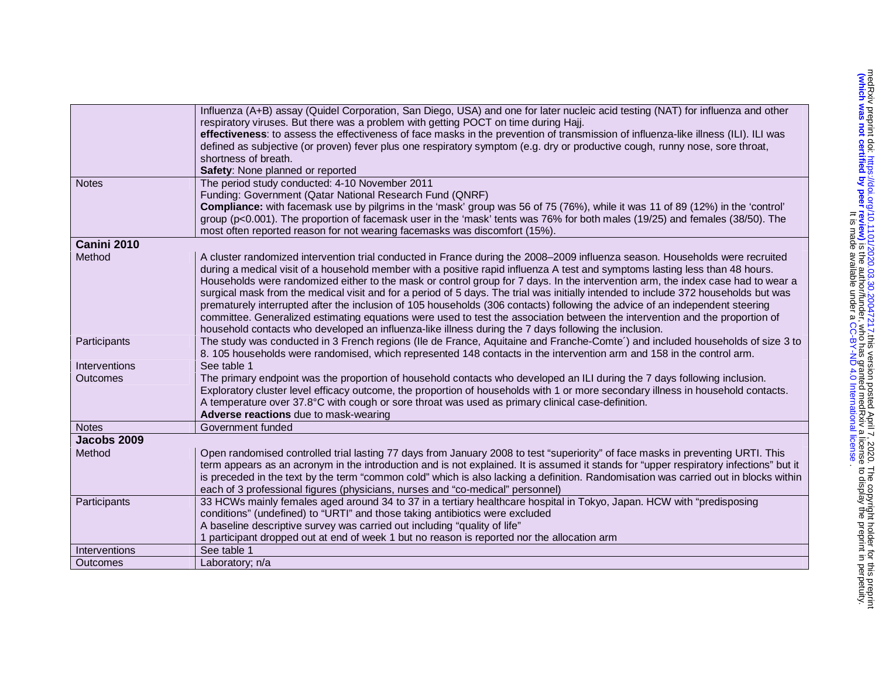|               | Influenza (A+B) assay (Quidel Corporation, San Diego, USA) and one for later nucleic acid testing (NAT) for influenza and other<br>respiratory viruses. But there was a problem with getting POCT on time during Hajj.<br>effectiveness: to assess the effectiveness of face masks in the prevention of transmission of influenza-like illness (ILI). ILI was<br>defined as subjective (or proven) fever plus one respiratory symptom (e.g. dry or productive cough, runny nose, sore throat,                                                                                                                                                                                                                                                                                                                                                                                                                    |
|---------------|------------------------------------------------------------------------------------------------------------------------------------------------------------------------------------------------------------------------------------------------------------------------------------------------------------------------------------------------------------------------------------------------------------------------------------------------------------------------------------------------------------------------------------------------------------------------------------------------------------------------------------------------------------------------------------------------------------------------------------------------------------------------------------------------------------------------------------------------------------------------------------------------------------------|
|               | shortness of breath.<br>Safety: None planned or reported                                                                                                                                                                                                                                                                                                                                                                                                                                                                                                                                                                                                                                                                                                                                                                                                                                                         |
| <b>Notes</b>  | The period study conducted: 4-10 November 2011                                                                                                                                                                                                                                                                                                                                                                                                                                                                                                                                                                                                                                                                                                                                                                                                                                                                   |
|               | Funding: Government (Qatar National Research Fund (QNRF)                                                                                                                                                                                                                                                                                                                                                                                                                                                                                                                                                                                                                                                                                                                                                                                                                                                         |
|               | Compliance: with facemask use by pilgrims in the 'mask' group was 56 of 75 (76%), while it was 11 of 89 (12%) in the 'control'<br>group (p<0.001). The proportion of facemask user in the 'mask' tents was 76% for both males (19/25) and females (38/50). The<br>most often reported reason for not wearing facemasks was discomfort (15%).                                                                                                                                                                                                                                                                                                                                                                                                                                                                                                                                                                     |
| Canini 2010   |                                                                                                                                                                                                                                                                                                                                                                                                                                                                                                                                                                                                                                                                                                                                                                                                                                                                                                                  |
| Method        | A cluster randomized intervention trial conducted in France during the 2008-2009 influenza season. Households were recruited<br>during a medical visit of a household member with a positive rapid influenza A test and symptoms lasting less than 48 hours.<br>Households were randomized either to the mask or control group for 7 days. In the intervention arm, the index case had to wear a<br>surgical mask from the medical visit and for a period of 5 days. The trial was initially intended to include 372 households but was<br>prematurely interrupted after the inclusion of 105 households (306 contacts) following the advice of an independent steering<br>committee. Generalized estimating equations were used to test the association between the intervention and the proportion of<br>household contacts who developed an influenza-like illness during the 7 days following the inclusion. |
| Participants  | The study was conducted in 3 French regions (Ile de France, Aquitaine and Franche-Comte') and included households of size 3 to<br>8. 105 households were randomised, which represented 148 contacts in the intervention arm and 158 in the control arm.                                                                                                                                                                                                                                                                                                                                                                                                                                                                                                                                                                                                                                                          |
| Interventions | See table 1                                                                                                                                                                                                                                                                                                                                                                                                                                                                                                                                                                                                                                                                                                                                                                                                                                                                                                      |
| Outcomes      | The primary endpoint was the proportion of household contacts who developed an ILI during the 7 days following inclusion.<br>Exploratory cluster level efficacy outcome, the proportion of households with 1 or more secondary illness in household contacts.<br>A temperature over 37.8°C with cough or sore throat was used as primary clinical case-definition.<br>Adverse reactions due to mask-wearing                                                                                                                                                                                                                                                                                                                                                                                                                                                                                                      |
| <b>Notes</b>  | Government funded                                                                                                                                                                                                                                                                                                                                                                                                                                                                                                                                                                                                                                                                                                                                                                                                                                                                                                |
| Jacobs 2009   |                                                                                                                                                                                                                                                                                                                                                                                                                                                                                                                                                                                                                                                                                                                                                                                                                                                                                                                  |
| Method        | Open randomised controlled trial lasting 77 days from January 2008 to test "superiority" of face masks in preventing URTI. This<br>term appears as an acronym in the introduction and is not explained. It is assumed it stands for "upper respiratory infections" but it<br>is preceded in the text by the term "common cold" which is also lacking a definition. Randomisation was carried out in blocks within<br>each of 3 professional figures (physicians, nurses and "co-medical" personnel)                                                                                                                                                                                                                                                                                                                                                                                                              |
| Participants  | 33 HCWs mainly females aged around 34 to 37 in a tertiary healthcare hospital in Tokyo, Japan. HCW with "predisposing<br>conditions" (undefined) to "URTI" and those taking antibiotics were excluded<br>A baseline descriptive survey was carried out including "quality of life"<br>1 participant dropped out at end of week 1 but no reason is reported nor the allocation arm                                                                                                                                                                                                                                                                                                                                                                                                                                                                                                                                |
| Interventions | See table 1                                                                                                                                                                                                                                                                                                                                                                                                                                                                                                                                                                                                                                                                                                                                                                                                                                                                                                      |
| Outcomes      | Laboratory; n/a                                                                                                                                                                                                                                                                                                                                                                                                                                                                                                                                                                                                                                                                                                                                                                                                                                                                                                  |
|               |                                                                                                                                                                                                                                                                                                                                                                                                                                                                                                                                                                                                                                                                                                                                                                                                                                                                                                                  |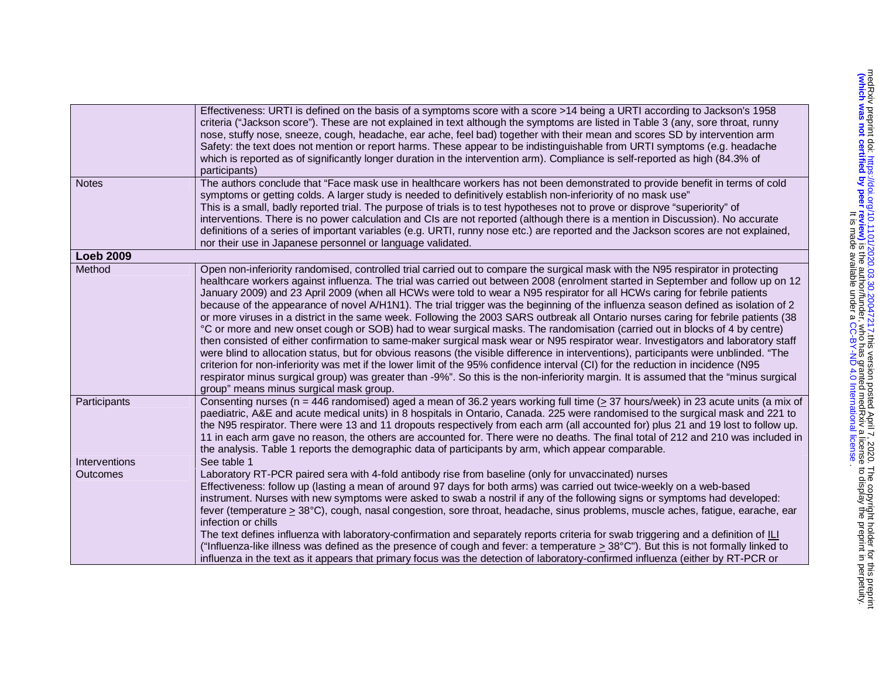|                        | Effectiveness: URTI is defined on the basis of a symptoms score with a score >14 being a URTI according to Jackson's 1958<br>criteria ("Jackson score"). These are not explained in text although the symptoms are listed in Table 3 (any, sore throat, runny<br>nose, stuffy nose, sneeze, cough, headache, ear ache, feel bad) together with their mean and scores SD by intervention arm<br>Safety: the text does not mention or report harms. These appear to be indistinguishable from URTI symptoms (e.g. headache<br>which is reported as of significantly longer duration in the intervention arm). Compliance is self-reported as high (84.3% of<br>participants)                                                                                                                                                                                                                                                                                                                                                                                                                                                                                                                                                                                                                                                                                                                                                                                                                                                                                                                                                                                                                                                                                                                                                                |
|------------------------|-------------------------------------------------------------------------------------------------------------------------------------------------------------------------------------------------------------------------------------------------------------------------------------------------------------------------------------------------------------------------------------------------------------------------------------------------------------------------------------------------------------------------------------------------------------------------------------------------------------------------------------------------------------------------------------------------------------------------------------------------------------------------------------------------------------------------------------------------------------------------------------------------------------------------------------------------------------------------------------------------------------------------------------------------------------------------------------------------------------------------------------------------------------------------------------------------------------------------------------------------------------------------------------------------------------------------------------------------------------------------------------------------------------------------------------------------------------------------------------------------------------------------------------------------------------------------------------------------------------------------------------------------------------------------------------------------------------------------------------------------------------------------------------------------------------------------------------------|
| <b>Notes</b>           | The authors conclude that "Face mask use in healthcare workers has not been demonstrated to provide benefit in terms of cold<br>symptoms or getting colds. A larger study is needed to definitively establish non-inferiority of no mask use"<br>This is a small, badly reported trial. The purpose of trials is to test hypotheses not to prove or disprove "superiority" of<br>interventions. There is no power calculation and CIs are not reported (although there is a mention in Discussion). No accurate<br>definitions of a series of important variables (e.g. URTI, runny nose etc.) are reported and the Jackson scores are not explained,<br>nor their use in Japanese personnel or language validated.                                                                                                                                                                                                                                                                                                                                                                                                                                                                                                                                                                                                                                                                                                                                                                                                                                                                                                                                                                                                                                                                                                                       |
| <b>Loeb 2009</b>       |                                                                                                                                                                                                                                                                                                                                                                                                                                                                                                                                                                                                                                                                                                                                                                                                                                                                                                                                                                                                                                                                                                                                                                                                                                                                                                                                                                                                                                                                                                                                                                                                                                                                                                                                                                                                                                           |
| Method<br>Participants | Open non-inferiority randomised, controlled trial carried out to compare the surgical mask with the N95 respirator in protecting<br>healthcare workers against influenza. The trial was carried out between 2008 (enrolment started in September and follow up on 12<br>January 2009) and 23 April 2009 (when all HCWs were told to wear a N95 respirator for all HCWs caring for febrile patients<br>because of the appearance of novel A/H1N1). The trial trigger was the beginning of the influenza season defined as isolation of 2<br>or more viruses in a district in the same week. Following the 2003 SARS outbreak all Ontario nurses caring for febrile patients (38<br>°C or more and new onset cough or SOB) had to wear surgical masks. The randomisation (carried out in blocks of 4 by centre)<br>then consisted of either confirmation to same-maker surgical mask wear or N95 respirator wear. Investigators and laboratory staff<br>were blind to allocation status, but for obvious reasons (the visible difference in interventions), participants were unblinded. "The<br>criterion for non-inferiority was met if the lower limit of the 95% confidence interval (CI) for the reduction in incidence (N95<br>respirator minus surgical group) was greater than -9%". So this is the non-inferiority margin. It is assumed that the "minus surgical<br>group" means minus surgical mask group.<br>Consenting nurses ( $n = 446$ randomised) aged a mean of 36.2 years working full time ( $\geq$ 37 hours/week) in 23 acute units (a mix of<br>paediatric, A&E and acute medical units) in 8 hospitals in Ontario, Canada. 225 were randomised to the surgical mask and 221 to<br>the N95 respirator. There were 13 and 11 dropouts respectively from each arm (all accounted for) plus 21 and 19 lost to follow up. |
|                        | 11 in each arm gave no reason, the others are accounted for. There were no deaths. The final total of 212 and 210 was included in                                                                                                                                                                                                                                                                                                                                                                                                                                                                                                                                                                                                                                                                                                                                                                                                                                                                                                                                                                                                                                                                                                                                                                                                                                                                                                                                                                                                                                                                                                                                                                                                                                                                                                         |
|                        | the analysis. Table 1 reports the demographic data of participants by arm, which appear comparable.                                                                                                                                                                                                                                                                                                                                                                                                                                                                                                                                                                                                                                                                                                                                                                                                                                                                                                                                                                                                                                                                                                                                                                                                                                                                                                                                                                                                                                                                                                                                                                                                                                                                                                                                       |
| Interventions          | See table 1                                                                                                                                                                                                                                                                                                                                                                                                                                                                                                                                                                                                                                                                                                                                                                                                                                                                                                                                                                                                                                                                                                                                                                                                                                                                                                                                                                                                                                                                                                                                                                                                                                                                                                                                                                                                                               |
| Outcomes               | Laboratory RT-PCR paired sera with 4-fold antibody rise from baseline (only for unvaccinated) nurses<br>Effectiveness: follow up (lasting a mean of around 97 days for both arms) was carried out twice-weekly on a web-based<br>instrument. Nurses with new symptoms were asked to swab a nostril if any of the following signs or symptoms had developed:<br>fever (temperature > 38°C), cough, nasal congestion, sore throat, headache, sinus problems, muscle aches, fatigue, earache, ear<br>infection or chills<br>The text defines influenza with laboratory-confirmation and separately reports criteria for swab triggering and a definition of ILI<br>("Influenza-like illness was defined as the presence of cough and fever: a temperature $>$ 38 $^{\circ}$ C"). But this is not formally linked to<br>influenza in the text as it appears that primary focus was the detection of laboratory-confirmed influenza (either by RT-PCR or                                                                                                                                                                                                                                                                                                                                                                                                                                                                                                                                                                                                                                                                                                                                                                                                                                                                                       |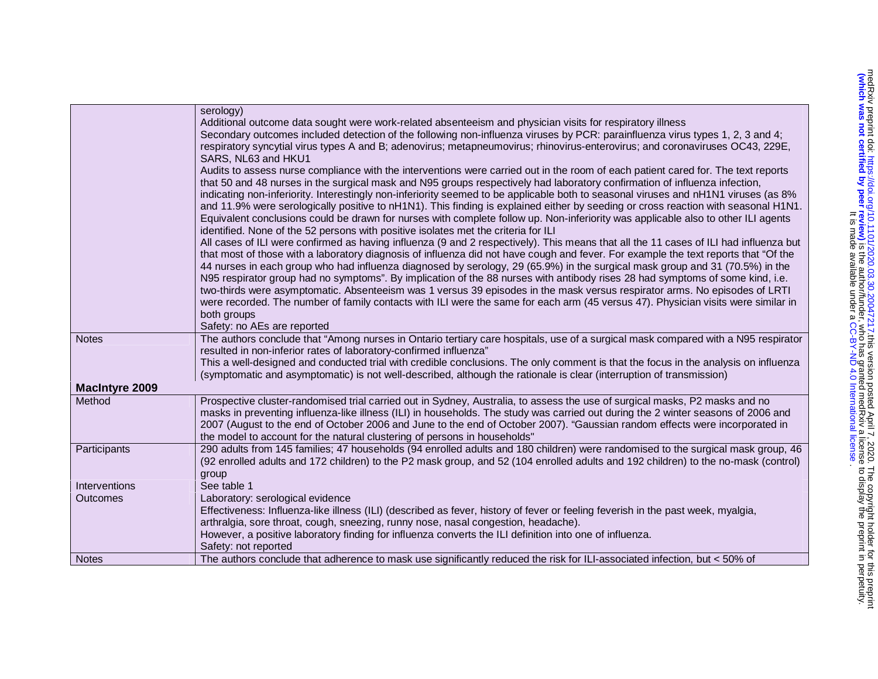|                       | serology)<br>Additional outcome data sought were work-related absenteeism and physician visits for respiratory illness<br>Secondary outcomes included detection of the following non-influenza viruses by PCR: parainfluenza virus types 1, 2, 3 and 4;<br>respiratory syncytial virus types A and B; adenovirus; metapneumovirus; rhinovirus-enterovirus; and coronaviruses OC43, 229E,<br>SARS, NL63 and HKU1<br>Audits to assess nurse compliance with the interventions were carried out in the room of each patient cared for. The text reports<br>that 50 and 48 nurses in the surgical mask and N95 groups respectively had laboratory confirmation of influenza infection,<br>indicating non-inferiority. Interestingly non-inferiority seemed to be applicable both to seasonal viruses and nH1N1 viruses (as 8%<br>and 11.9% were serologically positive to nH1N1). This finding is explained either by seeding or cross reaction with seasonal H1N1.<br>Equivalent conclusions could be drawn for nurses with complete follow up. Non-inferiority was applicable also to other ILI agents<br>identified. None of the 52 persons with positive isolates met the criteria for ILI<br>All cases of ILI were confirmed as having influenza (9 and 2 respectively). This means that all the 11 cases of ILI had influenza but<br>that most of those with a laboratory diagnosis of influenza did not have cough and fever. For example the text reports that "Of the<br>44 nurses in each group who had influenza diagnosed by serology, 29 (65.9%) in the surgical mask group and 31 (70.5%) in the<br>N95 respirator group had no symptoms". By implication of the 88 nurses with antibody rises 28 had symptoms of some kind, i.e.<br>two-thirds were asymptomatic. Absenteeism was 1 versus 39 episodes in the mask versus respirator arms. No episodes of LRTI<br>were recorded. The number of family contacts with ILI were the same for each arm (45 versus 47). Physician visits were similar in<br>both groups<br>Safety: no AEs are reported |
|-----------------------|--------------------------------------------------------------------------------------------------------------------------------------------------------------------------------------------------------------------------------------------------------------------------------------------------------------------------------------------------------------------------------------------------------------------------------------------------------------------------------------------------------------------------------------------------------------------------------------------------------------------------------------------------------------------------------------------------------------------------------------------------------------------------------------------------------------------------------------------------------------------------------------------------------------------------------------------------------------------------------------------------------------------------------------------------------------------------------------------------------------------------------------------------------------------------------------------------------------------------------------------------------------------------------------------------------------------------------------------------------------------------------------------------------------------------------------------------------------------------------------------------------------------------------------------------------------------------------------------------------------------------------------------------------------------------------------------------------------------------------------------------------------------------------------------------------------------------------------------------------------------------------------------------------------------------------------------------------------------------------------------------------------------------------------------------------------|
| <b>Notes</b>          | The authors conclude that "Among nurses in Ontario tertiary care hospitals, use of a surgical mask compared with a N95 respirator<br>resulted in non-inferior rates of laboratory-confirmed influenza"<br>This a well-designed and conducted trial with credible conclusions. The only comment is that the focus in the analysis on influenza<br>(symptomatic and asymptomatic) is not well-described, although the rationale is clear (interruption of transmission)                                                                                                                                                                                                                                                                                                                                                                                                                                                                                                                                                                                                                                                                                                                                                                                                                                                                                                                                                                                                                                                                                                                                                                                                                                                                                                                                                                                                                                                                                                                                                                                        |
| <b>MacIntyre 2009</b> |                                                                                                                                                                                                                                                                                                                                                                                                                                                                                                                                                                                                                                                                                                                                                                                                                                                                                                                                                                                                                                                                                                                                                                                                                                                                                                                                                                                                                                                                                                                                                                                                                                                                                                                                                                                                                                                                                                                                                                                                                                                              |
| Method                | Prospective cluster-randomised trial carried out in Sydney, Australia, to assess the use of surgical masks, P2 masks and no<br>masks in preventing influenza-like illness (ILI) in households. The study was carried out during the 2 winter seasons of 2006 and<br>2007 (August to the end of October 2006 and June to the end of October 2007). "Gaussian random effects were incorporated in<br>the model to account for the natural clustering of persons in households"                                                                                                                                                                                                                                                                                                                                                                                                                                                                                                                                                                                                                                                                                                                                                                                                                                                                                                                                                                                                                                                                                                                                                                                                                                                                                                                                                                                                                                                                                                                                                                                 |
| Participants          | 290 adults from 145 families; 47 households (94 enrolled adults and 180 children) were randomised to the surgical mask group, 46<br>(92 enrolled adults and 172 children) to the P2 mask group, and 52 (104 enrolled adults and 192 children) to the no-mask (control)<br>group                                                                                                                                                                                                                                                                                                                                                                                                                                                                                                                                                                                                                                                                                                                                                                                                                                                                                                                                                                                                                                                                                                                                                                                                                                                                                                                                                                                                                                                                                                                                                                                                                                                                                                                                                                              |
| Interventions         | See table 1                                                                                                                                                                                                                                                                                                                                                                                                                                                                                                                                                                                                                                                                                                                                                                                                                                                                                                                                                                                                                                                                                                                                                                                                                                                                                                                                                                                                                                                                                                                                                                                                                                                                                                                                                                                                                                                                                                                                                                                                                                                  |
| Outcomes              | Laboratory: serological evidence<br>Effectiveness: Influenza-like illness (ILI) (described as fever, history of fever or feeling feverish in the past week, myalgia,<br>arthralgia, sore throat, cough, sneezing, runny nose, nasal congestion, headache).<br>However, a positive laboratory finding for influenza converts the ILI definition into one of influenza.<br>Safety: not reported                                                                                                                                                                                                                                                                                                                                                                                                                                                                                                                                                                                                                                                                                                                                                                                                                                                                                                                                                                                                                                                                                                                                                                                                                                                                                                                                                                                                                                                                                                                                                                                                                                                                |
| <b>Notes</b>          | The authors conclude that adherence to mask use significantly reduced the risk for ILI-associated infection, but < 50% of                                                                                                                                                                                                                                                                                                                                                                                                                                                                                                                                                                                                                                                                                                                                                                                                                                                                                                                                                                                                                                                                                                                                                                                                                                                                                                                                                                                                                                                                                                                                                                                                                                                                                                                                                                                                                                                                                                                                    |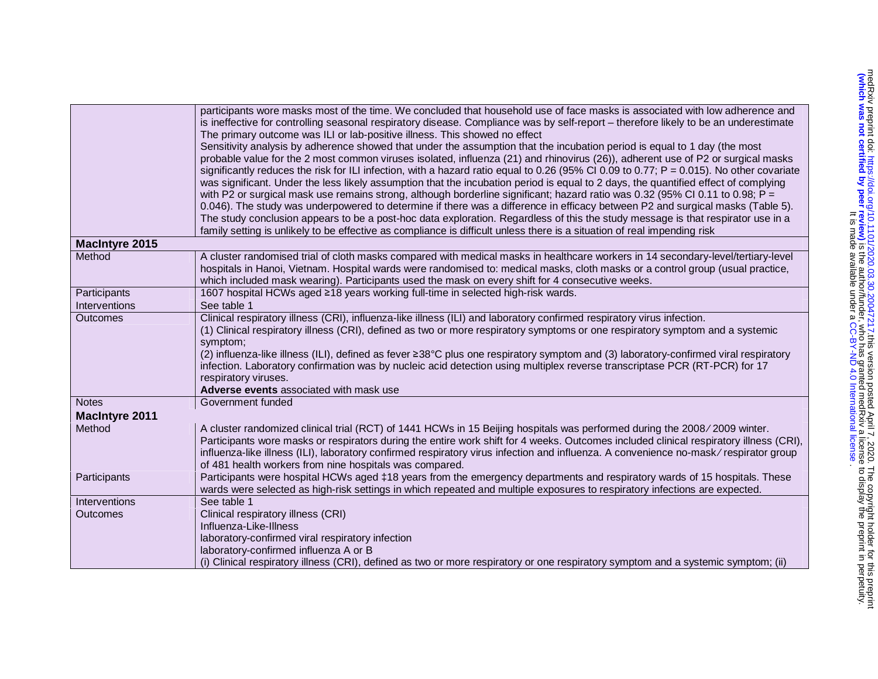|                       | participants wore masks most of the time. We concluded that household use of face masks is associated with low adherence and                                                                                                                                    |
|-----------------------|-----------------------------------------------------------------------------------------------------------------------------------------------------------------------------------------------------------------------------------------------------------------|
|                       | is ineffective for controlling seasonal respiratory disease. Compliance was by self-report - therefore likely to be an underestimate                                                                                                                            |
|                       | The primary outcome was ILI or lab-positive illness. This showed no effect                                                                                                                                                                                      |
|                       | Sensitivity analysis by adherence showed that under the assumption that the incubation period is equal to 1 day (the most                                                                                                                                       |
|                       | probable value for the 2 most common viruses isolated, influenza (21) and rhinovirus (26)), adherent use of P2 or surgical masks                                                                                                                                |
|                       | significantly reduces the risk for ILI infection, with a hazard ratio equal to 0.26 (95% CI 0.09 to 0.77; $P = 0.015$ ). No other covariate                                                                                                                     |
|                       | was significant. Under the less likely assumption that the incubation period is equal to 2 days, the quantified effect of complying                                                                                                                             |
|                       | with P2 or surgical mask use remains strong, although borderline significant; hazard ratio was 0.32 (95% CI 0.11 to 0.98; P =<br>0.046). The study was underpowered to determine if there was a difference in efficacy between P2 and surgical masks (Table 5). |
|                       | The study conclusion appears to be a post-hoc data exploration. Regardless of this the study message is that respirator use in a                                                                                                                                |
|                       | family setting is unlikely to be effective as compliance is difficult unless there is a situation of real impending risk                                                                                                                                        |
| <b>MacIntyre 2015</b> |                                                                                                                                                                                                                                                                 |
| Method                | A cluster randomised trial of cloth masks compared with medical masks in healthcare workers in 14 secondary-level/tertiary-level                                                                                                                                |
|                       | hospitals in Hanoi, Vietnam. Hospital wards were randomised to: medical masks, cloth masks or a control group (usual practice,                                                                                                                                  |
|                       | which included mask wearing). Participants used the mask on every shift for 4 consecutive weeks.                                                                                                                                                                |
| Participants          | 1607 hospital HCWs aged ≥18 years working full-time in selected high-risk wards.                                                                                                                                                                                |
| Interventions         | See table 1                                                                                                                                                                                                                                                     |
| <b>Outcomes</b>       | Clinical respiratory illness (CRI), influenza-like illness (ILI) and laboratory confirmed respiratory virus infection.                                                                                                                                          |
|                       | (1) Clinical respiratory illness (CRI), defined as two or more respiratory symptoms or one respiratory symptom and a systemic                                                                                                                                   |
|                       | symptom;                                                                                                                                                                                                                                                        |
|                       | (2) influenza-like illness (ILI), defined as fever ≥38°C plus one respiratory symptom and (3) laboratory-confirmed viral respiratory                                                                                                                            |
|                       | infection. Laboratory confirmation was by nucleic acid detection using multiplex reverse transcriptase PCR (RT-PCR) for 17                                                                                                                                      |
|                       | respiratory viruses.<br>Adverse events associated with mask use                                                                                                                                                                                                 |
| <b>Notes</b>          | Government funded                                                                                                                                                                                                                                               |
| <b>MacIntyre 2011</b> |                                                                                                                                                                                                                                                                 |
| Method                | A cluster randomized clinical trial (RCT) of 1441 HCWs in 15 Beijing hospitals was performed during the 2008/2009 winter.                                                                                                                                       |
|                       | Participants wore masks or respirators during the entire work shift for 4 weeks. Outcomes included clinical respiratory illness (CRI),                                                                                                                          |
|                       | influenza-like illness (ILI), laboratory confirmed respiratory virus infection and influenza. A convenience no-mask/respirator group                                                                                                                            |
|                       | of 481 health workers from nine hospitals was compared.                                                                                                                                                                                                         |
| Participants          | Participants were hospital HCWs aged ‡18 years from the emergency departments and respiratory wards of 15 hospitals. These                                                                                                                                      |
|                       | wards were selected as high-risk settings in which repeated and multiple exposures to respiratory infections are expected.                                                                                                                                      |
| Interventions         | See table 1                                                                                                                                                                                                                                                     |
| <b>Outcomes</b>       | Clinical respiratory illness (CRI)                                                                                                                                                                                                                              |
|                       | Influenza-Like-Illness                                                                                                                                                                                                                                          |
|                       | laboratory-confirmed viral respiratory infection                                                                                                                                                                                                                |
|                       | laboratory-confirmed influenza A or B                                                                                                                                                                                                                           |
|                       | (i) Clinical respiratory illness (CRI), defined as two or more respiratory or one respiratory symptom and a systemic symptom; (ii)                                                                                                                              |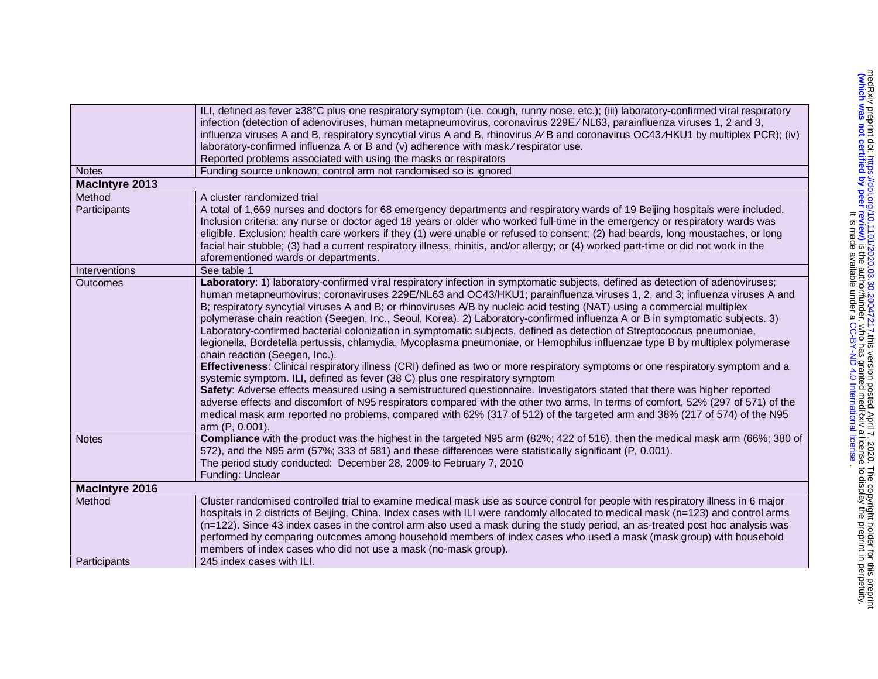|                       | ILI, defined as fever ≥38°C plus one respiratory symptom (i.e. cough, runny nose, etc.); (iii) laboratory-confirmed viral respiratory<br>infection (detection of adenoviruses, human metapneumovirus, coronavirus 229E/NL63, parainfluenza viruses 1, 2 and 3,<br>influenza viruses A and B, respiratory syncytial virus A and B, rhinovirus A/B and coronavirus OC43/HKU1 by multiplex PCR); (iv)<br>laboratory-confirmed influenza A or B and (v) adherence with mask/respirator use.<br>Reported problems associated with using the masks or respirators                                                                                                                                                                                                                                                                                                                                                                                                                                                                                                                                                                                                                                                                                                                                                                                                                                                                                          |
|-----------------------|------------------------------------------------------------------------------------------------------------------------------------------------------------------------------------------------------------------------------------------------------------------------------------------------------------------------------------------------------------------------------------------------------------------------------------------------------------------------------------------------------------------------------------------------------------------------------------------------------------------------------------------------------------------------------------------------------------------------------------------------------------------------------------------------------------------------------------------------------------------------------------------------------------------------------------------------------------------------------------------------------------------------------------------------------------------------------------------------------------------------------------------------------------------------------------------------------------------------------------------------------------------------------------------------------------------------------------------------------------------------------------------------------------------------------------------------------|
| <b>Notes</b>          | Funding source unknown; control arm not randomised so is ignored                                                                                                                                                                                                                                                                                                                                                                                                                                                                                                                                                                                                                                                                                                                                                                                                                                                                                                                                                                                                                                                                                                                                                                                                                                                                                                                                                                                     |
| <b>MacIntyre 2013</b> |                                                                                                                                                                                                                                                                                                                                                                                                                                                                                                                                                                                                                                                                                                                                                                                                                                                                                                                                                                                                                                                                                                                                                                                                                                                                                                                                                                                                                                                      |
| Method                | A cluster randomized trial                                                                                                                                                                                                                                                                                                                                                                                                                                                                                                                                                                                                                                                                                                                                                                                                                                                                                                                                                                                                                                                                                                                                                                                                                                                                                                                                                                                                                           |
| Participants          | A total of 1,669 nurses and doctors for 68 emergency departments and respiratory wards of 19 Beijing hospitals were included.<br>Inclusion criteria: any nurse or doctor aged 18 years or older who worked full-time in the emergency or respiratory wards was<br>eligible. Exclusion: health care workers if they (1) were unable or refused to consent; (2) had beards, long moustaches, or long<br>facial hair stubble; (3) had a current respiratory illness, rhinitis, and/or allergy; or (4) worked part-time or did not work in the<br>aforementioned wards or departments.                                                                                                                                                                                                                                                                                                                                                                                                                                                                                                                                                                                                                                                                                                                                                                                                                                                                   |
| Interventions         | See table 1                                                                                                                                                                                                                                                                                                                                                                                                                                                                                                                                                                                                                                                                                                                                                                                                                                                                                                                                                                                                                                                                                                                                                                                                                                                                                                                                                                                                                                          |
| <b>Outcomes</b>       | Laboratory: 1) laboratory-confirmed viral respiratory infection in symptomatic subjects, defined as detection of adenoviruses;<br>human metapneumovirus; coronaviruses 229E/NL63 and OC43/HKU1; parainfluenza viruses 1, 2, and 3; influenza viruses A and<br>B; respiratory syncytial viruses A and B; or rhinoviruses A/B by nucleic acid testing (NAT) using a commercial multiplex<br>polymerase chain reaction (Seegen, Inc., Seoul, Korea). 2) Laboratory-confirmed influenza A or B in symptomatic subjects. 3)<br>Laboratory-confirmed bacterial colonization in symptomatic subjects, defined as detection of Streptococcus pneumoniae,<br>legionella, Bordetella pertussis, chlamydia, Mycoplasma pneumoniae, or Hemophilus influenzae type B by multiplex polymerase<br>chain reaction (Seegen, Inc.).<br>Effectiveness: Clinical respiratory illness (CRI) defined as two or more respiratory symptoms or one respiratory symptom and a<br>systemic symptom. ILI, defined as fever (38 C) plus one respiratory symptom<br>Safety: Adverse effects measured using a semistructured questionnaire. Investigators stated that there was higher reported<br>adverse effects and discomfort of N95 respirators compared with the other two arms, In terms of comfort, 52% (297 of 571) of the<br>medical mask arm reported no problems, compared with 62% (317 of 512) of the targeted arm and 38% (217 of 574) of the N95<br>arm (P, 0.001). |
| <b>Notes</b>          | Compliance with the product was the highest in the targeted N95 arm (82%; 422 of 516), then the medical mask arm (66%; 380 of<br>572), and the N95 arm (57%; 333 of 581) and these differences were statistically significant (P, 0.001).<br>The period study conducted: December 28, 2009 to February 7, 2010<br>Funding: Unclear                                                                                                                                                                                                                                                                                                                                                                                                                                                                                                                                                                                                                                                                                                                                                                                                                                                                                                                                                                                                                                                                                                                   |
| <b>MacIntyre 2016</b> |                                                                                                                                                                                                                                                                                                                                                                                                                                                                                                                                                                                                                                                                                                                                                                                                                                                                                                                                                                                                                                                                                                                                                                                                                                                                                                                                                                                                                                                      |
| Method                | Cluster randomised controlled trial to examine medical mask use as source control for people with respiratory illness in 6 major<br>hospitals in 2 districts of Beijing, China. Index cases with ILI were randomly allocated to medical mask (n=123) and control arms<br>(n=122). Since 43 index cases in the control arm also used a mask during the study period, an as-treated post hoc analysis was<br>performed by comparing outcomes among household members of index cases who used a mask (mask group) with household<br>members of index cases who did not use a mask (no-mask group).                                                                                                                                                                                                                                                                                                                                                                                                                                                                                                                                                                                                                                                                                                                                                                                                                                                      |
| Participants          | 245 index cases with ILI.                                                                                                                                                                                                                                                                                                                                                                                                                                                                                                                                                                                                                                                                                                                                                                                                                                                                                                                                                                                                                                                                                                                                                                                                                                                                                                                                                                                                                            |
|                       |                                                                                                                                                                                                                                                                                                                                                                                                                                                                                                                                                                                                                                                                                                                                                                                                                                                                                                                                                                                                                                                                                                                                                                                                                                                                                                                                                                                                                                                      |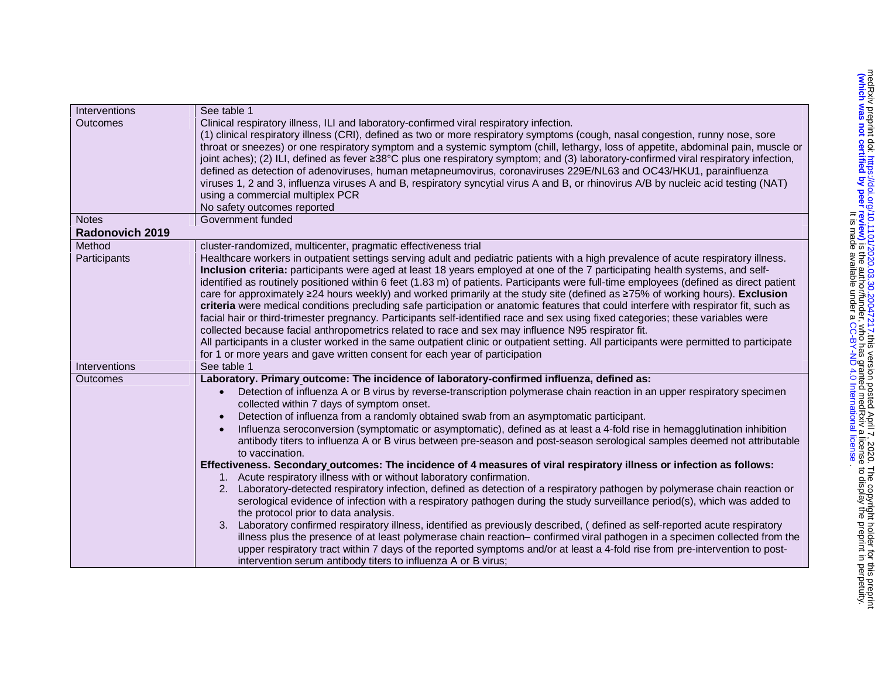| Interventions   | See table 1                                                                                                                              |
|-----------------|------------------------------------------------------------------------------------------------------------------------------------------|
| <b>Outcomes</b> | Clinical respiratory illness, ILI and laboratory-confirmed viral respiratory infection.                                                  |
|                 | (1) clinical respiratory illness (CRI), defined as two or more respiratory symptoms (cough, nasal congestion, runny nose, sore           |
|                 | throat or sneezes) or one respiratory symptom and a systemic symptom (chill, lethargy, loss of appetite, abdominal pain, muscle or       |
|                 | joint aches); (2) ILI, defined as fever ≥38°C plus one respiratory symptom; and (3) laboratory-confirmed viral respiratory infection,    |
|                 | defined as detection of adenoviruses, human metapneumovirus, coronaviruses 229E/NL63 and OC43/HKU1, parainfluenza                        |
|                 | viruses 1, 2 and 3, influenza viruses A and B, respiratory syncytial virus A and B, or rhinovirus A/B by nucleic acid testing (NAT)      |
|                 | using a commercial multiplex PCR                                                                                                         |
|                 | No safety outcomes reported                                                                                                              |
| <b>Notes</b>    | Government funded                                                                                                                        |
| Radonovich 2019 |                                                                                                                                          |
| Method          | cluster-randomized, multicenter, pragmatic effectiveness trial                                                                           |
| Participants    | Healthcare workers in outpatient settings serving adult and pediatric patients with a high prevalence of acute respiratory illness.      |
|                 | Inclusion criteria: participants were aged at least 18 years employed at one of the 7 participating health systems, and self-            |
|                 | identified as routinely positioned within 6 feet (1.83 m) of patients. Participants were full-time employees (defined as direct patient  |
|                 | care for approximately ≥24 hours weekly) and worked primarily at the study site (defined as ≥75% of working hours). Exclusion            |
|                 | criteria were medical conditions precluding safe participation or anatomic features that could interfere with respirator fit, such as    |
|                 | facial hair or third-trimester pregnancy. Participants self-identified race and sex using fixed categories; these variables were         |
|                 | collected because facial anthropometrics related to race and sex may influence N95 respirator fit.                                       |
|                 | All participants in a cluster worked in the same outpatient clinic or outpatient setting. All participants were permitted to participate |
|                 | for 1 or more years and gave written consent for each year of participation                                                              |
| Interventions   | See table 1                                                                                                                              |
| Outcomes        | Laboratory. Primary outcome: The incidence of laboratory-confirmed influenza, defined as:                                                |
|                 | Detection of influenza A or B virus by reverse-transcription polymerase chain reaction in an upper respiratory specimen                  |
|                 | collected within 7 days of symptom onset.                                                                                                |
|                 | Detection of influenza from a randomly obtained swab from an asymptomatic participant.                                                   |
|                 | Influenza seroconversion (symptomatic or asymptomatic), defined as at least a 4-fold rise in hemagglutination inhibition                 |
|                 | antibody titers to influenza A or B virus between pre-season and post-season serological samples deemed not attributable                 |
|                 | to vaccination.                                                                                                                          |
|                 | Effectiveness. Secondary outcomes: The incidence of 4 measures of viral respiratory illness or infection as follows:                     |
|                 | 1. Acute respiratory illness with or without laboratory confirmation.                                                                    |
|                 | 2. Laboratory-detected respiratory infection, defined as detection of a respiratory pathogen by polymerase chain reaction or             |
|                 | serological evidence of infection with a respiratory pathogen during the study surveillance period(s), which was added to                |
|                 | the protocol prior to data analysis.                                                                                                     |
|                 | 3. Laboratory confirmed respiratory illness, identified as previously described, (defined as self-reported acute respiratory             |
|                 | illness plus the presence of at least polymerase chain reaction- confirmed viral pathogen in a specimen collected from the               |
|                 | upper respiratory tract within 7 days of the reported symptoms and/or at least a 4-fold rise from pre-intervention to post-              |
|                 | intervention serum antibody titers to influenza A or B virus;                                                                            |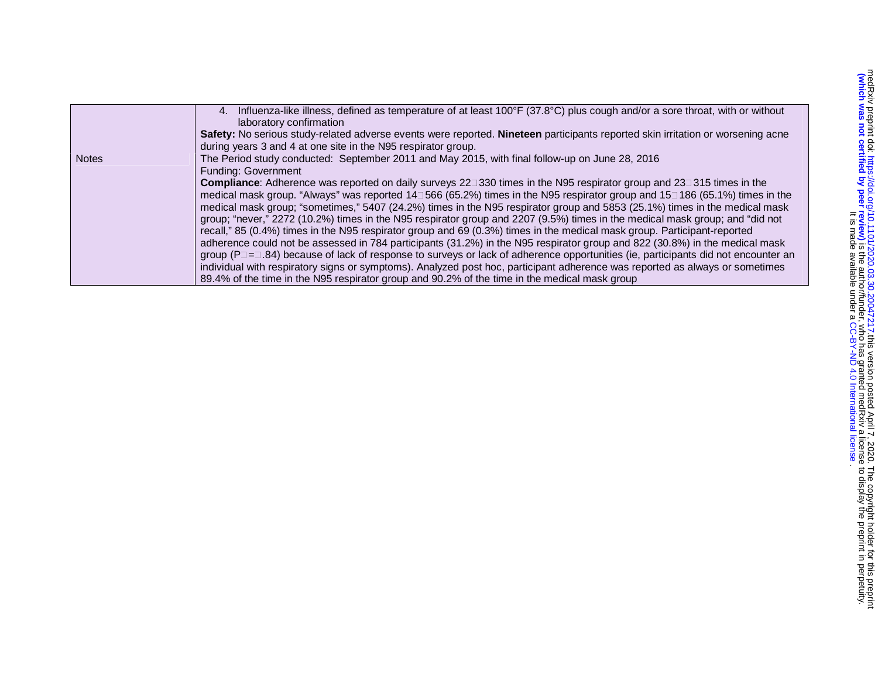|              | 4. Influenza-like illness, defined as temperature of at least 100°F (37.8°C) plus cough and/or a sore throat, with or without<br>laboratory confirmation |
|--------------|----------------------------------------------------------------------------------------------------------------------------------------------------------|
|              | Safety: No serious study-related adverse events were reported. Nineteen participants reported skin irritation or worsening acne                          |
|              | during years 3 and 4 at one site in the N95 respirator group.                                                                                            |
| <b>Notes</b> | The Period study conducted: September 2011 and May 2015, with final follow-up on June 28, 2016                                                           |
|              | Funding: Government                                                                                                                                      |
|              | <b>Compliance:</b> Adherence was reported on daily surveys 22 $\exists$ 330 times in the N95 respirator group and 23 $\exists$ 315 times in the          |
|              | medical mask group. "Always" was reported 14∃566 (65.2%) times in the N95 respirator group and 15∃186 (65.1%) times in the                               |
|              | medical mask group; "sometimes," 5407 (24.2%) times in the N95 respirator group and 5853 (25.1%) times in the medical mask                               |
|              | group; "never," 2272 (10.2%) times in the N95 respirator group and 2207 (9.5%) times in the medical mask group; and "did not                             |
|              | recall," 85 (0.4%) times in the N95 respirator group and 69 (0.3%) times in the medical mask group. Participant-reported                                 |
|              | adherence could not be assessed in 784 participants (31.2%) in the N95 respirator group and 822 (30.8%) in the medical mask                              |
|              | group ( $P = 1.84$ ) because of lack of response to surveys or lack of adherence opportunities (ie, participants did not encounter an                    |
|              | individual with respiratory signs or symptoms). Analyzed post hoc, participant adherence was reported as always or sometimes                             |
|              | 89.4% of the time in the N95 respirator group and 90.2% of the time in the medical mask group                                                            |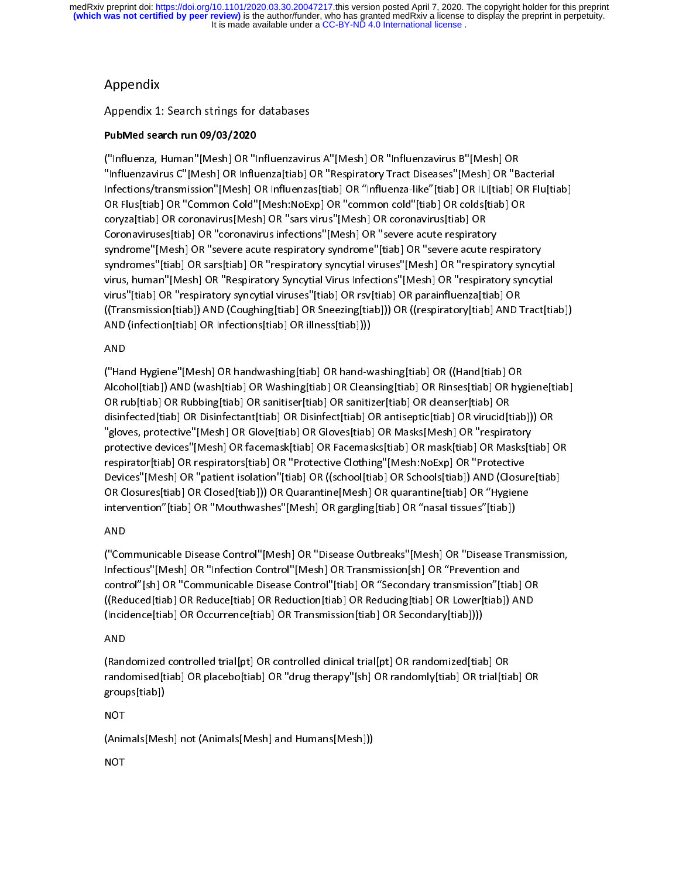## Appendix

Appendix 1: Search strings for databases

## PubMed search run 09/03/2020

("Influenza, Human"[Mesh] OR "Influenzavirus A"[Mesh] OR "Influenzavirus B"[Mesh] OR<br>"Influenzavirus C"[Mesh] OR Influenza[tiab] OR "Respiratory Tract Diseases"[Mesh] OR "Bacterial "Influenzavirus C"[Mesh] OR Influenza[tiab] OR "Respiratory Tract Diseases"[Mesh] OR "Bacterial Infections/transmission"[Mesh] OR Influenzas[tiab] OR "Influenza-like"[tiab] OR ILI[tiab] OR Flu[tiab] OR Flus[tiab] OR "Common Cold"[Mesh:NoExp] OR "common cold"[tiab] OR colds[tiab] OR<br>coryza[tiab] OR coronavirus[Mesh] OR "sars virus"[Mesh] OR coronavirus[tiab] OR Coronaviruses[tiab] OR "coronavirus infections"[Mesh] OR "severe acute respiratory Coronaviruses[tiab] OR "coronavirus infections"[Mesh] OR "severe acute respiratory syndrome [wesh] OR "severe acute respiratory syndrome"[trab] OR "severe acute respiratory" syndromes"[tiab] OR sars[tiab] OR "respiratory syncytial viruses"[Mesh] OR "respiratory syncytial virus, human"[Mesh] OR "Respiratory Syncytial Virus Infections"[Mesh] OR "respiratory syncytial virus "[tiab] OR "respiratory syncytial viruses"[tiab] OR rsv[tiab] OR parainfluenza[tiab] OR parainfluenza] O ((Transmission[tiab]) AND (Coughing[tiab] OR Sneezing[tiab])) OR ((respiratory[tiab] AND Tract[tiab]) AND (infection[tiab] OR Infections[tiab] OR illness[tiab])))

## AND

("Hand Hygiene"[Mesh] OR handwashing[tiab] OR hand-washing[tiab] OR ((Hand[tiab] OR Alcohol[tiab]) AND (wash[tiab] OR Washing[tiab] OR Cleansing[tiab] OR Rinses[tiab] OR hygiene[tiab] OR rub[tiab] OR Rubbing[tiab] OR sanitiser[tiab] OR sanitizer[tiab] OR cleanser[tiab] OR<br>disinfected[tiab] OR Disinfectant[tiab] OR Disinfect[tiab] OR antiseptic[tiab] OR virucid[tiab])) OR disinfected[tiab] OR Disinfectant[tiab] OR Disinfect[tiab] OR antiseptic[tiab] OR virucid[tiab])) OR gloves, protective "[Mesh] OR Glove[tiab] OR Gloves[tiab] OR Masks[Mesh] OR "respiratory" protective devices"[Mesh] OR facemask[tiab] OR Facemasks[tiab] OR mask[tiab] OR Masks[tiab] OR<br>respirator[tiab] OR respirators[tiab] OR "Protective Clothing"[Mesh:NoExp] OR "Protective respirator[tiab] OR respirators[tiab] OR "Protective Clothing"[Mesh:NoExp] OR "Protective Devices"[Mesh] OR "patient isolation"[tiab] OR ((school[tiab] OR Schools[tiab]) AND (Closure[tiab] OR Closures[tiab] OR Closed[tiab])) OR Quarantine[Mesh] OR quarantine[tiab] OR "Hygiene intervention"[tiab] OR "Mouthwashes"[Mesh] OR gargling[tiab] OR "nasal tissues"[tiab])

## AND

("Communicable Disease Control"[Mesh] OR "Disease Outbreaks"[Mesh] OR "Disease Transmission,<br>Infectious"[Mesh] OR "Infection Control"[Mesh] OR Transmission[sh] OR "Prevention and Infectious"[Mesh] OR "Infection Control"[Mesh] OR Transmission[sh] OR "Prevention and control"[sh] OR "Communicable Disease Control"[tiab] OR "Secondary transmission"[tiab] OR  $(\text{Réadecal} \text{ for } \text{Réadecal} \text{ for } \text{Réadecal} \text{ for } \text{Réadecal} \text{ for } \text{Réadecal} \text{ for } \text{Réadecal} \text{ for } \text{Réadecal} \text{ for } \text{Réadecal} \text{ for } \text{Réadecal} \text{ for } \text{Réadecal} \text{ for } \text{Réadecal} \text{ for } \text{Réadecal} \text{ for } \text{Réadecal} \text{ for } \text{Réadecal} \text{ for } \text{Réadecal} \text{ for } \text{Réadecal} \$ (Incidence[tiab] OR Occurrence[tiab] OR Transmission[tiab] OR Secondary[tiab])))

## AND

(Randomized controlled trial[pt] OR controlled clinical trial[pt] OR randomized[tiab] OR randomised[tiab] OR placebo[tiab] OR "drug therapy"[sh] OR randomly[tiab] OR trial[tiab] OR groups[tiab])

## **NOT**

(Animals[Mesh] not (Animals[Mesh] and Humans[Mesh]))

## **NOT**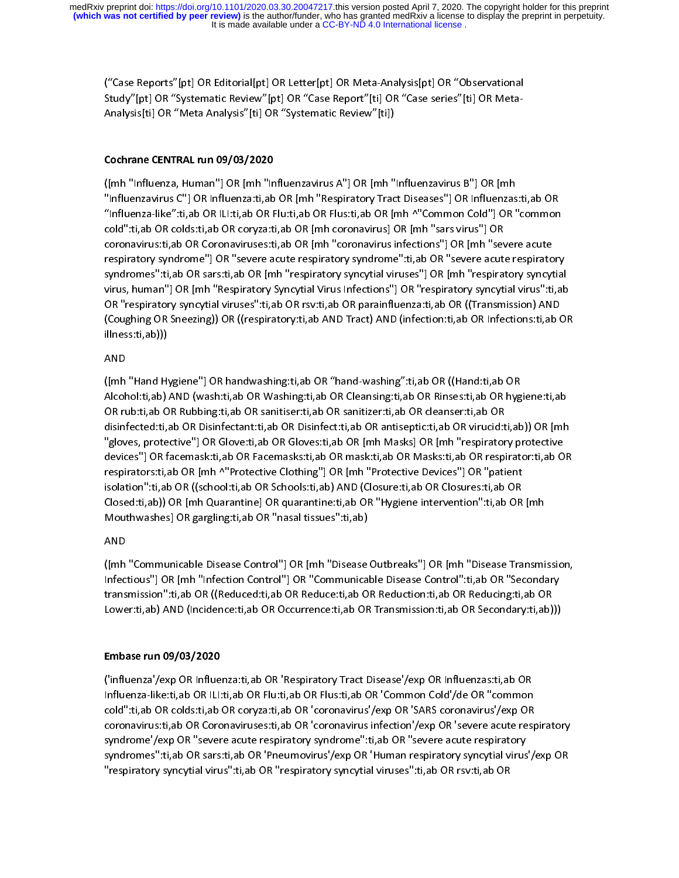("Case Reports"[pt] OR Editorial[pt] OR Letter[pt] OR Meta-Analysis[pt] OR "Observational Study"[pt] OR "Systematic Review"[pt] OR "Case Report"[ti] OR "Case series"[ti] OR Meta-Analysis[ti] OR "Meta Analysis"[ti] OR "Systematic Review"[ti])

## Cochrane CENTRAL run 09/03/2020

([mh "Influenza, Human"] OR [mh "Influenzavirus A"] OR [mh "Influenzavirus B"] OR [mh<br>"Influenzavirus C"] OR Influenza:ti,ab OR [mh "Respiratory Tract Diseases"] OR Influenzas:ti,ab OR "Influenzavirus C"] OR Influenza:ti,ab OR [mh "Respiratory Tract Diseases"] OR Influenzas:ti,ab OR  $\frac{1}{100}$ : $\frac{1}{100}$   $\frac{1}{100}$   $\frac{1}{100}$   $\frac{1}{100}$   $\frac{1}{100}$   $\frac{1}{100}$   $\frac{1}{100}$   $\frac{1}{100}$   $\frac{1}{100}$   $\frac{1}{100}$   $\frac{1}{100}$   $\frac{1}{100}$   $\frac{1}{100}$   $\frac{1}{100}$   $\frac{1}{100}$   $\frac{1}{100}$   $\frac{1}{100}$   $\frac{1$ cold":ti,ab OR colds:ti,ab OR coryza:ti,ab OR [mh coronavirus] OR [mh "sars virus"] OR coronavirus:ti,ab OR Coronaviruses:ti,ab OR [mh "coronavirus infections"] OR [mh "severe acute respiratory syndrome"] OR "severe acute respiratory syndrome":ti,ab OR "severe acute respiratory syndromes":ti,ab OR sars:ti,ab OR [mh "respiratory syncytial viruses"] OR [mh "respiratory syncytial virus, human"] OR [mh "Respiratory Syncytial Virus Infections"] OR "respiratory syncytial virus":ti,ab OR "respiratory syncytial viruses":ti,ab OR rsv:ti,ab OR parainfluenza:ti,ab OR ((Transmission) AND (Coughing OR Sneezing)) OR ((respiratory:ti,ab AND Tract) AND (infection:ti,ab OR Infections:ti,ab OR illness:ti,ab)))

## AND

([mh "Hand Hygiene"] OR handwashing:ti,ab OR "hand-washing":ti,ab OR ((Hand:ti,ab OR Alcohol:ti,ab) AND (wash:ti,ab OR Washing:ti,ab OR Cleansing:ti,ab OR Rinses:ti,ab OR hygiene:ti,ab OR rub:ti,ab OR Rubbing:ti,ab OR sanitiser:ti,ab OR sanitizer:ti,ab OR cleanser:ti,ab OR disinfected:ti,ab OR Disinfectant:ti,ab OR Disinfect:ti,ab OR antiseptic:ti,ab OR virucid:ti,ab)) OR [mh "gloves, protective"] OR Glove:ti,ab OR Gloves:ti,ab OR [mh Masks] OR [mh "respiratory protective<br>devices"] OR facemask:ti,ab OR Facemasks:ti,ab OR mask:ti,ab OR Masks:ti,ab OR respirator:ti,ab OR respirators:ti,ab OR [mh ^ "Protective Clothing"] OR [mh "Protective Devices"] OR "patient respirators:ti,ab OR [mh ^"Protective Clothing"] OR [mh "Protective Devices"] OR "patient isolation":ti,ab OR ((school:ti,ab OR Schools:ti,ab) AND (Closure:ti,ab OR Closures:ti,ab OR Closed:ti,ab)) OR [mh Quarantine] OR quarantine:ti,ab OR "Hygiene intervention":ti,ab OR [mh Mouthwashes] OR gargling:ti,ab OR "nasal tissues":ti,ab)

## AND

([mh "Communicable Disease Control"] OR [mh "Disease Outbreaks"] OR [mh "Disease Transmission,<br>Infectious"] OR [mh "Infection Control"] OR "Communicable Disease Control":ti,ab OR "Secondary transmission":ti,ab OR ((Reduced:ti,ab OR Reduce:ti,ab OR Reduction:ti,ab OR Reducing:ti,ab OR transmission":ti,ab OR ((Reduced:ti,ab OR Reduce:ti,ab OR Reduction:ti,ab OR Reducing:ti,ab OR Lower:ti,ab) AND (Incidence:ti,ab OR Occurrence:ti,ab OR Transmission:ti,ab OR Secondary:ti,ab)))

## Embase run 09/03/2020

('influenza'/exp OR Influenza:ti,ab OR 'Respiratory Tract Disease'/exp OR Influenzas:ti,ab OR Influenza-like:ti,ab OR ILI:ti,ab OR Flu:ti,ab OR Flus:ti,ab OR 'Common Cold'/de OR "common cold":ti,ab OR colds:ti,ab OR coryza:ti,ab OR 'coronavirus'/exp OR 'SARS coronavirus'/exp OR coronavirus:ti,ab OR Coronaviruses:ti,ab OR 'coronavirus infection'/exp OR 'severe acute respiratory syndrome'/exp OR "severe acute respiratory syndrome":ti,ab OR "severe acute respiratory syndromes":ti,ab OR sars:ti,ab OR 'Pneumovirus'/exp OR 'Human respiratory syncytial virus'/exp OR "respiratory syncytial virus":ti,ab OR "respiratory syncytial viruses":ti,ab OR rsv:ti,ab OR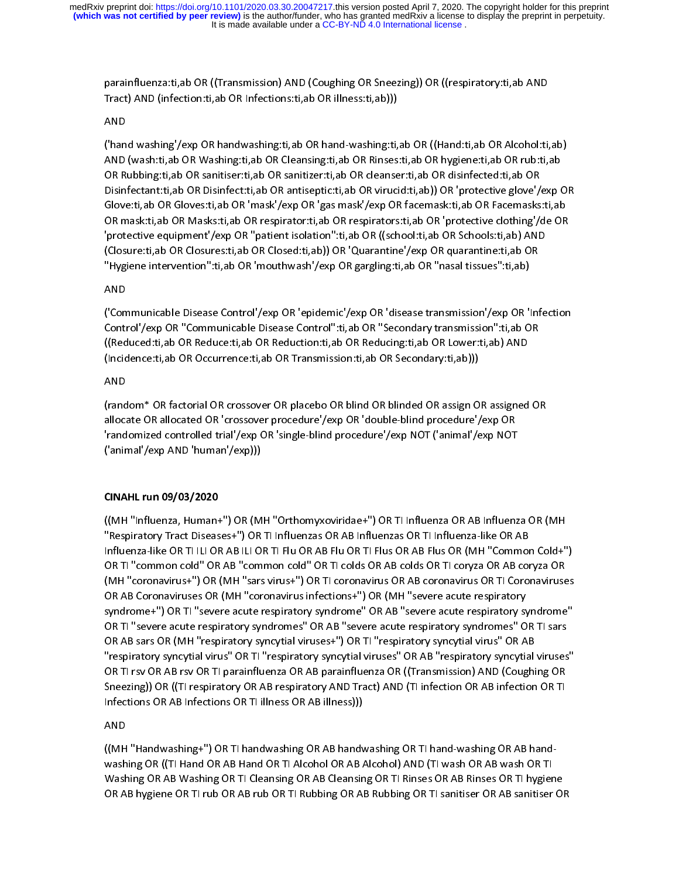parainfluenza:ti,ab OR ((Transmission) AND (Coughing OR Sneezing)) OR ((respiratory:ti,ab AND Tract) AND (infection:ti,ab OR Infections:ti,ab OR illness:ti,ab)))

### AND

('hand washing'/exp OR handwashing:ti,ab OR hand-washing:ti,ab OR ((Hand:ti,ab OR Alcohol:ti,ab) AND (wash:ti,ab OR Washing:ti,ab OR Cleansing:ti,ab OR Rinses:ti,ab OR hygiene:ti,ab OR rub:ti,ab OR Rubbing:ti,ab OR sanitiser:ti,ab OR sanitizer:ti,ab OR cleanser:ti,ab OR disinfected:ti,ab OR Disinfectant:ti,ab OR Disinfect:ti,ab OR antiseptic:ti,ab OR virucid:ti,ab)) OR 'protective glove'/exp OR Glove:ti,ab OR Gloves:ti,ab OR 'mask'/exp OR 'gas mask'/exp OR facemask:ti,ab OR Facemasks:ti,ab OR mask:ti,ab OR Masks:ti,ab OR respirator:ti,ab OR respirators:ti,ab OR 'protective clothing'/de OR 'protective equipment'/exp OR "patient isolation":ti,ab OR ((school:ti,ab OR Schools:ti,ab) AND (Closure:ti,ab OR Closures:ti,ab OR Closed:ti,ab)) OR 'Quarantine'/exp OR quarantine:ti,ab OR "Hygiene intervention":ti,ab OR 'mouthwash'/exp OR gargling:ti,ab OR "nasal tissues":ti,ab)

## AND

('Communicable Disease Control'/exp OR 'epidemic'/exp OR 'disease transmission'/exp OR 'Infection Control'/exp OR "Communicable Disease Control":ti,ab OR "Secondary transmission":ti,ab OR ((Reduced:ti,ab OR Reduce:ti,ab OR Reduction:ti,ab OR Reducing:ti,ab OR Lower:ti,ab) AND (Incidence:ti,ab OR Occurrence:ti,ab OR Transmission:ti,ab OR Secondary:ti,ab)))

## AND

(random\* OR factorial OR crossover OR placebo OR blind OR blinded OR assign OR assigned OR allocate OR allocated OR 'crossover procedure'/exp OR 'double-blind procedure'/exp OR 'randomized controlled trial'/exp OR 'single-blind procedure'/exp NOT ('animal'/exp NOT ('animal'/exp AND 'human'/exp)))

## CINAHL run 09/03/2020

((MH "Influenza, Human+") OR (MH "Orthomyxoviridae+") OR TI Influenza OR AB Influenza OR (MH "Respiratory Tract Diseases+") OR TI Influenzas OR AB INFluenzas OR AB INFluenza OR AB INFLUENZAS OR TI INFLUENZA<br>Like Influenza-like OR TI ILI OR AB ILI OR TI Flu OR AB Flu OR TI Flus OR AB Flus OR (MH "Common Cold+") (MH "coronavirus+") OR (MH "sars virus+") OR TI coronavirus OR AB coronavirus OR TI Coronaviruses (MH "coronavirus+") OR (MH "sars virus+") OR TI coronavirus OR H coronaviruses OR AB Coronaviruses OR (MH "coronavirus infections+") OR (MH "severe acute respiratory syndrome+") OR TI "severe acute respiratory syndrome" OR AB "severe acute respiratory syndrome" OR TI "severe acute respiratory syndromes" OR AB "severe acute respiratory syndromes" OR TI sars OR AB sars OR (MH "respiratory syncytial viruses+") OR TI "respiratory syncytial virus" OR AB "respiratory syncytial virus" OR TI "respiratory syncytial viruses" OR AB "respiratory syncytial viruses" OR TI rsv OR AB rsv OR TI parainfluenza OR AB parainfluenza OR ((Transmission) AND (Coughing OR Sneezing)) OR ((TI respiratory OR AB respiratory AND Tract) AND (TI infection OR AB infection OR TI Infections OR AB Infections OR TI illness OR AB illness)))

## AND

((MH "Handwashing+") OR TI handwashing OR AB handwashing OR TI hand-washing OR AB hand-Washing OR ((TI Hand OR AB Hand OR TI Alcohol OR AB Alcohol) AND (TI wash OR AB wash OR TI Washing OR AB Washing OR TI Cleansing OR AB Cleansing OR TI Rinses OR AB Rinses OR TI hygiene OR AB hygiene OR TI rub OR AB rub OR TI Rubbing OR AB Rubbing OR TI sanitiser OR AB sanitiser OR